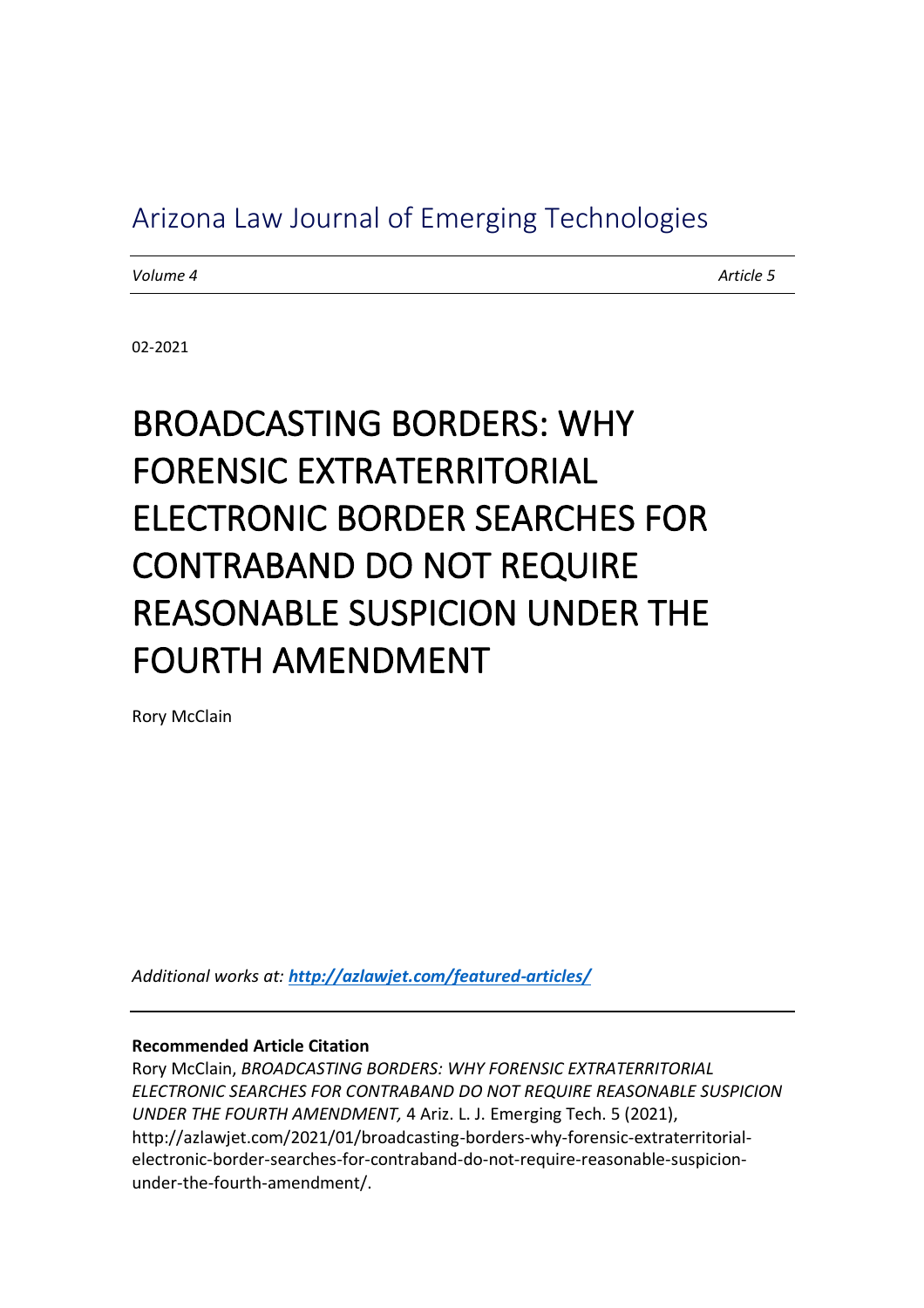# Arizona Law Journal of Emerging Technologies

*Volume 4 Article 5*

02-2021

# BROADCASTING BORDERS: WHY FORENSIC EXTRATERRITORIAL ELECTRONIC BORDER SEARCHES FOR CONTRABAND DO NOT REQUIRE REASONABLE SUSPICION UNDER THE FOURTH AMENDMENT

Rory McClain

*Additional works at: http://azlawjet.com/featured-articles/*

**Recommended Article Citation**

Rory McClain, *BROADCASTING BORDERS: WHY FORENSIC EXTRATERRITORIAL ELECTRONIC SEARCHES FOR CONTRABAND DO NOT REQUIRE REASONABLE SUSPICION UNDER THE FOURTH AMENDMENT,* 4 Ariz. L. J. Emerging Tech. 5 (2021), http://azlawjet.com/2021/01/broadcasting-borders-why-forensic-extraterritorialelectronic-border-searches-for-contraband-do-not-require-reasonable-suspicionunder-the-fourth-amendment/.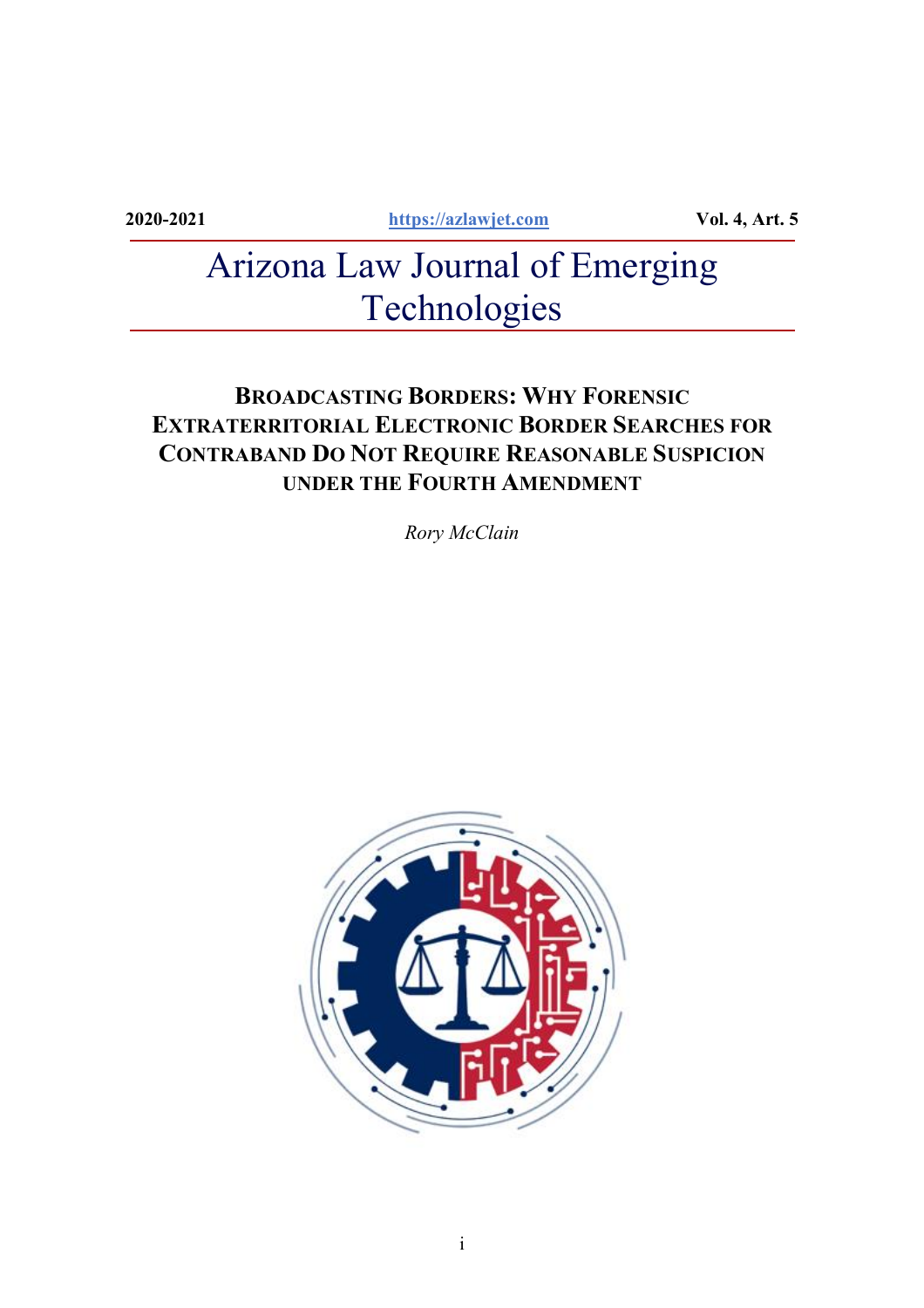**2020-2021 https://azlawjet.com Vol. 4, Art. 5**

# Arizona Law Journal of Emerging Technologies

# **BROADCASTING BORDERS: WHY FORENSIC EXTRATERRITORIAL ELECTRONIC BORDER SEARCHES FOR CONTRABAND DO NOT REQUIRE REASONABLE SUSPICION UNDER THE FOURTH AMENDMENT**

*Rory McClain*

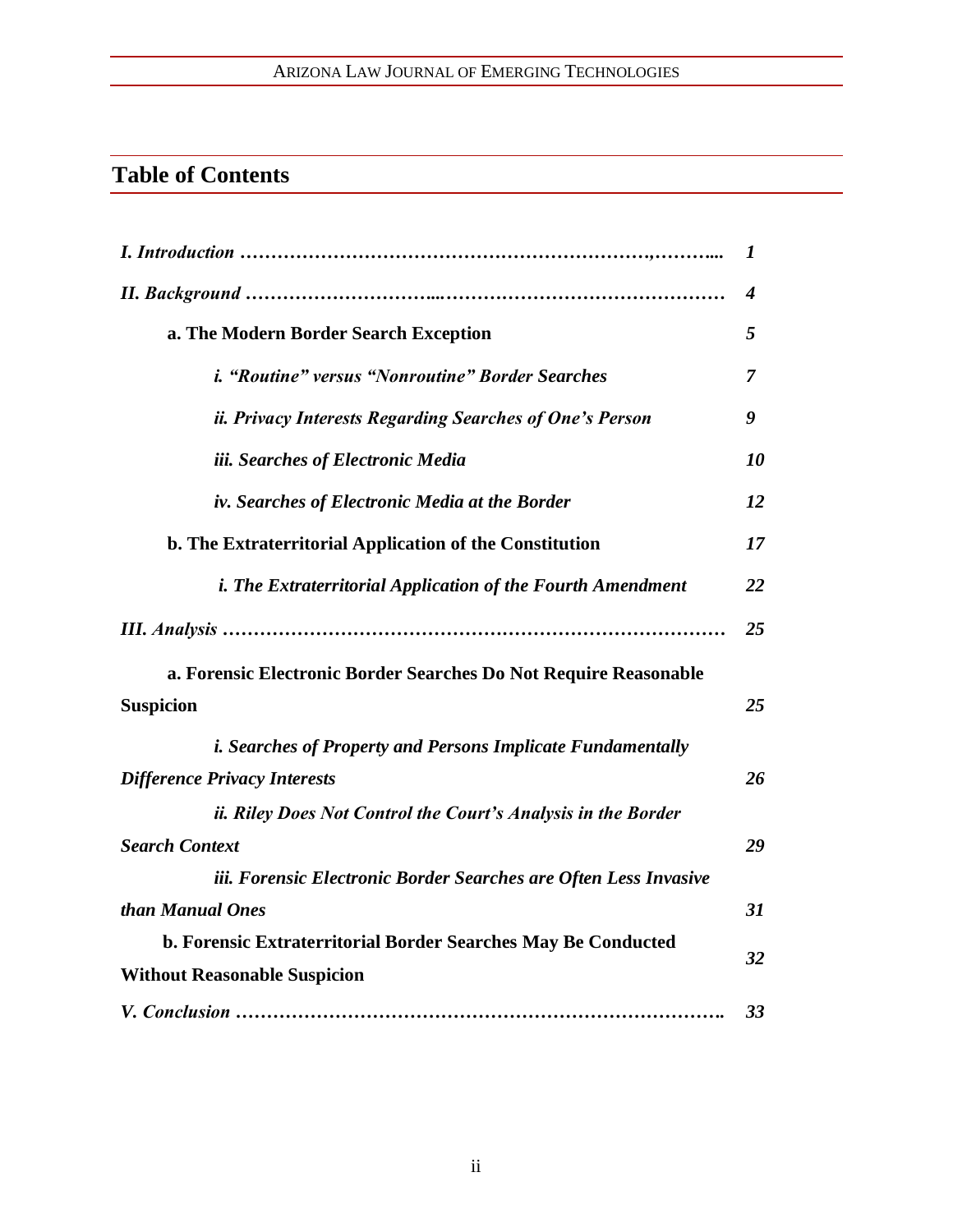# ARIZONA LAW JOURNAL OF EMERGING TECHNOLOGIES

# **Table of Contents**

|                                                                    | 1  |
|--------------------------------------------------------------------|----|
|                                                                    | 4  |
| a. The Modern Border Search Exception                              | 5  |
| <i>i.</i> "Routine" versus "Nonroutine" Border Searches            | 7  |
| ii. Privacy Interests Regarding Searches of One's Person           | 9  |
| iii. Searches of Electronic Media                                  | 10 |
| iv. Searches of Electronic Media at the Border                     | 12 |
| b. The Extraterritorial Application of the Constitution            | 17 |
| <i>i. The Extraterritorial Application of the Fourth Amendment</i> | 22 |
|                                                                    | 25 |
| a. Forensic Electronic Border Searches Do Not Require Reasonable   |    |
| <b>Suspicion</b>                                                   | 25 |
| <i>i. Searches of Property and Persons Implicate Fundamentally</i> |    |
| <b>Difference Privacy Interests</b>                                | 26 |
| ii. Riley Does Not Control the Court's Analysis in the Border      |    |
| <b>Search Context</b>                                              | 29 |
| iii. Forensic Electronic Border Searches are Often Less Invasive   |    |
| than Manual Ones                                                   | 31 |
| b. Forensic Extraterritorial Border Searches May Be Conducted      |    |
| <b>Without Reasonable Suspicion</b>                                | 32 |
|                                                                    | 33 |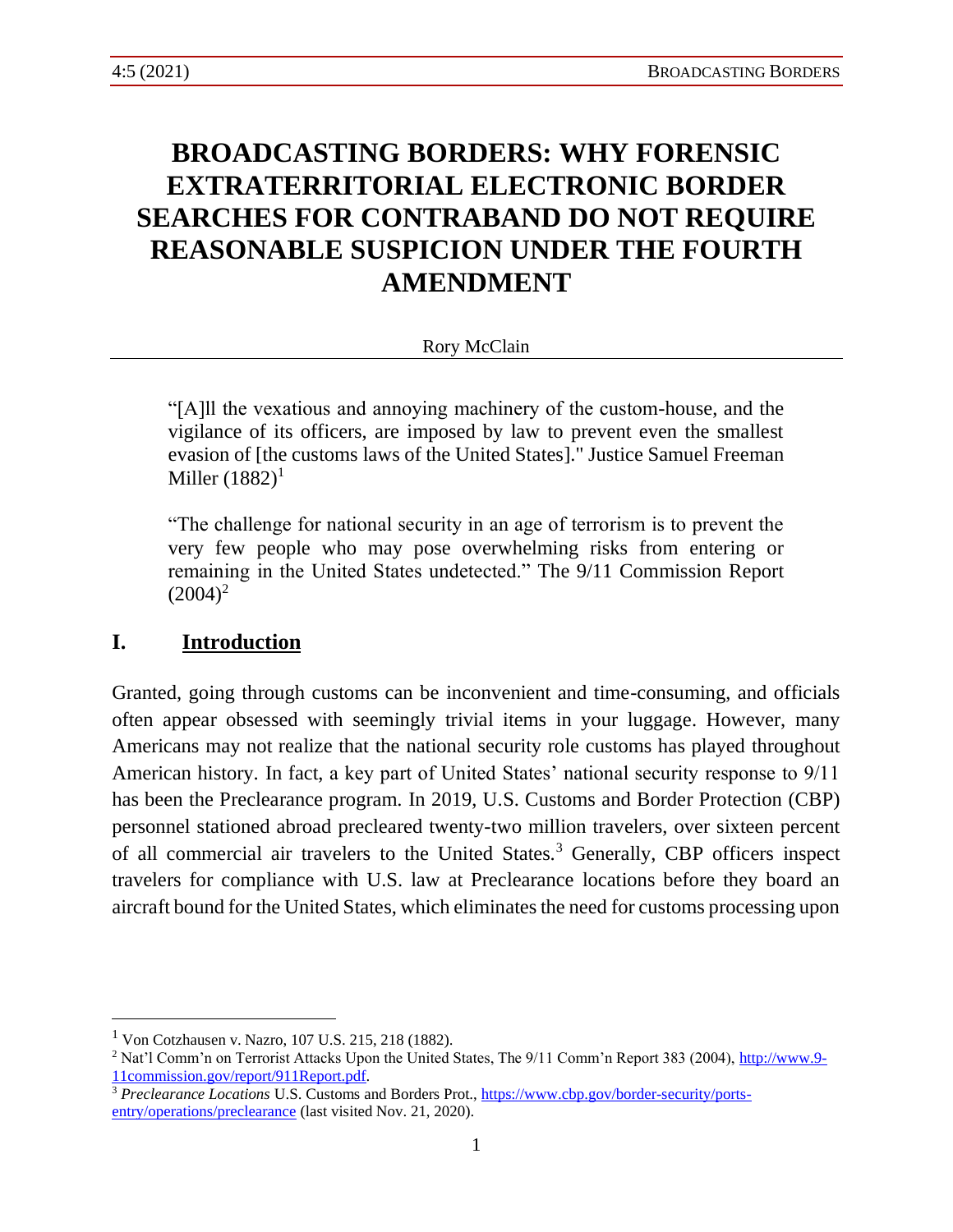# **BROADCASTING BORDERS: WHY FORENSIC EXTRATERRITORIAL ELECTRONIC BORDER SEARCHES FOR CONTRABAND DO NOT REQUIRE REASONABLE SUSPICION UNDER THE FOURTH AMENDMENT**

#### Rory McClain

"[A]ll the vexatious and annoying machinery of the custom-house, and the vigilance of its officers, are imposed by law to prevent even the smallest evasion of [the customs laws of the United States]." Justice Samuel Freeman Miller  $(1882)^1$ 

"The challenge for national security in an age of terrorism is to prevent the very few people who may pose overwhelming risks from entering or remaining in the United States undetected." The 9/11 Commission Report  $(2004)^2$ 

#### **I. Introduction**

Granted, going through customs can be inconvenient and time-consuming, and officials often appear obsessed with seemingly trivial items in your luggage. However, many Americans may not realize that the national security role customs has played throughout American history. In fact, a key part of United States' national security response to 9/11 has been the Preclearance program. In 2019, U.S. Customs and Border Protection (CBP) personnel stationed abroad precleared twenty-two million travelers, over sixteen percent of all commercial air travelers to the United States.<sup>3</sup> Generally, CBP officers inspect travelers for compliance with U.S. law at Preclearance locations before they board an aircraft bound for the United States, which eliminates the need for customs processing upon

<sup>1</sup> Von Cotzhausen v. Nazro, 107 U.S. 215, 218 (1882).

<sup>&</sup>lt;sup>2</sup> Nat'l Comm'n on Terrorist Attacks Upon the United States, The 9/11 Comm'n Report 383 (2004), [http://www.9-](http://www.9-11commission.gov/report/911Report.pdf) [11commission.gov/report/911Report.pdf.](http://www.9-11commission.gov/report/911Report.pdf)

<sup>&</sup>lt;sup>3</sup> Preclearance Locations U.S. Customs and Borders Prot., [https://www.cbp.gov/border-security/ports](https://www.cbp.gov/border-security/ports-entry/operations/preclearance)[entry/operations/preclearance](https://www.cbp.gov/border-security/ports-entry/operations/preclearance) (last visited Nov. 21, 2020).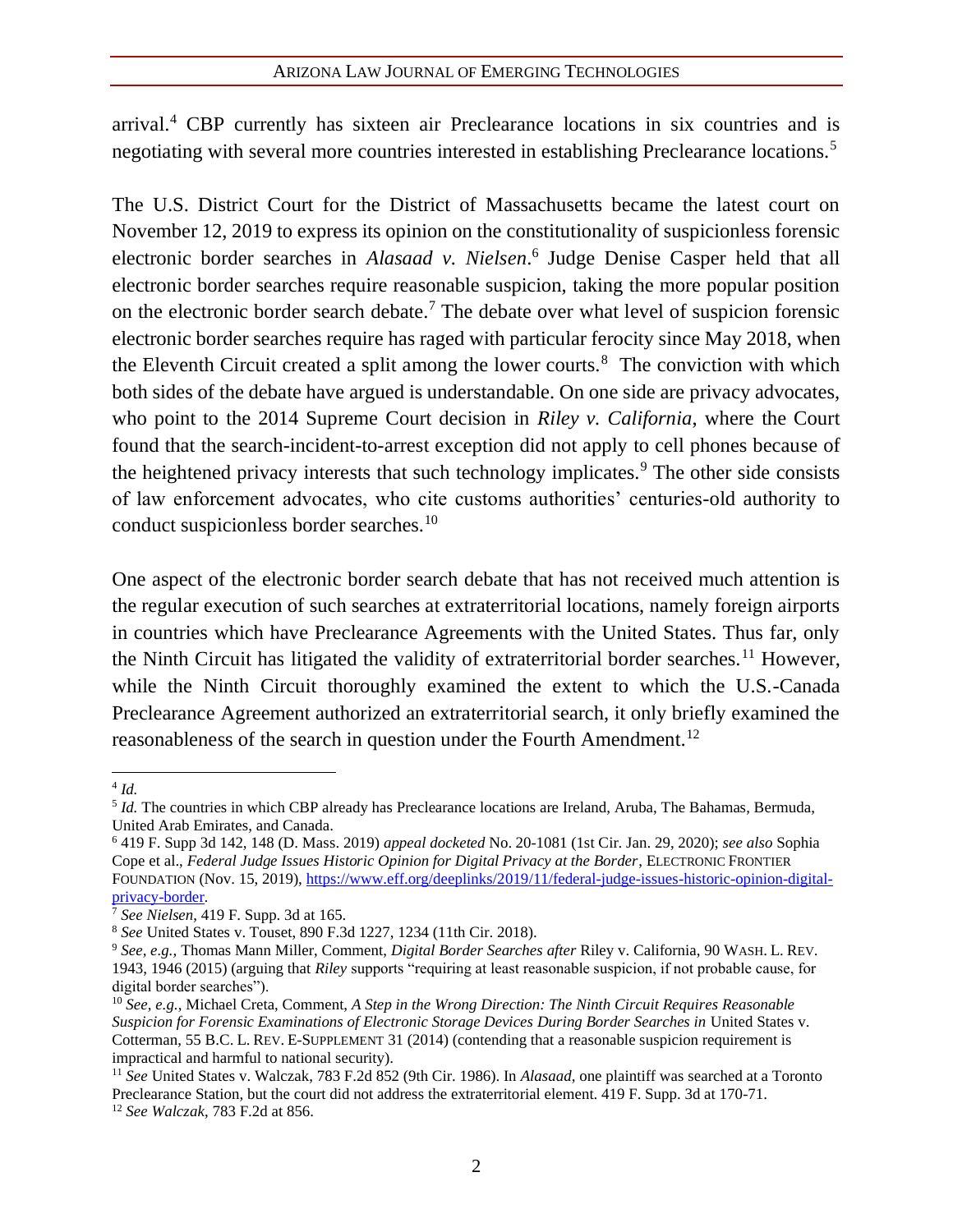arrival.<sup>4</sup> CBP currently has sixteen air Preclearance locations in six countries and is negotiating with several more countries interested in establishing Preclearance locations.<sup>5</sup>

The U.S. District Court for the District of Massachusetts became the latest court on November 12, 2019 to express its opinion on the constitutionality of suspicionless forensic electronic border searches in *Alasaad v. Nielsen*. 6 Judge Denise Casper held that all electronic border searches require reasonable suspicion, taking the more popular position on the electronic border search debate.<sup>7</sup> The debate over what level of suspicion forensic electronic border searches require has raged with particular ferocity since May 2018, when the Eleventh Circuit created a split among the lower courts.<sup>8</sup> The conviction with which both sides of the debate have argued is understandable. On one side are privacy advocates, who point to the 2014 Supreme Court decision in *Riley v. California*, where the Court found that the search-incident-to-arrest exception did not apply to cell phones because of the heightened privacy interests that such technology implicates.<sup>9</sup> The other side consists of law enforcement advocates, who cite customs authorities' centuries-old authority to conduct suspicionless border searches.<sup>10</sup>

One aspect of the electronic border search debate that has not received much attention is the regular execution of such searches at extraterritorial locations, namely foreign airports in countries which have Preclearance Agreements with the United States. Thus far, only the Ninth Circuit has litigated the validity of extraterritorial border searches.<sup>11</sup> However, while the Ninth Circuit thoroughly examined the extent to which the U.S.-Canada Preclearance Agreement authorized an extraterritorial search, it only briefly examined the reasonableness of the search in question under the Fourth Amendment.<sup>12</sup>

<sup>4</sup> *Id.*

<sup>5</sup> *Id.* The countries in which CBP already has Preclearance locations are Ireland, Aruba, The Bahamas, Bermuda, United Arab Emirates, and Canada.

<sup>6</sup> 419 F. Supp 3d 142, 148 (D. Mass. 2019) *appeal docketed* No. 20-1081 (1st Cir. Jan. 29, 2020); *see also* Sophia Cope et al., *Federal Judge Issues Historic Opinion for Digital Privacy at the Border*, ELECTRONIC FRONTIER FOUNDATION (Nov. 15, 2019), [https://www.eff.org/deeplinks/2019/11/federal-judge-issues-historic-opinion-digital](https://www.eff.org/deeplinks/2019/11/federal-judge-issues-historic-opinion-digital-privacy-border)[privacy-border.](https://www.eff.org/deeplinks/2019/11/federal-judge-issues-historic-opinion-digital-privacy-border)

<sup>7</sup> *See Nielsen*, 419 F. Supp. 3d at 165.

<sup>8</sup> *See* United States v. Touset, 890 F.3d 1227, 1234 (11th Cir. 2018).

<sup>9</sup> *See, e.g.,* Thomas Mann Miller, Comment, *Digital Border Searches after* Riley v. California, 90 WASH. L. REV. 1943, 1946 (2015) (arguing that *Riley* supports "requiring at least reasonable suspicion, if not probable cause, for digital border searches").

<sup>10</sup> *See, e.g.*, Michael Creta, Comment, *A Step in the Wrong Direction: The Ninth Circuit Requires Reasonable Suspicion for Forensic Examinations of Electronic Storage Devices During Border Searches in United States v.* Cotterman, 55 B.C. L. REV. E-SUPPLEMENT 31 (2014) (contending that a reasonable suspicion requirement is impractical and harmful to national security).

<sup>11</sup> *See* United States v. Walczak, 783 F.2d 852 (9th Cir. 1986). In *Alasaad*, one plaintiff was searched at a Toronto Preclearance Station, but the court did not address the extraterritorial element. 419 F. Supp. 3d at 170-71. <sup>12</sup> *See Walczak*, 783 F.2d at 856.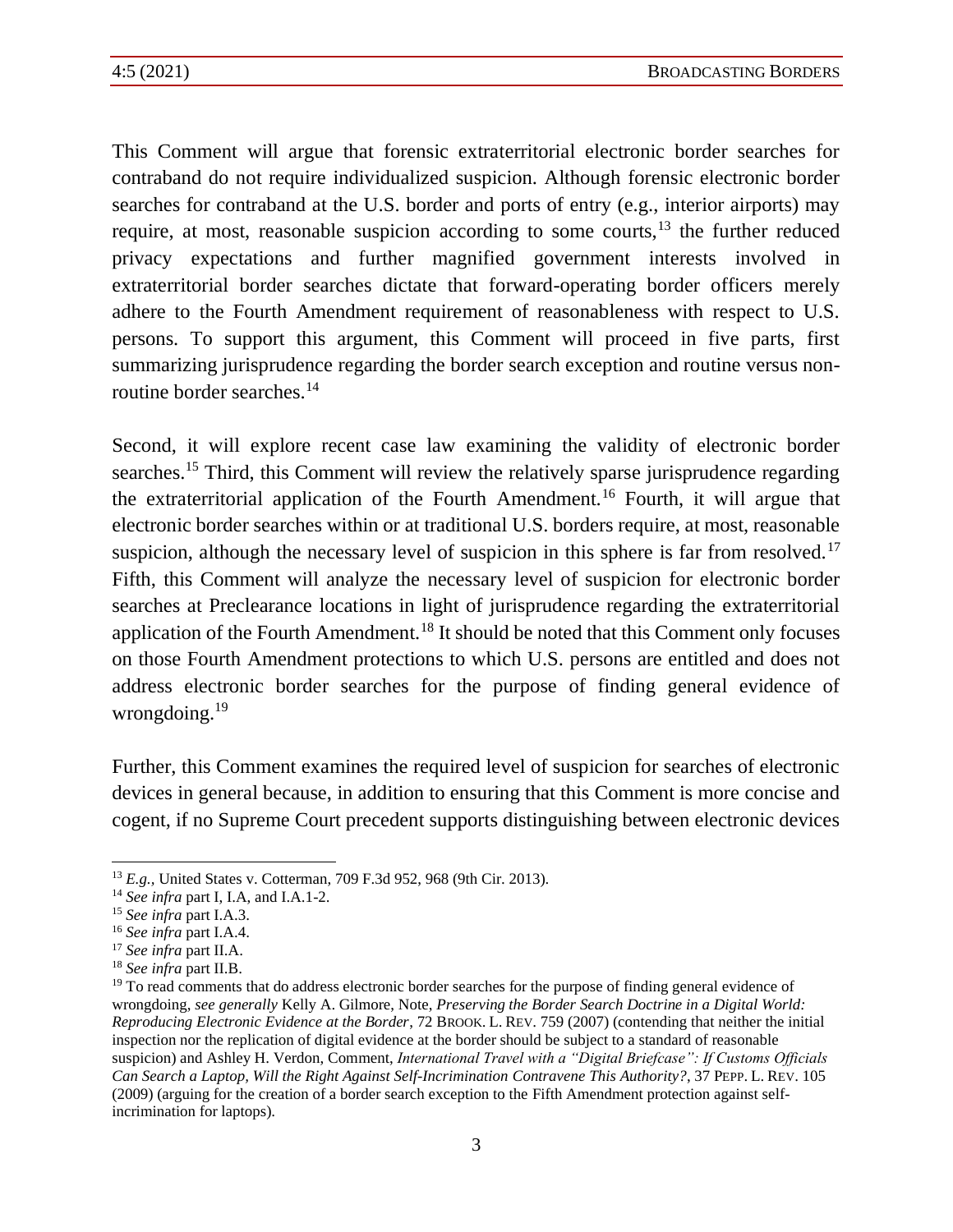This Comment will argue that forensic extraterritorial electronic border searches for contraband do not require individualized suspicion. Although forensic electronic border searches for contraband at the U.S. border and ports of entry (e.g., interior airports) may require, at most, reasonable suspicion according to some courts,<sup>13</sup> the further reduced privacy expectations and further magnified government interests involved in extraterritorial border searches dictate that forward-operating border officers merely adhere to the Fourth Amendment requirement of reasonableness with respect to U.S. persons. To support this argument, this Comment will proceed in five parts, first summarizing jurisprudence regarding the border search exception and routine versus nonroutine border searches.<sup>14</sup>

Second, it will explore recent case law examining the validity of electronic border searches.<sup>15</sup> Third, this Comment will review the relatively sparse jurisprudence regarding the extraterritorial application of the Fourth Amendment.<sup>16</sup> Fourth, it will argue that electronic border searches within or at traditional U.S. borders require, at most, reasonable suspicion, although the necessary level of suspicion in this sphere is far from resolved.<sup>17</sup> Fifth, this Comment will analyze the necessary level of suspicion for electronic border searches at Preclearance locations in light of jurisprudence regarding the extraterritorial application of the Fourth Amendment.<sup>18</sup> It should be noted that this Comment only focuses on those Fourth Amendment protections to which U.S. persons are entitled and does not address electronic border searches for the purpose of finding general evidence of wrongdoing.<sup>19</sup>

<span id="page-5-0"></span>Further, this Comment examines the required level of suspicion for searches of electronic devices in general because, in addition to ensuring that this Comment is more concise and cogent, if no Supreme Court precedent supports distinguishing between electronic devices

<sup>13</sup> *E.g.,* United States v. Cotterman, 709 F.3d 952, 968 (9th Cir. 2013).

<sup>14</sup> *See infra* part I, I.A, and I.A.1-2.

<sup>15</sup> *See infra* part I.A.3.

<sup>16</sup> *See infra* part I.A.4.

<sup>17</sup> *See infra* part II.A.

<sup>18</sup> *See infra* part II.B.

<sup>&</sup>lt;sup>19</sup> To read comments that do address electronic border searches for the purpose of finding general evidence of wrongdoing, *see generally* Kelly A. Gilmore, Note, *Preserving the Border Search Doctrine in a Digital World: Reproducing Electronic Evidence at the Border*, 72 BROOK. L. REV. 759 (2007) (contending that neither the initial inspection nor the replication of digital evidence at the border should be subject to a standard of reasonable suspicion) and Ashley H. Verdon, Comment, *International Travel with a "Digital Briefcase": If Customs Officials Can Search a Laptop, Will the Right Against Self-Incrimination Contravene This Authority?*, 37 PEPP. L. REV. 105 (2009) (arguing for the creation of a border search exception to the Fifth Amendment protection against selfincrimination for laptops).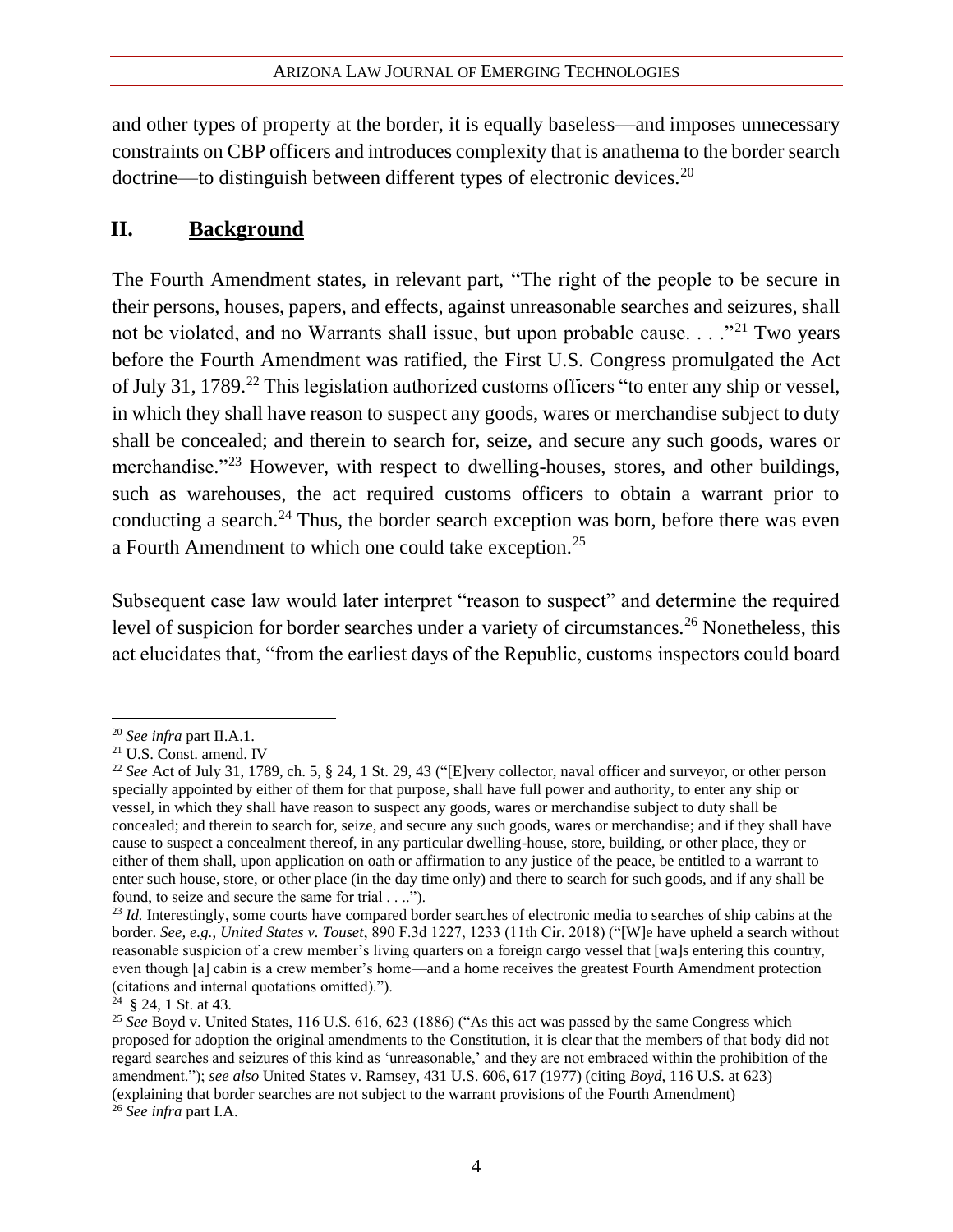and other types of property at the border, it is equally baseless—and imposes unnecessary constraints on CBP officers and introduces complexity that is anathema to the border search doctrine—to distinguish between different types of electronic devices.<sup>20</sup>

## **II. Background**

The Fourth Amendment states, in relevant part, "The right of the people to be secure in their persons, houses, papers, and effects, against unreasonable searches and seizures, shall not be violated, and no Warrants shall issue, but upon probable cause.  $\ldots$ <sup>21</sup> Two years before the Fourth Amendment was ratified, the First U.S. Congress promulgated the Act of July 31, 1789.<sup>22</sup> This legislation authorized customs officers "to enter any ship or vessel, in which they shall have reason to suspect any goods, wares or merchandise subject to duty shall be concealed; and therein to search for, seize, and secure any such goods, wares or merchandise."<sup>23</sup> However, with respect to dwelling-houses, stores, and other buildings, such as warehouses, the act required customs officers to obtain a warrant prior to conducting a search.<sup>24</sup> Thus, the border search exception was born, before there was even a Fourth Amendment to which one could take exception.<sup>25</sup>

Subsequent case law would later interpret "reason to suspect" and determine the required level of suspicion for border searches under a variety of circumstances.<sup>26</sup> Nonetheless, this act elucidates that, "from the earliest days of the Republic, customs inspectors could board

<sup>20</sup> *See infra* part II.A.1.

<sup>21</sup> U.S. Const. amend. IV

<sup>22</sup> *See* Act of July 31, 1789, ch. 5, § 24, 1 St. 29, 43 ("[E]very collector, naval officer and surveyor, or other person specially appointed by either of them for that purpose, shall have full power and authority, to enter any ship or vessel, in which they shall have reason to suspect any goods, wares or merchandise subject to duty shall be concealed; and therein to search for, seize, and secure any such goods, wares or merchandise; and if they shall have cause to suspect a concealment thereof, in any particular dwelling-house, store, building, or other place, they or either of them shall, upon application on oath or affirmation to any justice of the peace, be entitled to a warrant to enter such house, store, or other place (in the day time only) and there to search for such goods, and if any shall be found, to seize and secure the same for trial . . ..").

<sup>&</sup>lt;sup>23</sup> *Id.* Interestingly, some courts have compared border searches of electronic media to searches of ship cabins at the border. *See, e.g.*, *United States v. Touset*, 890 F.3d 1227, 1233 (11th Cir. 2018) ("[W]e have upheld a search without reasonable suspicion of a crew member's living quarters on a foreign cargo vessel that [wa]s entering this country, even though [a] cabin is a crew member's home—and a home receives the greatest Fourth Amendment protection (citations and internal quotations omitted).").

 $24 \text{ }$  § 24, 1 St. at 43.

<sup>&</sup>lt;sup>25</sup> See Boyd v. United States, 116 U.S. 616, 623 (1886) ("As this act was passed by the same Congress which proposed for adoption the original amendments to the Constitution, it is clear that the members of that body did not regard searches and seizures of this kind as 'unreasonable,' and they are not embraced within the prohibition of the amendment."); *see also* United States v. Ramsey, 431 U.S. 606, 617 (1977) (citing *Boyd*, 116 U.S. at 623) (explaining that border searches are not subject to the warrant provisions of the Fourth Amendment) <sup>26</sup> *See infra* part I.A.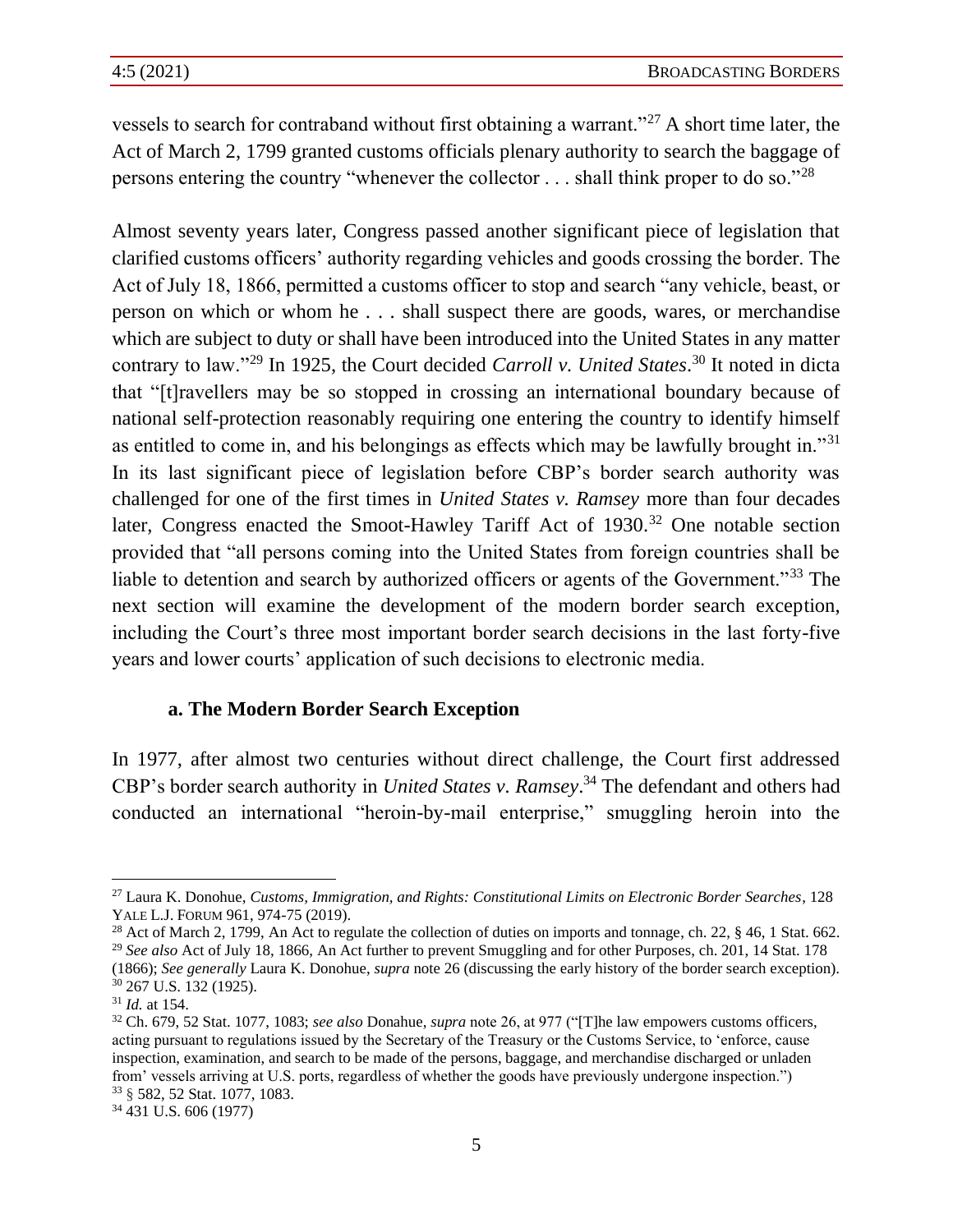vessels to search for contraband without first obtaining a warrant."<sup>27</sup> A short time later, the Act of March 2, 1799 granted customs officials plenary authority to search the baggage of persons entering the country "whenever the collector . . . shall think proper to do so."<sup>28</sup>

Almost seventy years later, Congress passed another significant piece of legislation that clarified customs officers' authority regarding vehicles and goods crossing the border. The Act of July 18, 1866, permitted a customs officer to stop and search "any vehicle, beast, or person on which or whom he . . . shall suspect there are goods, wares, or merchandise which are subject to duty or shall have been introduced into the United States in any matter contrary to law."<sup>29</sup> In 1925, the Court decided *Carroll v. United States*. <sup>30</sup> It noted in dicta that "[t]ravellers may be so stopped in crossing an international boundary because of national self-protection reasonably requiring one entering the country to identify himself as entitled to come in, and his belongings as effects which may be lawfully brought in."<sup>31</sup> In its last significant piece of legislation before CBP's border search authority was challenged for one of the first times in *United States v. Ramsey* more than four decades later, Congress enacted the Smoot-Hawley Tariff Act of 1930.<sup>32</sup> One notable section provided that "all persons coming into the United States from foreign countries shall be liable to detention and search by authorized officers or agents of the Government."<sup>33</sup> The next section will examine the development of the modern border search exception, including the Court's three most important border search decisions in the last forty-five years and lower courts' application of such decisions to electronic media.

#### **a. The Modern Border Search Exception**

In 1977, after almost two centuries without direct challenge, the Court first addressed CBP's border search authority in *United States v. Ramsey*. <sup>34</sup> The defendant and others had conducted an international "heroin-by-mail enterprise," smuggling heroin into the

<sup>27</sup> Laura K. Donohue, *Customs, Immigration, and Rights: Constitutional Limits on Electronic Border Searches*, 128 YALE L.J.FORUM 961, 974-75 (2019).

<sup>&</sup>lt;sup>28</sup> Act of March 2, 1799, An Act to regulate the collection of duties on imports and tonnage, ch. 22, § 46, 1 Stat. 662. <sup>29</sup> *See also* Act of July 18, 1866, An Act further to prevent Smuggling and for other Purposes, ch. 201, 14 Stat. 178 (1866); *See generally* Laura K. Donohue, *supra* note 26 (discussing the early history of the border search exception).

<sup>30</sup> 267 U.S. 132 (1925).

<sup>31</sup> *Id.* at 154.

<sup>32</sup> Ch. 679, 52 Stat. 1077, 1083; *see also* Donahue, *supra* note 26, at 977 ("[T]he law empowers customs officers, acting pursuant to regulations issued by the Secretary of the Treasury or the Customs Service, to 'enforce, cause inspection, examination, and search to be made of the persons, baggage, and merchandise discharged or unladen from' vessels arriving at U.S. ports, regardless of whether the goods have previously undergone inspection.") <sup>33</sup> § 582, 52 Stat. 1077, 1083.

<sup>34</sup> 431 U.S. 606 (1977)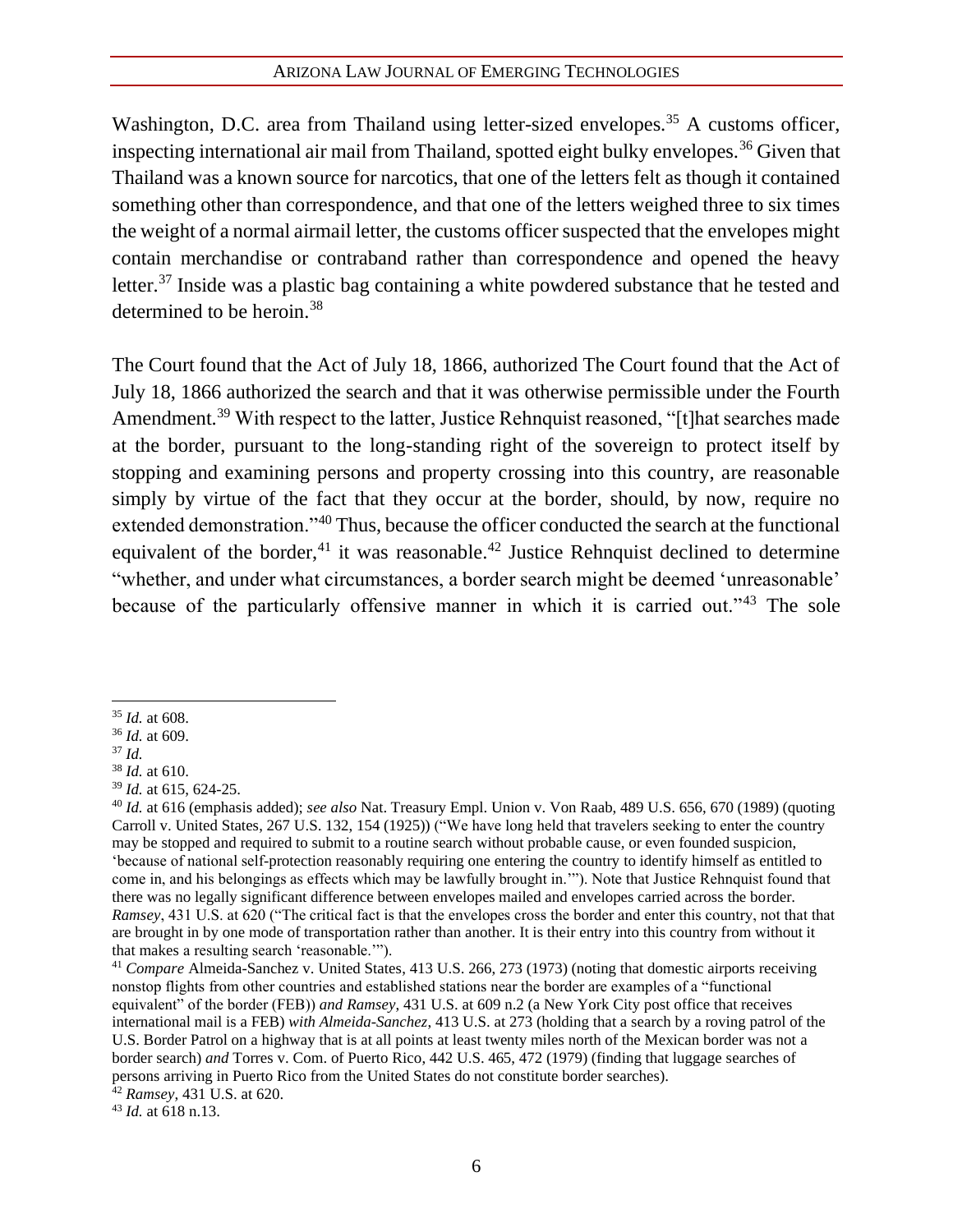Washington, D.C. area from Thailand using letter-sized envelopes.<sup>35</sup> A customs officer, inspecting international air mail from Thailand, spotted eight bulky envelopes.<sup>36</sup> Given that Thailand was a known source for narcotics, that one of the letters felt as though it contained something other than correspondence, and that one of the letters weighed three to six times the weight of a normal airmail letter, the customs officer suspected that the envelopes might contain merchandise or contraband rather than correspondence and opened the heavy letter.<sup>37</sup> Inside was a plastic bag containing a white powdered substance that he tested and determined to be heroin.<sup>38</sup>

The Court found that the Act of July 18, 1866, authorized The Court found that the Act of July 18, 1866 authorized the search and that it was otherwise permissible under the Fourth Amendment.<sup>39</sup> With respect to the latter, Justice Rehnquist reasoned, "[t]hat searches made at the border, pursuant to the long-standing right of the sovereign to protect itself by stopping and examining persons and property crossing into this country, are reasonable simply by virtue of the fact that they occur at the border, should, by now, require no extended demonstration."<sup>40</sup> Thus, because the officer conducted the search at the functional equivalent of the border,  $41$  it was reasonable.  $42$  Justice Rehnquist declined to determine "whether, and under what circumstances, a border search might be deemed 'unreasonable' because of the particularly offensive manner in which it is carried out."<sup>43</sup> The sole

<sup>35</sup> *Id.* at 608.

<sup>36</sup> *Id.* at 609.

<sup>37</sup> *Id.*

<sup>38</sup> *Id.* at 610.

<sup>39</sup> *Id.* at 615, 624-25.

<sup>40</sup> *Id.* at 616 (emphasis added); *see also* Nat. Treasury Empl. Union v. Von Raab, 489 U.S. 656, 670 (1989) (quoting Carroll v. United States, 267 U.S. 132, 154 (1925)) ("We have long held that travelers seeking to enter the country may be stopped and required to submit to a routine search without probable cause, or even founded suspicion, 'because of national self-protection reasonably requiring one entering the country to identify himself as entitled to come in, and his belongings as effects which may be lawfully brought in.'"). Note that Justice Rehnquist found that there was no legally significant difference between envelopes mailed and envelopes carried across the border. *Ramsey*, 431 U.S. at 620 ("The critical fact is that the envelopes cross the border and enter this country, not that that are brought in by one mode of transportation rather than another. It is their entry into this country from without it that makes a resulting search 'reasonable.'").

<sup>41</sup> *Compare* Almeida-Sanchez v. United States, 413 U.S. 266, 273 (1973) (noting that domestic airports receiving nonstop flights from other countries and established stations near the border are examples of a "functional equivalent" of the border (FEB)) *and Ramsey*, 431 U.S. at 609 n.2 (a New York City post office that receives international mail is a FEB) *with Almeida-Sanchez*, 413 U.S. at 273 (holding that a search by a roving patrol of the U.S. Border Patrol on a highway that is at all points at least twenty miles north of the Mexican border was not a border search) *and* Torres v. Com. of Puerto Rico, 442 U.S. 465, 472 (1979) (finding that luggage searches of persons arriving in Puerto Rico from the United States do not constitute border searches).

<sup>42</sup> *Ramsey*, 431 U.S. at 620.

<sup>43</sup> *Id.* at 618 n.13.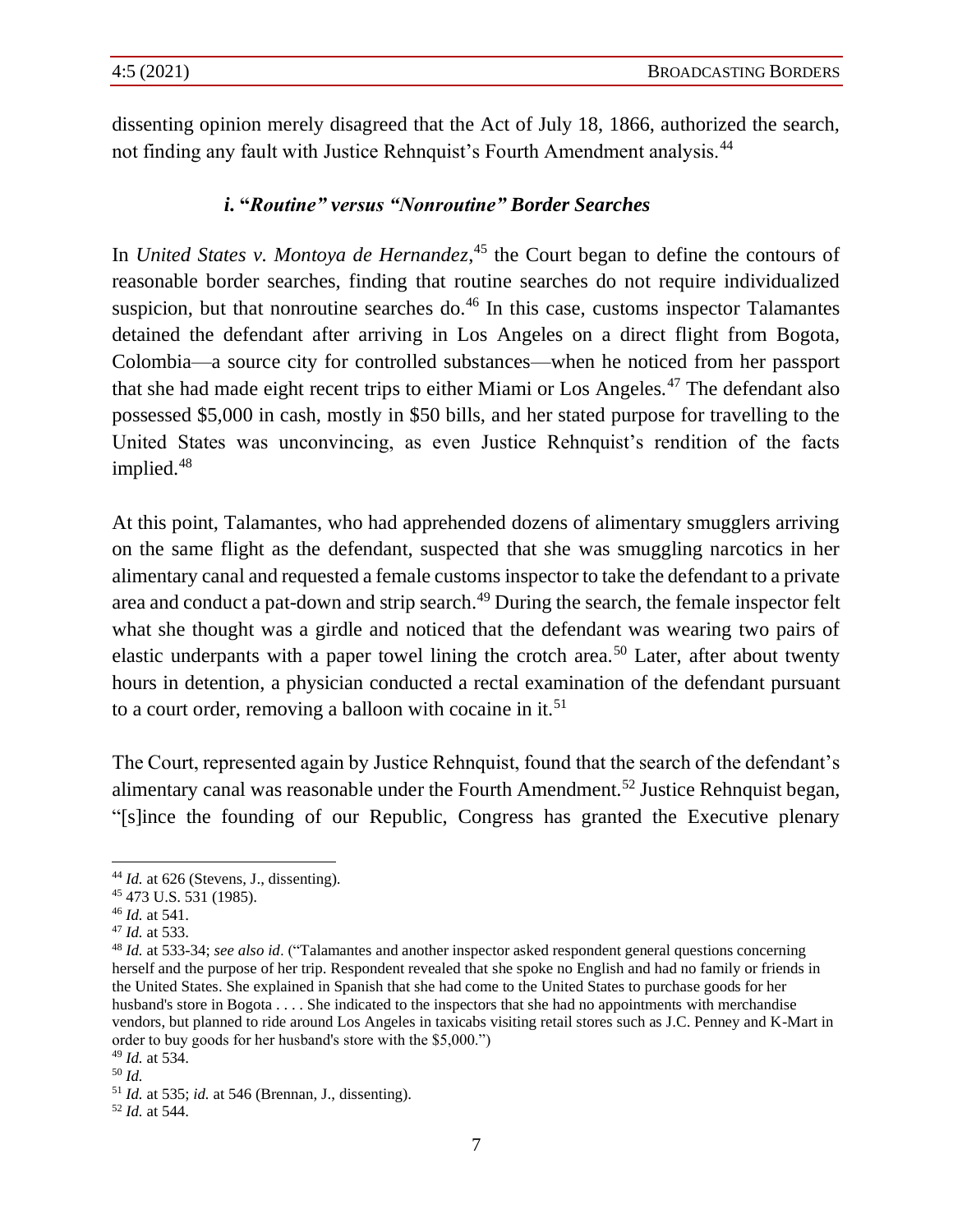dissenting opinion merely disagreed that the Act of July 18, 1866, authorized the search, not finding any fault with Justice Rehnquist's Fourth Amendment analysis.<sup>44</sup>

#### *i***. "***Routine" versus "Nonroutine" Border Searches*

In *United States v. Montoya de Hernandez*,<sup>45</sup> the Court began to define the contours of reasonable border searches, finding that routine searches do not require individualized suspicion, but that nonroutine searches do. $46$  In this case, customs inspector Talamantes detained the defendant after arriving in Los Angeles on a direct flight from Bogota, Colombia—a source city for controlled substances—when he noticed from her passport that she had made eight recent trips to either Miami or Los Angeles.<sup>47</sup> The defendant also possessed \$5,000 in cash, mostly in \$50 bills, and her stated purpose for travelling to the United States was unconvincing, as even Justice Rehnquist's rendition of the facts implied.<sup>48</sup>

At this point, Talamantes, who had apprehended dozens of alimentary smugglers arriving on the same flight as the defendant, suspected that she was smuggling narcotics in her alimentary canal and requested a female customs inspector to take the defendant to a private area and conduct a pat-down and strip search.<sup>49</sup> During the search, the female inspector felt what she thought was a girdle and noticed that the defendant was wearing two pairs of elastic underpants with a paper towel lining the crotch area.<sup>50</sup> Later, after about twenty hours in detention, a physician conducted a rectal examination of the defendant pursuant to a court order, removing a balloon with cocaine in it.<sup>51</sup>

The Court, represented again by Justice Rehnquist, found that the search of the defendant's alimentary canal was reasonable under the Fourth Amendment.<sup>52</sup> Justice Rehnquist began, "[s]ince the founding of our Republic, Congress has granted the Executive plenary

<sup>&</sup>lt;sup>44</sup> *Id.* at 626 (Stevens, J., dissenting).

<sup>45</sup> 473 U.S. 531 (1985).

<sup>46</sup> *Id.* at 541.

<sup>47</sup> *Id.* at 533.

<sup>48</sup> *Id.* at 533-34; *see also id*. ("Talamantes and another inspector asked respondent general questions concerning herself and the purpose of her trip. Respondent revealed that she spoke no English and had no family or friends in the United States. She explained in Spanish that she had come to the United States to purchase goods for her husband's store in Bogota . . . . She indicated to the inspectors that she had no appointments with merchandise vendors, but planned to ride around Los Angeles in taxicabs visiting retail stores such as J.C. Penney and K-Mart in order to buy goods for her husband's store with the \$5,000.") <sup>49</sup> *Id.* at 534.

<sup>50</sup> *Id.*

<sup>51</sup> *Id.* at 535; *id.* at 546 (Brennan, J., dissenting).

<sup>52</sup> *Id.* at 544.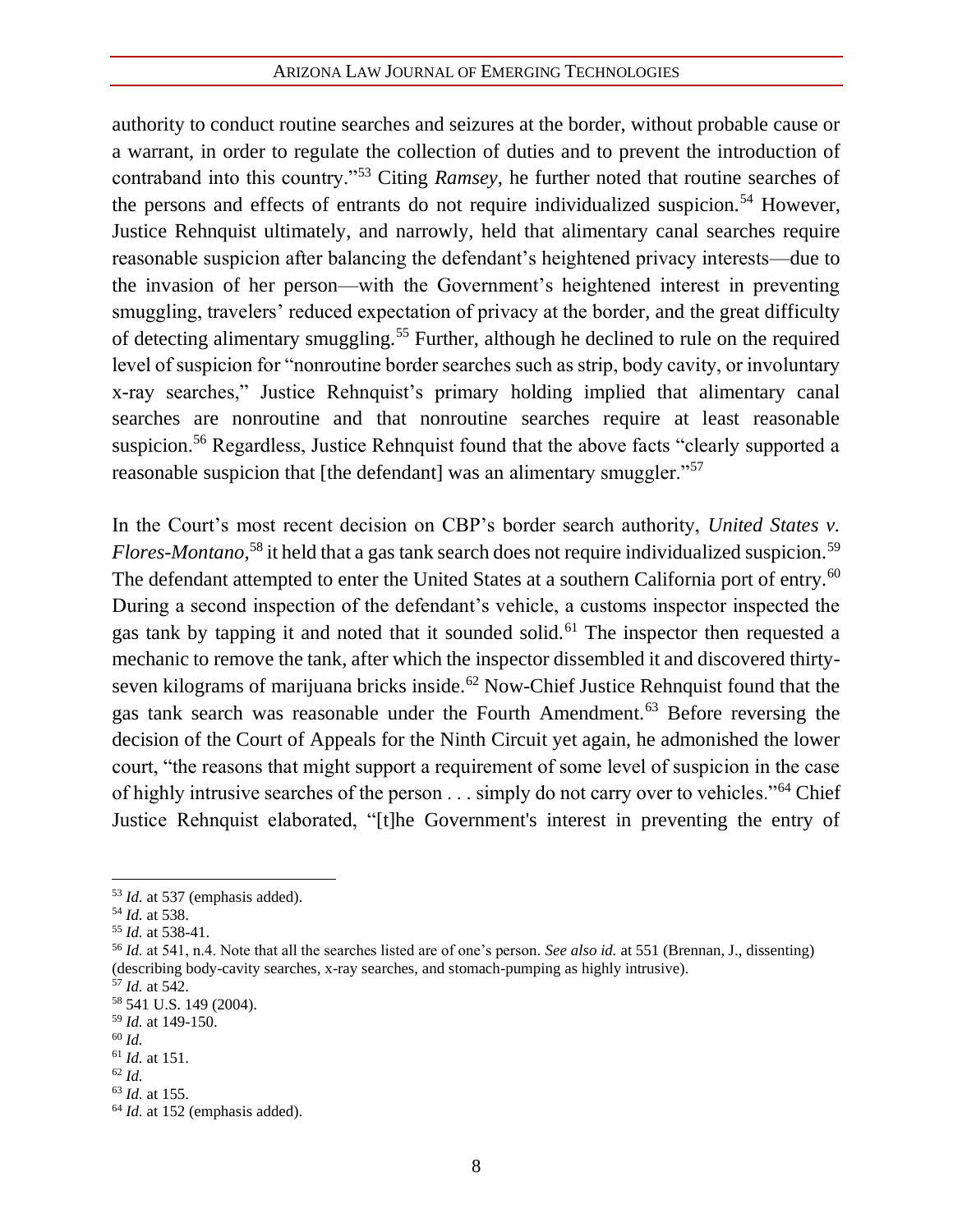authority to conduct routine searches and seizures at the border, without probable cause or a warrant, in order to regulate the collection of duties and to prevent the introduction of contraband into this country."<sup>53</sup> Citing *Ramsey*, he further noted that routine searches of the persons and effects of entrants do not require individualized suspicion.<sup>54</sup> However, Justice Rehnquist ultimately, and narrowly, held that alimentary canal searches require reasonable suspicion after balancing the defendant's heightened privacy interests—due to the invasion of her person—with the Government's heightened interest in preventing smuggling, travelers' reduced expectation of privacy at the border, and the great difficulty of detecting alimentary smuggling.<sup>55</sup> Further, although he declined to rule on the required level of suspicion for "nonroutine border searches such as strip, body cavity, or involuntary x-ray searches," Justice Rehnquist's primary holding implied that alimentary canal searches are nonroutine and that nonroutine searches require at least reasonable suspicion.<sup>56</sup> Regardless, Justice Rehnquist found that the above facts "clearly supported a reasonable suspicion that [the defendant] was an alimentary smuggler."<sup>57</sup>

In the Court's most recent decision on CBP's border search authority, *United States v.*  Flores-Montano,<sup>58</sup> it held that a gas tank search does not require individualized suspicion.<sup>59</sup> The defendant attempted to enter the United States at a southern California port of entry.<sup>60</sup> During a second inspection of the defendant's vehicle, a customs inspector inspected the gas tank by tapping it and noted that it sounded solid.<sup>61</sup> The inspector then requested a mechanic to remove the tank, after which the inspector dissembled it and discovered thirtyseven kilograms of marijuana bricks inside.<sup>62</sup> Now-Chief Justice Rehnquist found that the gas tank search was reasonable under the Fourth Amendment.<sup>63</sup> Before reversing the decision of the Court of Appeals for the Ninth Circuit yet again, he admonished the lower court, "the reasons that might support a requirement of some level of suspicion in the case of highly intrusive searches of the person . . . simply do not carry over to vehicles."<sup>64</sup> Chief Justice Rehnquist elaborated, "[t]he Government's interest in preventing the entry of

<sup>53</sup> *Id.* at 537 (emphasis added).

<sup>54</sup> *Id.* at 538.

<sup>55</sup> *Id.* at 538-41.

<sup>56</sup> *Id.* at 541, n.4. Note that all the searches listed are of one's person. *See also id.* at 551 (Brennan, J., dissenting) (describing body-cavity searches, x-ray searches, and stomach-pumping as highly intrusive).

<sup>57</sup> *Id.* at 542.

<sup>58</sup> 541 U.S. 149 (2004).

<sup>59</sup> *Id.* at 149-150.

<sup>60</sup> *Id.*

<sup>61</sup> *Id.* at 151.

<sup>62</sup> *Id.*

<sup>63</sup> *Id.* at 155.

<sup>&</sup>lt;sup>64</sup> *Id.* at 152 (emphasis added).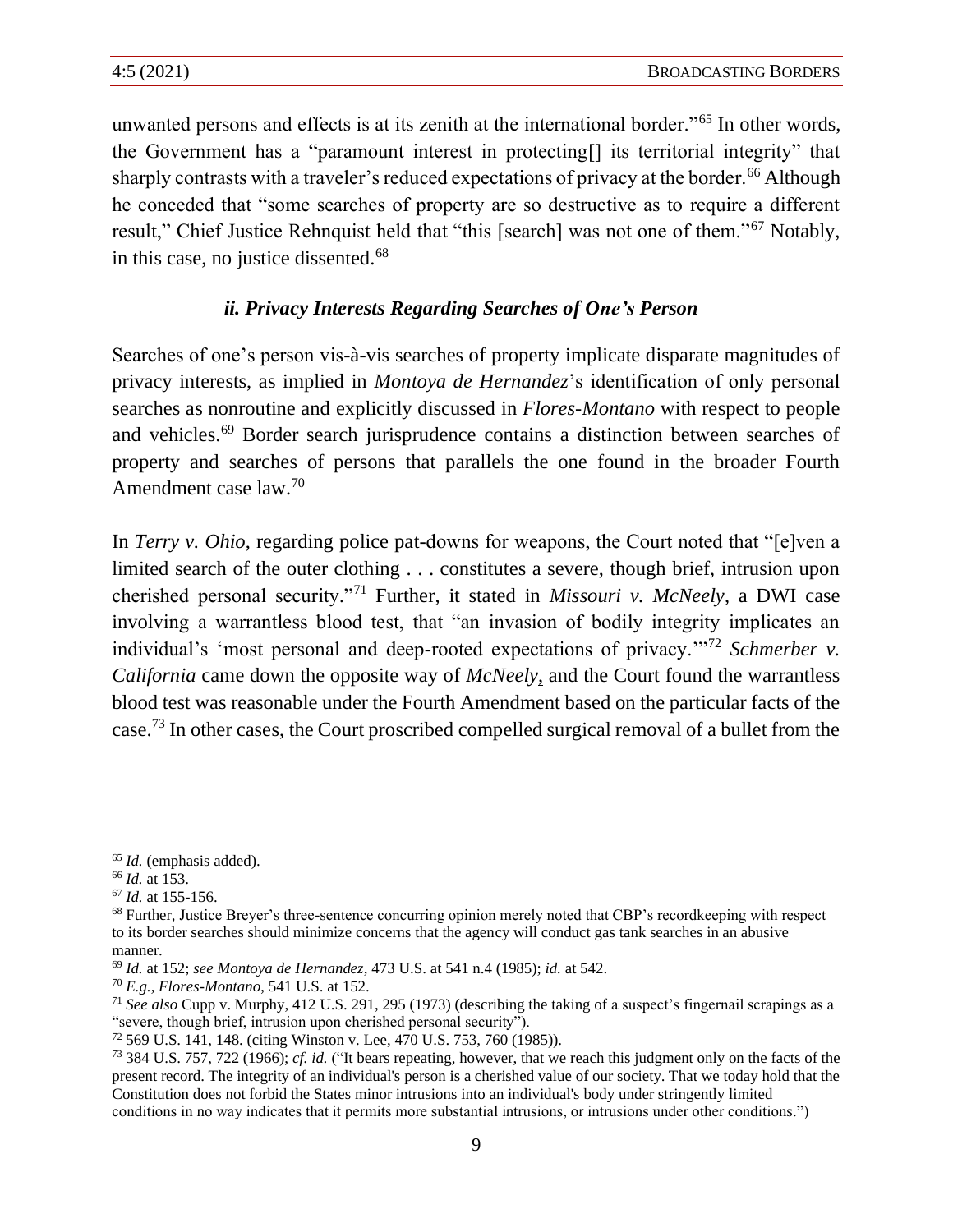unwanted persons and effects is at its zenith at the international border."<sup>65</sup> In other words, the Government has a "paramount interest in protecting[] its territorial integrity" that sharply contrasts with a traveler's reduced expectations of privacy at the border.<sup>66</sup> Although he conceded that "some searches of property are so destructive as to require a different result," Chief Justice Rehnquist held that "this [search] was not one of them."<sup>67</sup> Notably, in this case, no justice dissented. $68$ 

#### *ii. Privacy Interests Regarding Searches of One's Person*

Searches of one's person vis-à-vis searches of property implicate disparate magnitudes of privacy interests, as implied in *Montoya de Hernandez*'s identification of only personal searches as nonroutine and explicitly discussed in *Flores-Montano* with respect to people and vehicles.<sup>69</sup> Border search jurisprudence contains a distinction between searches of property and searches of persons that parallels the one found in the broader Fourth Amendment case law.<sup>70</sup>

In *Terry v. Ohio*, regarding police pat-downs for weapons, the Court noted that "[e]ven a limited search of the outer clothing . . . constitutes a severe, though brief, intrusion upon cherished personal security."<sup>71</sup> Further, it stated in *Missouri v. McNeely*, a DWI case involving a warrantless blood test, that "an invasion of bodily integrity implicates an individual's 'most personal and deep-rooted expectations of privacy."<sup>72</sup> *Schmerber v. California* came down the opposite way of *McNeely*, and the Court found the warrantless blood test was reasonable under the Fourth Amendment based on the particular facts of the case.<sup>73</sup> In other cases, the Court proscribed compelled surgical removal of a bullet from the

<sup>65</sup> *Id.* (emphasis added).

<sup>66</sup> *Id.* at 153.

<sup>67</sup> *Id.* at 155-156.

<sup>&</sup>lt;sup>68</sup> Further, Justice Breyer's three-sentence concurring opinion merely noted that CBP's recordkeeping with respect to its border searches should minimize concerns that the agency will conduct gas tank searches in an abusive manner.

<sup>69</sup> *Id.* at 152; *see Montoya de Hernandez*, 473 U.S. at 541 n.4 (1985); *id.* at 542.

<sup>70</sup> *E.g., Flores-Montano*, 541 U.S. at 152.

<sup>71</sup> *See also* Cupp v. Murphy, 412 U.S. 291, 295 (1973) (describing the taking of a suspect's fingernail scrapings as a "severe, though brief, intrusion upon cherished personal security").

<sup>72</sup> 569 U.S. 141, 148. (citing Winston v. Lee, 470 U.S. 753, 760 (1985)).

<sup>73</sup> 384 U.S. 757, 722 (1966); *cf. id.* ("It bears repeating, however, that we reach this judgment only on the facts of the present record. The integrity of an individual's person is a cherished value of our society. That we today hold that the Constitution does not forbid the States minor intrusions into an individual's body under stringently limited conditions in no way indicates that it permits more substantial intrusions, or intrusions under other conditions.")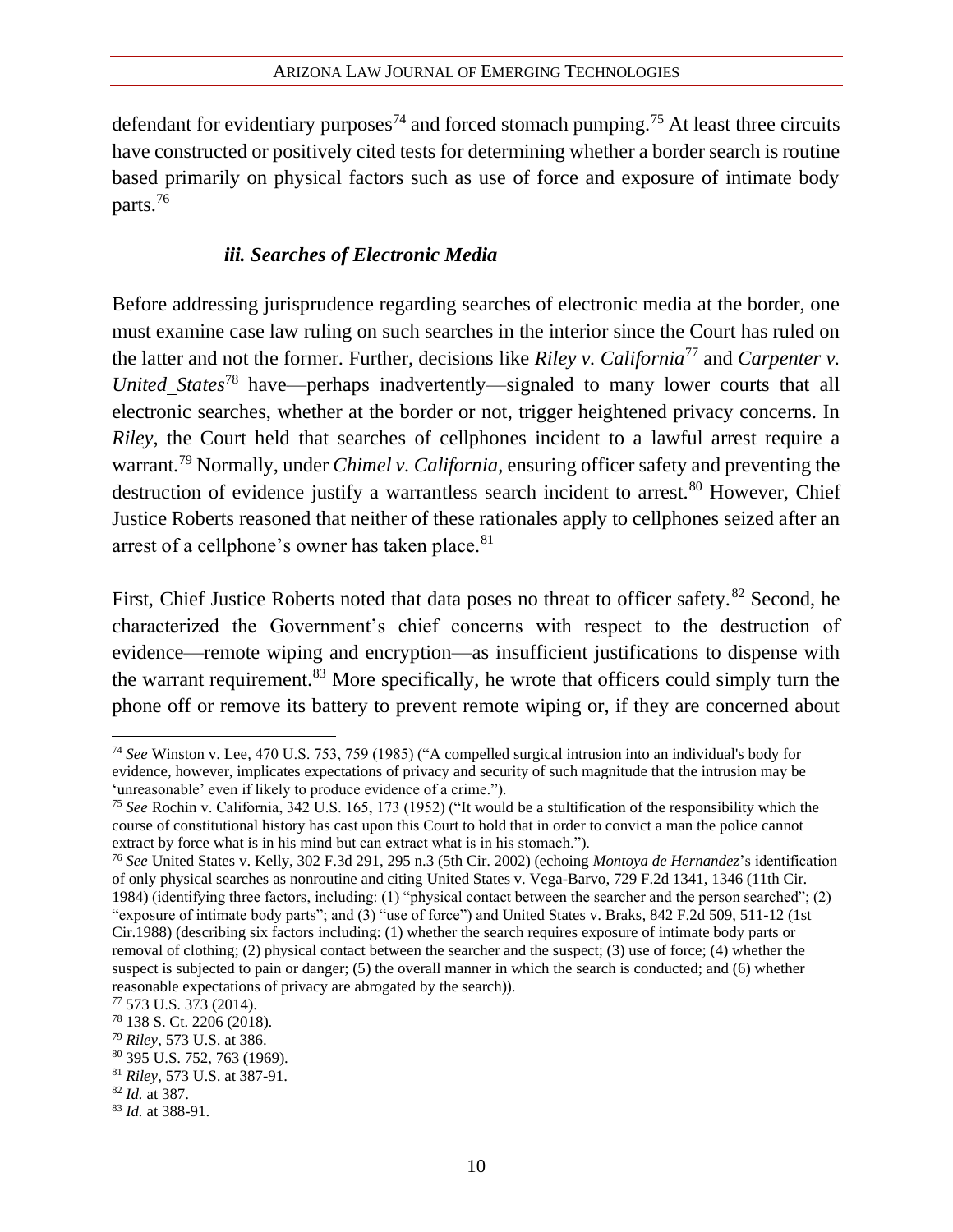defendant for evidentiary purposes<sup>74</sup> and forced stomach pumping.<sup>75</sup> At least three circuits have constructed or positively cited tests for determining whether a border search is routine based primarily on physical factors such as use of force and exposure of intimate body parts.<sup>76</sup>

### *iii. Searches of Electronic Media*

Before addressing jurisprudence regarding searches of electronic media at the border, one must examine case law ruling on such searches in the interior since the Court has ruled on the latter and not the former. Further, decisions like *Riley v. California*<sup>77</sup> and *Carpenter v. United States*<sup>78</sup> have—perhaps inadvertently—signaled to many lower courts that all electronic searches, whether at the border or not, trigger heightened privacy concerns. In *Riley*, the Court held that searches of cellphones incident to a lawful arrest require a warrant.<sup>79</sup> Normally, under *Chimel v. California*, ensuring officer safety and preventing the destruction of evidence justify a warrantless search incident to arrest.<sup>80</sup> However, Chief Justice Roberts reasoned that neither of these rationales apply to cellphones seized after an arrest of a cellphone's owner has taken place.<sup>81</sup>

First, Chief Justice Roberts noted that data poses no threat to officer safety.<sup>82</sup> Second, he characterized the Government's chief concerns with respect to the destruction of evidence—remote wiping and encryption—as insufficient justifications to dispense with the warrant requirement.<sup>83</sup> More specifically, he wrote that officers could simply turn the phone off or remove its battery to prevent remote wiping or, if they are concerned about

<sup>74</sup> *See* Winston v. Lee*,* 470 U.S. 753, 759 (1985) ("A compelled surgical intrusion into an individual's body for evidence, however, implicates expectations of privacy and security of such magnitude that the intrusion may be 'unreasonable' even if likely to produce evidence of a crime.").

<sup>75</sup> *See* Rochin v. California, 342 U.S. 165, 173 (1952) ("It would be a stultification of the responsibility which the course of constitutional history has cast upon this Court to hold that in order to convict a man the police cannot extract by force what is in his mind but can extract what is in his stomach.").

<sup>76</sup> *See* United States v. Kelly, 302 F.3d 291, 295 n.3 (5th Cir. 2002) (echoing *Montoya de Hernandez*'s identification of only physical searches as nonroutine and citing United States v. Vega-Barvo*,* 729 F.2d 1341, 1346 (11th Cir. 1984) (identifying three factors, including: (1) "physical contact between the searcher and the person searched"; (2) "exposure of intimate body parts"; and (3) "use of force") and United States v. Braks*,* 842 F.2d 509, 511-12 (1st Cir.1988) (describing six factors including: (1) whether the search requires exposure of intimate body parts or removal of clothing; (2) physical contact between the searcher and the suspect; (3) use of force; (4) whether the suspect is subjected to pain or danger; (5) the overall manner in which the search is conducted; and (6) whether reasonable expectations of privacy are abrogated by the search)).

<sup>77</sup> 573 U.S. 373 (2014).

<sup>78</sup> 138 S. Ct. 2206 (2018).

<sup>79</sup> *Riley*, 573 U.S. at 386.

<sup>80</sup> 395 U.S. 752, 763 (1969).

<sup>81</sup> *Riley*, 573 U.S. at 387-91.

<sup>82</sup> *Id.* at 387.

<sup>83</sup> *Id.* at 388-91.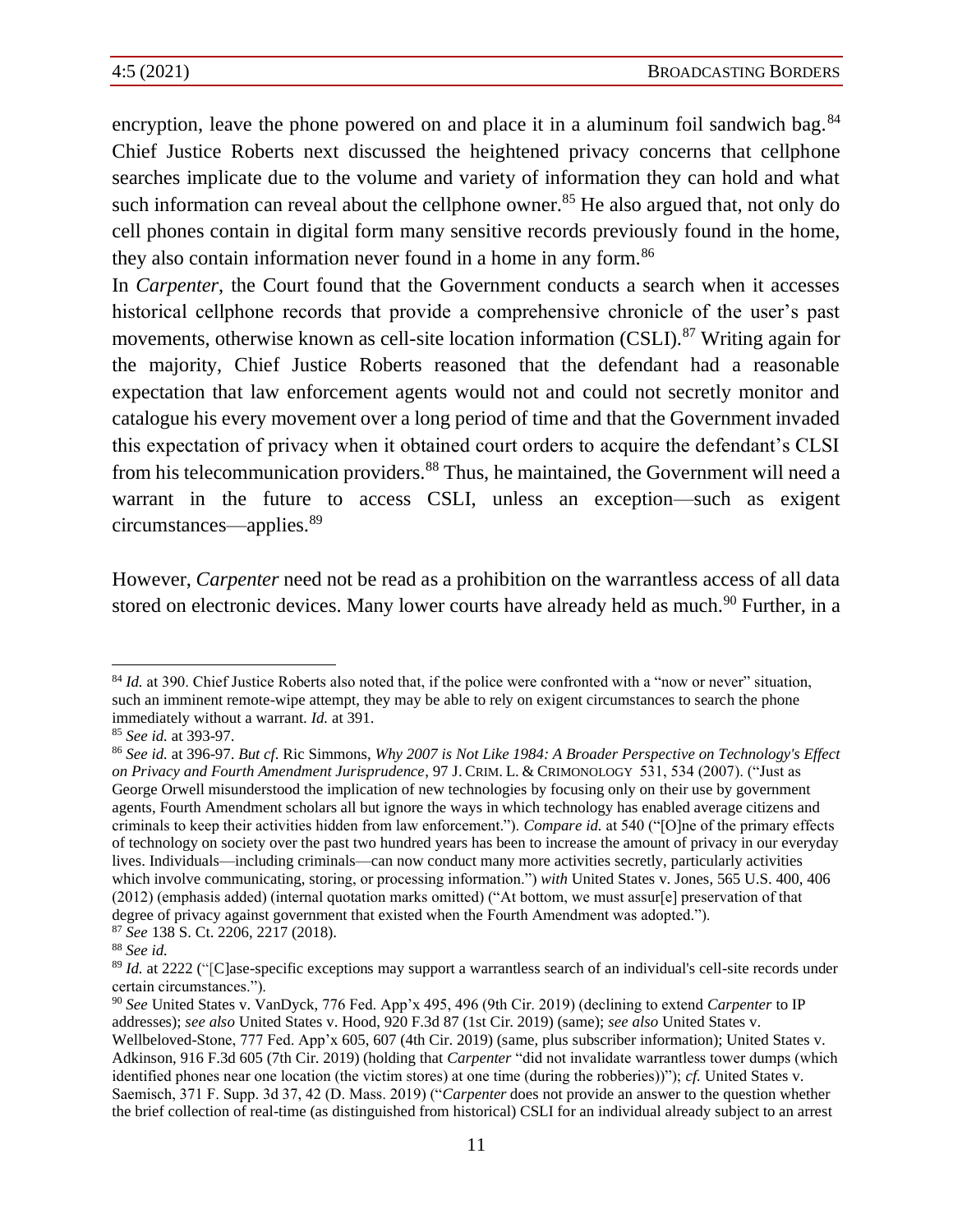encryption, leave the phone powered on and place it in a aluminum foil sandwich bag.<sup>84</sup> Chief Justice Roberts next discussed the heightened privacy concerns that cellphone searches implicate due to the volume and variety of information they can hold and what such information can reveal about the cellphone owner.<sup>85</sup> He also argued that, not only do cell phones contain in digital form many sensitive records previously found in the home, they also contain information never found in a home in any form.<sup>86</sup>

In *Carpenter*, the Court found that the Government conducts a search when it accesses historical cellphone records that provide a comprehensive chronicle of the user's past movements, otherwise known as cell-site location information (CSLI).<sup>87</sup> Writing again for the majority, Chief Justice Roberts reasoned that the defendant had a reasonable expectation that law enforcement agents would not and could not secretly monitor and catalogue his every movement over a long period of time and that the Government invaded this expectation of privacy when it obtained court orders to acquire the defendant's CLSI from his telecommunication providers.<sup>88</sup> Thus, he maintained, the Government will need a warrant in the future to access CSLI, unless an exception—such as exigent circumstances—applies.<sup>89</sup>

However, *Carpenter* need not be read as a prohibition on the warrantless access of all data stored on electronic devices. Many lower courts have already held as much.<sup>90</sup> Further, in a

<sup>&</sup>lt;sup>84</sup> *Id.* at 390. Chief Justice Roberts also noted that, if the police were confronted with a "now or never" situation, such an imminent remote-wipe attempt, they may be able to rely on exigent circumstances to search the phone immediately without a warrant. *Id.* at 391.

<sup>85</sup> *See id.* at 393-97.

<sup>86</sup> *See id.* at 396-97. *But cf*. Ric Simmons, *Why 2007 is Not Like 1984: A Broader Perspective on Technology's Effect on Privacy and Fourth Amendment Jurisprudence*, 97 J. CRIM. L. & CRIMONOLOGY 531, 534 (2007). ("Just as George Orwell misunderstood the implication of new technologies by focusing only on their use by government agents, Fourth Amendment scholars all but ignore the ways in which technology has enabled average citizens and criminals to keep their activities hidden from law enforcement."). *Compare id.* at 540 ("[O]ne of the primary effects of technology on society over the past two hundred years has been to increase the amount of privacy in our everyday lives. Individuals—including criminals—can now conduct many more activities secretly, particularly activities which involve communicating, storing, or processing information.") *with* United States v. Jones, 565 U.S. 400, 406 (2012) (emphasis added) (internal quotation marks omitted) ("At bottom, we must assur[e] preservation of that degree of privacy against government that existed when the Fourth Amendment was adopted.").

<sup>87</sup> *See* 138 S. Ct. 2206, 2217 (2018).

<sup>88</sup> *See id.*

<sup>&</sup>lt;sup>89</sup> *Id.* at 2222 ("[C]ase-specific exceptions may support a warrantless search of an individual's cell-site records under certain circumstances.").

<sup>90</sup> *See* United States v. VanDyck, 776 Fed. App'x 495, 496 (9th Cir. 2019) (declining to extend *Carpenter* to IP addresses); *see also* United States v. Hood, 920 F.3d 87 (1st Cir. 2019) (same); *see also* United States v. Wellbeloved-Stone, 777 Fed. App'x 605, 607 (4th Cir. 2019) (same, plus subscriber information); United States v. Adkinson, 916 F.3d 605 (7th Cir. 2019) (holding that *Carpenter* "did not invalidate warrantless tower dumps (which identified phones near one location (the victim stores) at one time (during the robberies))"); *cf.* United States v. Saemisch, 371 F. Supp. 3d 37, 42 (D. Mass. 2019) ("*Carpenter* does not provide an answer to the question whether the brief collection of real-time (as distinguished from historical) CSLI for an individual already subject to an arrest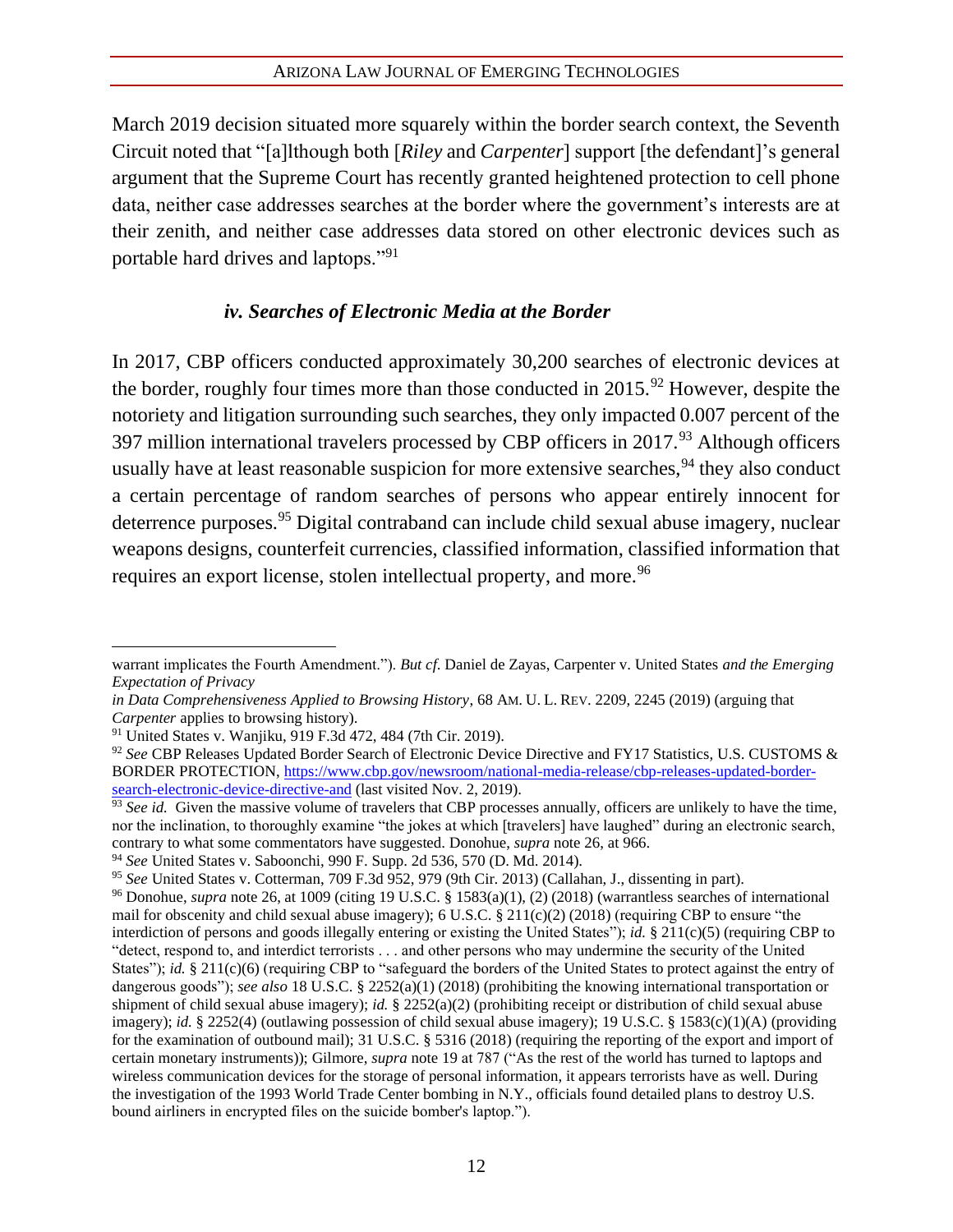March 2019 decision situated more squarely within the border search context, the Seventh Circuit noted that "[a]lthough both [*Riley* and *Carpenter*] support [the defendant]'s general argument that the Supreme Court has recently granted heightened protection to cell phone data, neither case addresses searches at the border where the government's interests are at their zenith, and neither case addresses data stored on other electronic devices such as portable hard drives and laptops."<sup>91</sup>

#### *iv. Searches of Electronic Media at the Border*

In 2017, CBP officers conducted approximately 30,200 searches of electronic devices at the border, roughly four times more than those conducted in  $2015.^{92}$  However, despite the notoriety and litigation surrounding such searches, they only impacted 0.007 percent of the 397 million international travelers processed by CBP officers in  $2017<sup>93</sup>$  Although officers usually have at least reasonable suspicion for more extensive searches,  $94$  they also conduct a certain percentage of random searches of persons who appear entirely innocent for deterrence purposes.<sup>95</sup> Digital contraband can include child sexual abuse imagery, nuclear weapons designs, counterfeit currencies, classified information, classified information that requires an export license, stolen intellectual property, and more.<sup>96</sup>

warrant implicates the Fourth Amendment."). *But cf*. Daniel de Zayas, Carpenter v. United States *and the Emerging Expectation of Privacy*

*in Data Comprehensiveness Applied to Browsing History*, 68 AM. U. L. REV. 2209, 2245 (2019) (arguing that *Carpenter* applies to browsing history).

<sup>91</sup> United States v. Wanjiku, 919 F.3d 472, 484 (7th Cir. 2019).

<sup>92</sup> *See* CBP Releases Updated Border Search of Electronic Device Directive and FY17 Statistics, U.S. CUSTOMS & BORDER PROTECTION, [https://www.cbp.gov/newsroom/national-media-release/cbp-releases-updated-border](https://www.cbp.gov/newsroom/national-media-release/cbp-releases-updated-border-search-electronic-device-directive-and)[search-electronic-device-directive-and](https://www.cbp.gov/newsroom/national-media-release/cbp-releases-updated-border-search-electronic-device-directive-and) (last visited Nov. 2, 2019).

<sup>&</sup>lt;sup>93</sup> See id. Given the massive volume of travelers that CBP processes annually, officers are unlikely to have the time, nor the inclination, to thoroughly examine "the jokes at which [travelers] have laughed" during an electronic search, contrary to what some commentators have suggested. Donohue, *supra* note 26, at 966.

<sup>94</sup> *See* United States v. Saboonchi, 990 F. Supp. 2d 536, 570 (D. Md. 2014).

<sup>95</sup> *See* United States v. Cotterman, 709 F.3d 952, 979 (9th Cir. 2013) (Callahan, J., dissenting in part).

<sup>96</sup> Donohue, *supra* note 26, at 1009 (citing 19 U.S.C. § 1583(a)(1), (2) (2018) (warrantless searches of international mail for obscenity and child sexual abuse imagery); 6 U.S.C.  $\S 211(c)(2)$  (2018) (requiring CBP to ensure "the interdiction of persons and goods illegally entering or existing the United States"); *id.* § 211(c)(5) (requiring CBP to "detect, respond to, and interdict terrorists . . . and other persons who may undermine the security of the United States"); *id.* § 211(c)(6) (requiring CBP to "safeguard the borders of the United States to protect against the entry of dangerous goods"); *see also* 18 U.S.C. § 2252(a)(1) (2018) (prohibiting the knowing international transportation or shipment of child sexual abuse imagery); *id.* § 2252(a)(2) (prohibiting receipt or distribution of child sexual abuse imagery); *id.* § 2252(4) (outlawing possession of child sexual abuse imagery); 19 U.S.C. § 1583(c)(1)(A) (providing for the examination of outbound mail); 31 U.S.C. § 5316 (2018) (requiring the reporting of the export and import of certain monetary instruments)); Gilmore, *supra* note [19](#page-5-0) at 787 ("As the rest of the world has turned to laptops and wireless communication devices for the storage of personal information, it appears terrorists have as well. During the investigation of the 1993 World Trade Center bombing in N.Y., officials found detailed plans to destroy U.S. bound airliners in encrypted files on the suicide bomber's laptop.").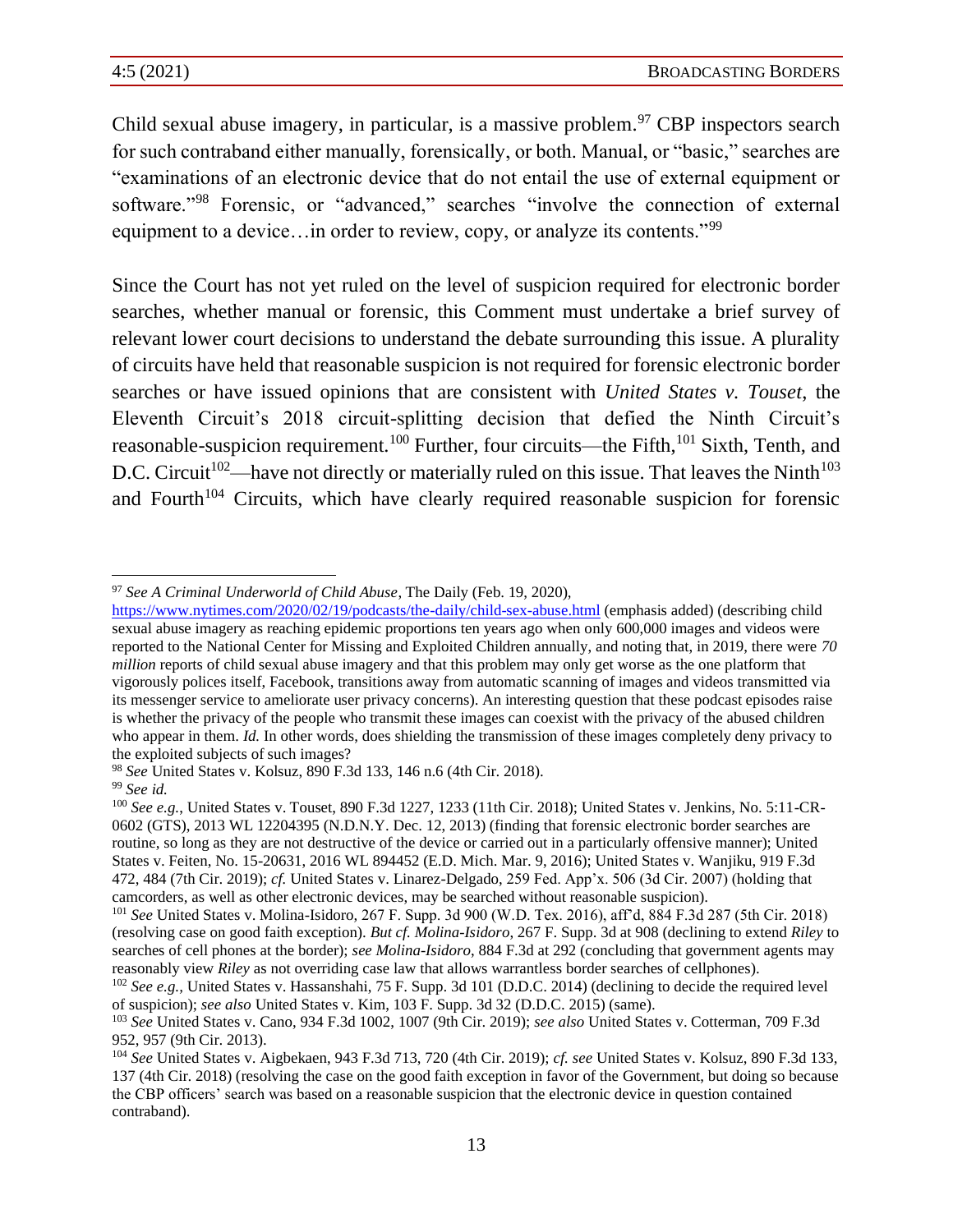Child sexual abuse imagery, in particular, is a massive problem.<sup>97</sup> CBP inspectors search for such contraband either manually, forensically, or both. Manual, or "basic," searches are "examinations of an electronic device that do not entail the use of external equipment or software."<sup>98</sup> Forensic, or "advanced," searches "involve the connection of external equipment to a device...in order to review, copy, or analyze its contents."<sup>99</sup>

Since the Court has not yet ruled on the level of suspicion required for electronic border searches, whether manual or forensic, this Comment must undertake a brief survey of relevant lower court decisions to understand the debate surrounding this issue. A plurality of circuits have held that reasonable suspicion is not required for forensic electronic border searches or have issued opinions that are consistent with *United States v. Touset*, the Eleventh Circuit's 2018 circuit-splitting decision that defied the Ninth Circuit's reasonable-suspicion requirement.<sup>100</sup> Further, four circuits—the Fifth,<sup>101</sup> Sixth, Tenth, and D.C. Circuit<sup>102</sup>—have not directly or materially ruled on this issue. That leaves the Ninth<sup>103</sup> and Fourth<sup> $104$ </sup> Circuits, which have clearly required reasonable suspicion for forensic

<sup>97</sup> *See A Criminal Underworld of Child Abuse*, The Daily (Feb. 19, 2020),

<https://www.nytimes.com/2020/02/19/podcasts/the-daily/child-sex-abuse.html> (emphasis added) (describing child sexual abuse imagery as reaching epidemic proportions ten years ago when only 600,000 images and videos were reported to the National Center for Missing and Exploited Children annually, and noting that, in 2019, there were *70 million* reports of child sexual abuse imagery and that this problem may only get worse as the one platform that vigorously polices itself, Facebook, transitions away from automatic scanning of images and videos transmitted via its messenger service to ameliorate user privacy concerns). An interesting question that these podcast episodes raise is whether the privacy of the people who transmit these images can coexist with the privacy of the abused children who appear in them. *Id.* In other words, does shielding the transmission of these images completely deny privacy to the exploited subjects of such images?

<sup>98</sup> *See* United States v. Kolsuz, 890 F.3d 133, 146 n.6 (4th Cir. 2018).

<sup>99</sup> *See id.*

<sup>100</sup> *See e.g.*, United States v. Touset, 890 F.3d 1227, 1233 (11th Cir. 2018); United States v. Jenkins, No. 5:11-CR-0602 (GTS), 2013 WL 12204395 (N.D.N.Y. Dec. 12, 2013) (finding that forensic electronic border searches are routine, so long as they are not destructive of the device or carried out in a particularly offensive manner); United States v. Feiten, No. 15-20631, 2016 WL 894452 (E.D. Mich. Mar. 9, 2016); United States v. Wanjiku, 919 F.3d 472, 484 (7th Cir. 2019); *cf.* United States v. Linarez-Delgado, 259 Fed. App'x. 506 (3d Cir. 2007) (holding that camcorders, as well as other electronic devices, may be searched without reasonable suspicion).

<sup>101</sup> *See* United States v. Molina-Isidoro, 267 F. Supp. 3d 900 (W.D. Tex. 2016), aff'd, 884 F.3d 287 (5th Cir. 2018) (resolving case on good faith exception). *But cf. Molina-Isidoro*, 267 F. Supp. 3d at 908 (declining to extend *Riley* to searches of cell phones at the border); *see Molina-Isidoro*, 884 F.3d at 292 (concluding that government agents may reasonably view *Riley* as not overriding case law that allows warrantless border searches of cellphones).

<sup>102</sup> *See e.g.,* United States v. Hassanshahi, 75 F. Supp. 3d 101 (D.D.C. 2014) (declining to decide the required level of suspicion); *see also* United States v. Kim, 103 F. Supp. 3d 32 (D.D.C. 2015) (same).

<sup>103</sup> *See* United States v. Cano, 934 F.3d 1002, 1007 (9th Cir. 2019); *see also* United States v. Cotterman, 709 F.3d 952, 957 (9th Cir. 2013).

<sup>104</sup> *See* United States v. Aigbekaen, 943 F.3d 713, 720 (4th Cir. 2019); *cf. see* United States v. Kolsuz, 890 F.3d 133, 137 (4th Cir. 2018) (resolving the case on the good faith exception in favor of the Government, but doing so because the CBP officers' search was based on a reasonable suspicion that the electronic device in question contained contraband).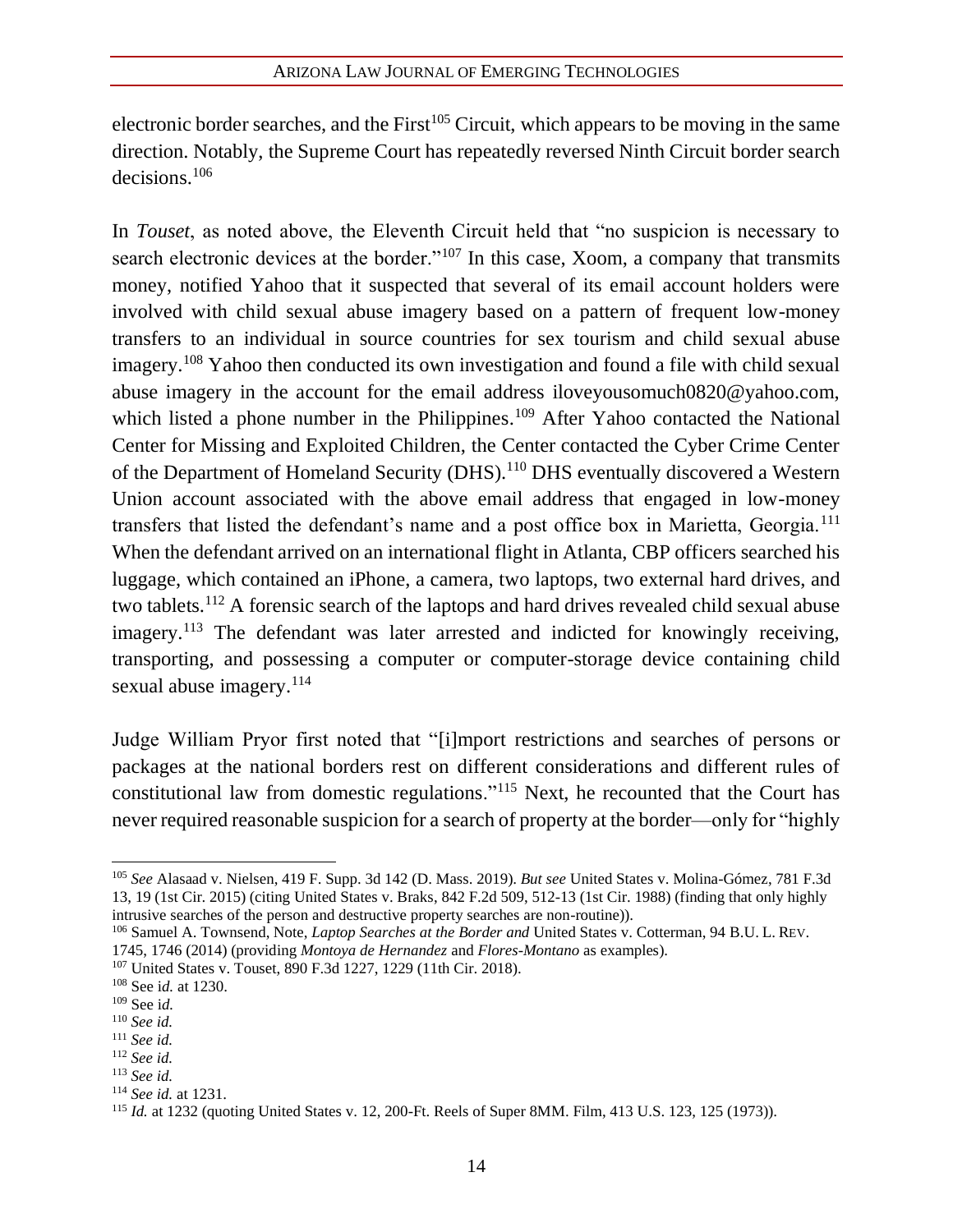electronic border searches, and the First<sup>105</sup> Circuit, which appears to be moving in the same direction. Notably, the Supreme Court has repeatedly reversed Ninth Circuit border search decisions.<sup>106</sup>

In *Touset*, as noted above, the Eleventh Circuit held that "no suspicion is necessary to search electronic devices at the border."<sup>107</sup> In this case, Xoom, a company that transmits money, notified Yahoo that it suspected that several of its email account holders were involved with child sexual abuse imagery based on a pattern of frequent low-money transfers to an individual in source countries for sex tourism and child sexual abuse imagery.<sup>108</sup> Yahoo then conducted its own investigation and found a file with child sexual abuse imagery in the account for the email address iloveyousomuch0820@yahoo.com, which listed a phone number in the Philippines.<sup>109</sup> After Yahoo contacted the National Center for Missing and Exploited Children, the Center contacted the Cyber Crime Center of the Department of Homeland Security (DHS).<sup>110</sup> DHS eventually discovered a Western Union account associated with the above email address that engaged in low-money transfers that listed the defendant's name and a post office box in Marietta, Georgia.<sup>111</sup> When the defendant arrived on an international flight in Atlanta, CBP officers searched his luggage, which contained an iPhone, a camera, two laptops, two external hard drives, and two tablets.<sup>112</sup> A forensic search of the laptops and hard drives revealed child sexual abuse imagery.<sup>113</sup> The defendant was later arrested and indicted for knowingly receiving, transporting, and possessing a computer or computer-storage device containing child sexual abuse imagery.<sup>114</sup>

Judge William Pryor first noted that "[i]mport restrictions and searches of persons or packages at the national borders rest on different considerations and different rules of constitutional law from domestic regulations."<sup>115</sup> Next, he recounted that the Court has never required reasonable suspicion for a search of property at the border—only for "highly

<sup>105</sup> *See* Alasaad v. Nielsen, 419 F. Supp. 3d 142 (D. Mass. 2019). *But see* United States v. Molina-Gómez, 781 F.3d 13, 19 (1st Cir. 2015) (citing United States v. Braks, 842 F.2d 509, 512-13 (1st Cir. 1988) (finding that only highly intrusive searches of the person and destructive property searches are non-routine)).

<sup>106</sup> Samuel A. Townsend, Note, *Laptop Searches at the Border and* United States v. Cotterman, 94 B.U. L. REV.

<sup>1745, 1746 (2014) (</sup>providing *Montoya de Hernandez* and *Flores-Montano* as examples).

<sup>107</sup> United States v. Touset, 890 F.3d 1227, 1229 (11th Cir. 2018).

<sup>108</sup> See i*d.* at 1230.

<sup>109</sup> See i*d.*

<sup>110</sup> *See id.*

<sup>111</sup> *See id.*

<sup>112</sup> *See id.*

<sup>113</sup> *See id.*

<sup>114</sup> *See id.* at 1231.

<sup>115</sup> *Id.* at 1232 (quoting United States v. 12, 200-Ft. Reels of Super 8MM. Film, 413 U.S. 123, 125 (1973)).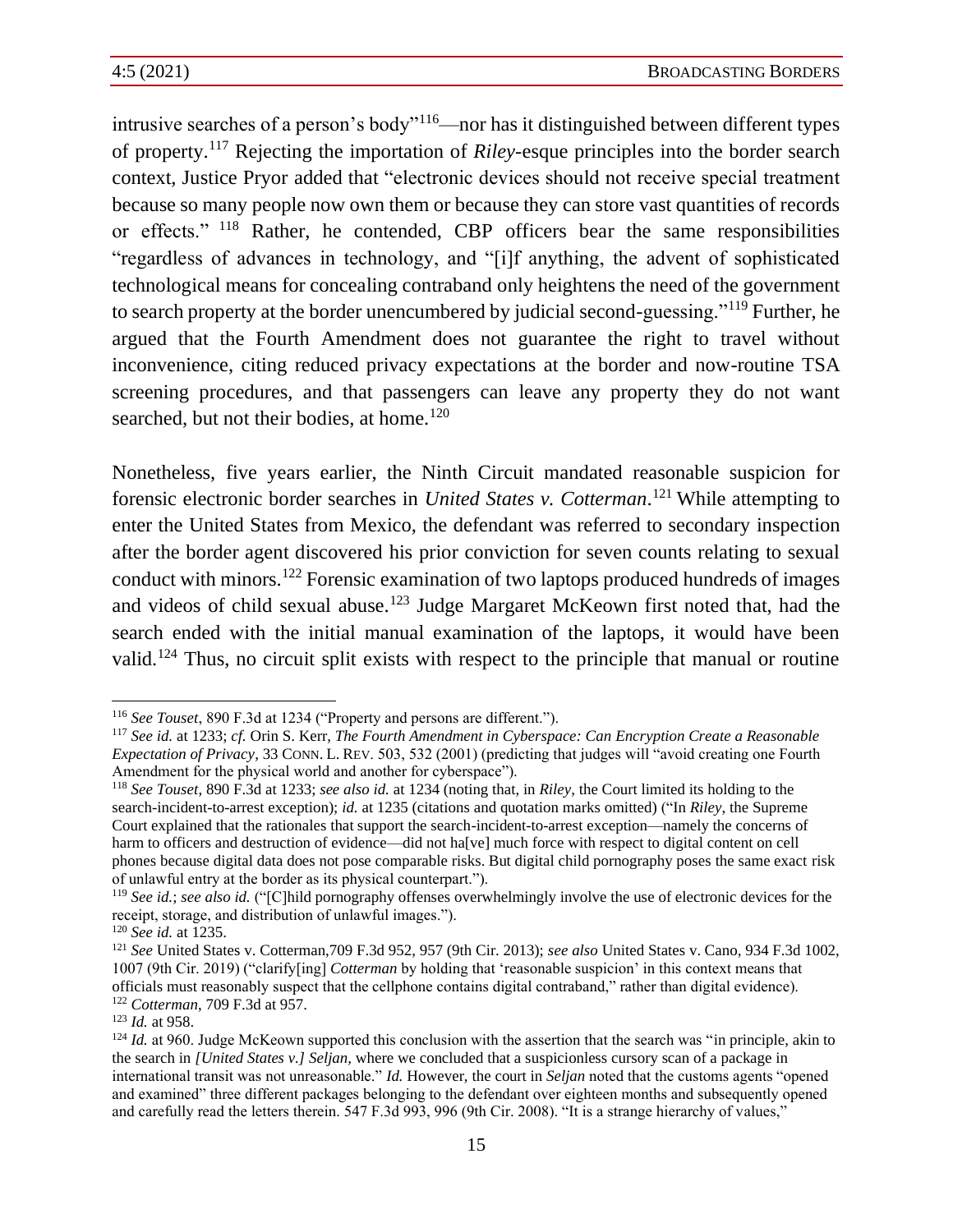intrusive searches of a person's body"<sup>116</sup>—nor has it distinguished between different types of property.<sup>117</sup> Rejecting the importation of *Riley*-esque principles into the border search context, Justice Pryor added that "electronic devices should not receive special treatment because so many people now own them or because they can store vast quantities of records or effects." <sup>118</sup> Rather, he contended, CBP officers bear the same responsibilities "regardless of advances in technology, and "[i]f anything, the advent of sophisticated technological means for concealing contraband only heightens the need of the government to search property at the border unencumbered by judicial second-guessing."<sup>119</sup> Further, he argued that the Fourth Amendment does not guarantee the right to travel without inconvenience, citing reduced privacy expectations at the border and now-routine TSA screening procedures, and that passengers can leave any property they do not want searched, but not their bodies, at home.<sup>120</sup>

Nonetheless, five years earlier, the Ninth Circuit mandated reasonable suspicion for forensic electronic border searches in *United States v. Cotterman*. <sup>121</sup> While attempting to enter the United States from Mexico, the defendant was referred to secondary inspection after the border agent discovered his prior conviction for seven counts relating to sexual conduct with minors.<sup>122</sup> Forensic examination of two laptops produced hundreds of images and videos of child sexual abuse.<sup>123</sup> Judge Margaret McKeown first noted that, had the search ended with the initial manual examination of the laptops, it would have been valid.<sup>124</sup> Thus, no circuit split exists with respect to the principle that manual or routine

<sup>116</sup> *See Touset*, 890 F.3d at 1234 ("Property and persons are different.").

<sup>117</sup> *See id.* at 1233; *cf.* Orin S. Kerr, *The Fourth Amendment in Cyberspace: Can Encryption Create a Reasonable Expectation of Privacy*, 33 CONN. L. REV. 503, 532 (2001) (predicting that judges will "avoid creating one Fourth Amendment for the physical world and another for cyberspace").

<sup>118</sup> *See Touset*, 890 F.3d at 1233; *see also id.* at 1234 (noting that, in *Riley*, the Court limited its holding to the search-incident-to-arrest exception); *id.* at 1235 (citations and quotation marks omitted) ("In *Riley*, the Supreme Court explained that the rationales that support the search-incident-to-arrest exception—namely the concerns of harm to officers and destruction of evidence—did not ha[ve] much force with respect to digital content on cell phones because digital data does not pose comparable risks. But digital child pornography poses the same exact risk of unlawful entry at the border as its physical counterpart.").

<sup>119</sup> *See id.*; *see also id.* ("[C]hild pornography offenses overwhelmingly involve the use of electronic devices for the receipt, storage, and distribution of unlawful images.").

<sup>120</sup> *See id.* at 1235.

<sup>121</sup> *See* United States v. Cotterman,709 F.3d 952, 957 (9th Cir. 2013); *see also* United States v. Cano, 934 F.3d 1002, 1007 (9th Cir. 2019) ("clarify[ing] *Cotterman* by holding that 'reasonable suspicion' in this context means that officials must reasonably suspect that the cellphone contains digital contraband," rather than digital evidence). <sup>122</sup> *Cotterman*, 709 F.3d at 957.

<sup>123</sup> *Id.* at 958.

 $124$  *Id.* at 960. Judge McKeown supported this conclusion with the assertion that the search was "in principle, akin to the search in *[United States v.] Seljan,* where we concluded that a suspicionless cursory scan of a package in international transit was not unreasonable." *Id.* However, the court in *Seljan* noted that the customs agents "opened and examined" three different packages belonging to the defendant over eighteen months and subsequently opened and carefully read the letters therein. 547 F.3d 993, 996 (9th Cir. 2008). "It is a strange hierarchy of values,"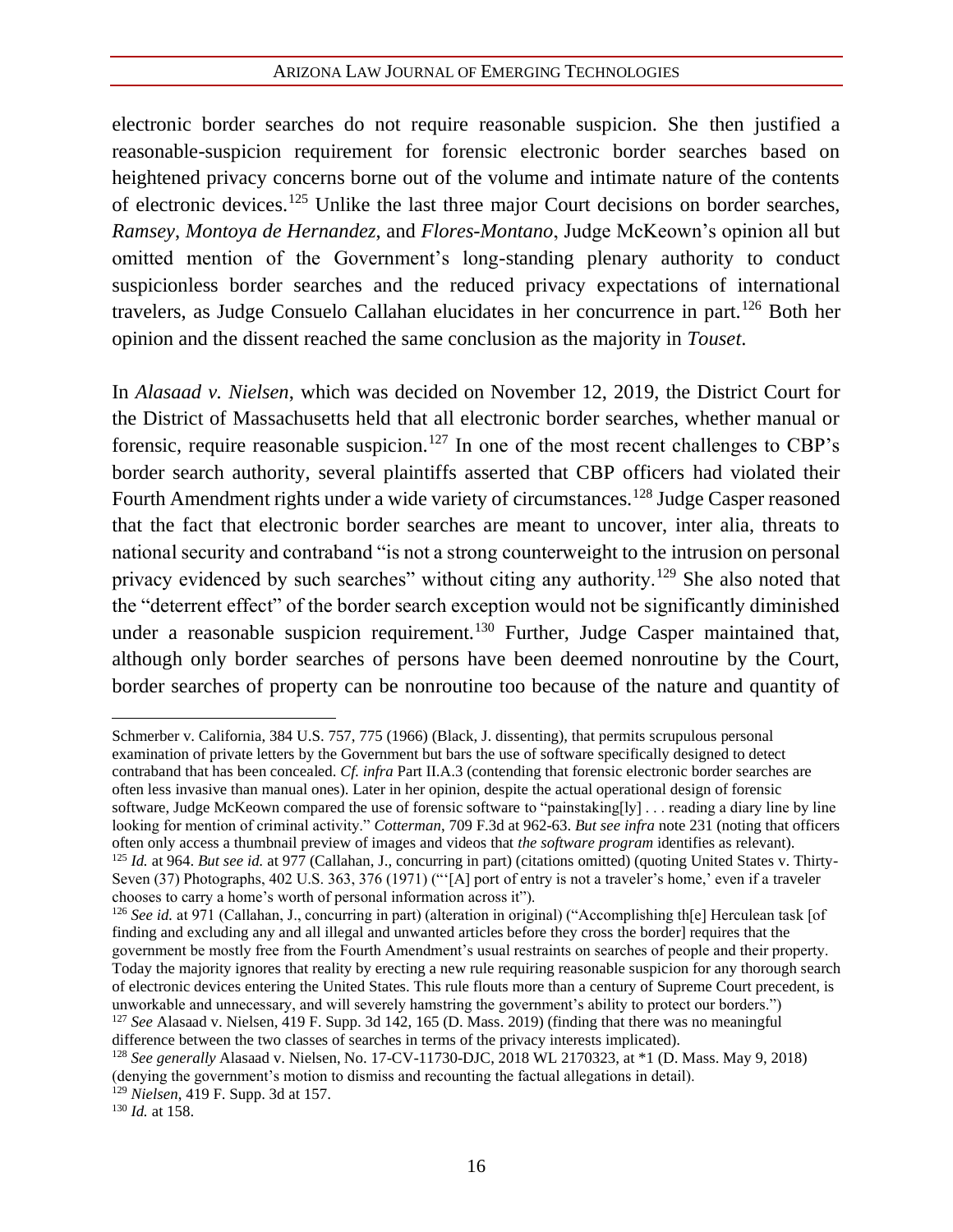electronic border searches do not require reasonable suspicion. She then justified a reasonable-suspicion requirement for forensic electronic border searches based on heightened privacy concerns borne out of the volume and intimate nature of the contents of electronic devices.<sup>125</sup> Unlike the last three major Court decisions on border searches, *Ramsey*, *Montoya de Hernandez*, and *Flores-Montano*, Judge McKeown's opinion all but omitted mention of the Government's long-standing plenary authority to conduct suspicionless border searches and the reduced privacy expectations of international travelers, as Judge Consuelo Callahan elucidates in her concurrence in part.<sup>126</sup> Both her opinion and the dissent reached the same conclusion as the majority in *Touset*.

In *Alasaad v. Nielsen*, which was decided on November 12, 2019, the District Court for the District of Massachusetts held that all electronic border searches, whether manual or forensic, require reasonable suspicion.<sup>127</sup> In one of the most recent challenges to CBP's border search authority, several plaintiffs asserted that CBP officers had violated their Fourth Amendment rights under a wide variety of circumstances.<sup>128</sup> Judge Casper reasoned that the fact that electronic border searches are meant to uncover, inter alia, threats to national security and contraband "is not a strong counterweight to the intrusion on personal privacy evidenced by such searches" without citing any authority.<sup>129</sup> She also noted that the "deterrent effect" of the border search exception would not be significantly diminished under a reasonable suspicion requirement.<sup>130</sup> Further, Judge Casper maintained that, although only border searches of persons have been deemed nonroutine by the Court, border searches of property can be nonroutine too because of the nature and quantity of

Schmerber v. California, 384 U.S. 757, 775 (1966) (Black, J. dissenting), that permits scrupulous personal examination of private letters by the Government but bars the use of software specifically designed to detect contraband that has been concealed. *Cf. infra* Part II.A.3 (contending that forensic electronic border searches are often less invasive than manual ones). Later in her opinion, despite the actual operational design of forensic software, Judge McKeown compared the use of forensic software to "painstaking[ly] . . . reading a diary line by line looking for mention of criminal activity." *Cotterman*, 709 F.3d at 962-63. *But see infra* note 231 (noting that officers often only access a thumbnail preview of images and videos that *the software program* identifies as relevant). <sup>125</sup> *Id.* at 964. *But see id.* at 977 (Callahan, J., concurring in part) (citations omitted) (quoting United States v. Thirty-Seven (37) Photographs, 402 U.S. 363, 376 (1971) ("'[A] port of entry is not a traveler's home,' even if a traveler chooses to carry a home's worth of personal information across it").

<sup>126</sup> *See id.* at 971 (Callahan, J., concurring in part) (alteration in original) ("Accomplishing th[e] Herculean task [of finding and excluding any and all illegal and unwanted articles before they cross the border] requires that the government be mostly free from the Fourth Amendment's usual restraints on searches of people and their property. Today the majority ignores that reality by erecting a new rule requiring reasonable suspicion for any thorough search of electronic devices entering the United States. This rule flouts more than a century of Supreme Court precedent, is unworkable and unnecessary, and will severely hamstring the government's ability to protect our borders.") <sup>127</sup> *See* Alasaad v. Nielsen, 419 F. Supp. 3d 142, 165 (D. Mass. 2019) (finding that there was no meaningful difference between the two classes of searches in terms of the privacy interests implicated).

<sup>128</sup> *See generally* Alasaad v. Nielsen, No. 17-CV-11730-DJC, 2018 WL 2170323, at \*1 (D. Mass. May 9, 2018) (denying the government's motion to dismiss and recounting the factual allegations in detail).

<sup>129</sup> *Nielsen*, 419 F. Supp. 3d at 157.

<sup>130</sup> *Id.* at 158.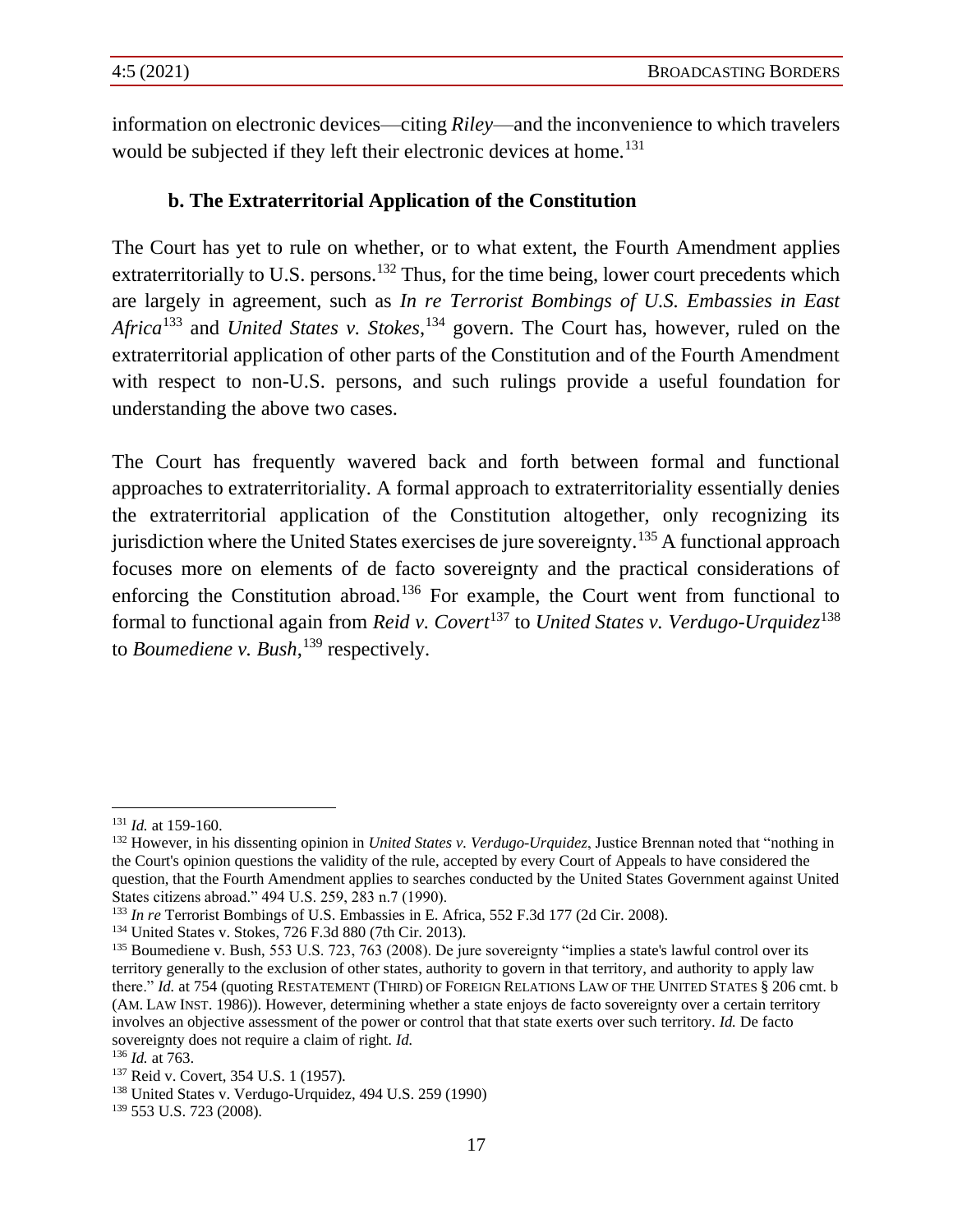information on electronic devices—citing *Riley*—and the inconvenience to which travelers would be subjected if they left their electronic devices at home.<sup>131</sup>

#### **b. The Extraterritorial Application of the Constitution**

The Court has yet to rule on whether, or to what extent, the Fourth Amendment applies extraterritorially to U.S. persons.<sup>132</sup> Thus, for the time being, lower court precedents which are largely in agreement, such as *In re Terrorist Bombings of U.S. Embassies in East*  Africa<sup>133</sup> and *United States v. Stokes*,<sup>134</sup> govern. The Court has, however, ruled on the extraterritorial application of other parts of the Constitution and of the Fourth Amendment with respect to non-U.S. persons, and such rulings provide a useful foundation for understanding the above two cases.

The Court has frequently wavered back and forth between formal and functional approaches to extraterritoriality. A formal approach to extraterritoriality essentially denies the extraterritorial application of the Constitution altogether, only recognizing its jurisdiction where the United States exercises de jure sovereignty.<sup>135</sup> A functional approach focuses more on elements of de facto sovereignty and the practical considerations of enforcing the Constitution abroad.<sup>136</sup> For example, the Court went from functional to formal to functional again from *Reid v. Covert*<sup>137</sup> to *United States v. Verdugo-Urquidez*<sup>138</sup> to *Boumediene v. Bush*, <sup>139</sup> respectively.

<sup>131</sup> *Id.* at 159-160.

<sup>132</sup> However, in his dissenting opinion in *United States v. Verdugo-Urquidez*, Justice Brennan noted that "nothing in the Court's opinion questions the validity of the rule, accepted by every Court of Appeals to have considered the question, that the Fourth Amendment applies to searches conducted by the United States Government against United States citizens abroad." 494 U.S. 259, 283 n.7 (1990).

<sup>133</sup> *In re* Terrorist Bombings of U.S. Embassies in E. Africa, 552 F.3d 177 (2d Cir. 2008).

<sup>134</sup> United States v. Stokes, 726 F.3d 880 (7th Cir. 2013).

<sup>&</sup>lt;sup>135</sup> Boumediene v. Bush, 553 U.S. 723, 763 (2008). De jure sovereignty "implies a state's lawful control over its territory generally to the exclusion of other states, authority to govern in that territory, and authority to apply law there." *Id.* at 754 (quoting RESTATEMENT (THIRD) OF FOREIGN RELATIONS LAW OF THE UNITED STATES § 206 cmt. b (AM. LAW INST. 1986)). However, determining whether a state enjoys de facto sovereignty over a certain territory involves an objective assessment of the power or control that that state exerts over such territory. *Id.* De facto sovereignty does not require a claim of right. *Id.*

<sup>136</sup> *Id.* at 763.

<sup>137</sup> Reid v. Covert, 354 U.S. 1 (1957).

<sup>138</sup> United States v. Verdugo-Urquidez, 494 U.S. 259 (1990)

<sup>139</sup> 553 U.S. 723 (2008).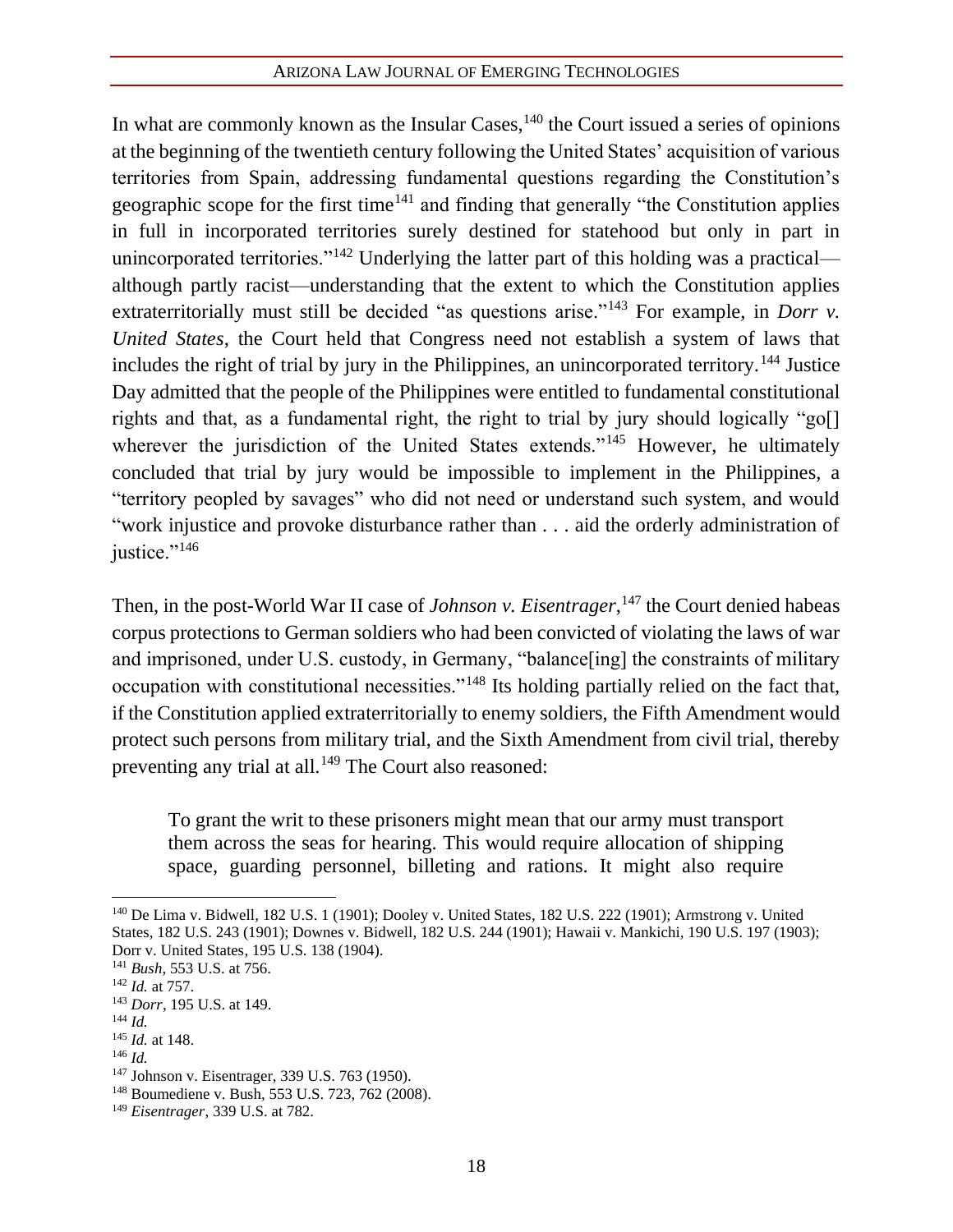In what are commonly known as the Insular Cases,  $140$  the Court issued a series of opinions at the beginning of the twentieth century following the United States' acquisition of various territories from Spain, addressing fundamental questions regarding the Constitution's geographic scope for the first time<sup>141</sup> and finding that generally "the Constitution applies in full in incorporated territories surely destined for statehood but only in part in unincorporated territories."<sup>142</sup> Underlying the latter part of this holding was a practical although partly racist—understanding that the extent to which the Constitution applies extraterritorially must still be decided "as questions arise."<sup>143</sup> For example, in *Dorr v. United States*, the Court held that Congress need not establish a system of laws that includes the right of trial by jury in the Philippines, an unincorporated territory.<sup>144</sup> Justice Day admitted that the people of the Philippines were entitled to fundamental constitutional rights and that, as a fundamental right, the right to trial by jury should logically "go[] wherever the jurisdiction of the United States extends."<sup>145</sup> However, he ultimately concluded that trial by jury would be impossible to implement in the Philippines, a "territory peopled by savages" who did not need or understand such system, and would "work injustice and provoke disturbance rather than . . . aid the orderly administration of justice."<sup>146</sup>

Then, in the post-World War II case of *Johnson v. Eisentrager*,<sup>147</sup> the Court denied habeas corpus protections to German soldiers who had been convicted of violating the laws of war and imprisoned, under U.S. custody, in Germany, "balance[ing] the constraints of military occupation with constitutional necessities."<sup>148</sup> Its holding partially relied on the fact that, if the Constitution applied extraterritorially to enemy soldiers, the Fifth Amendment would protect such persons from military trial, and the Sixth Amendment from civil trial, thereby preventing any trial at all.<sup>149</sup> The Court also reasoned:

To grant the writ to these prisoners might mean that our army must transport them across the seas for hearing. This would require allocation of shipping space, guarding personnel, billeting and rations. It might also require

<sup>141</sup> *Bush*, 553 U.S. at 756.

<sup>144</sup> *Id.*

<sup>146</sup> *Id.*

<sup>140</sup> De Lima v. Bidwell*,* 182 U.S. 1 (1901); Dooley v. United States*,* 182 U.S. 222 (1901); Armstrong v. United States*,* 182 U.S. 243 (1901); Downes v. Bidwell*,* 182 U.S. 244 (1901); Hawaii v. Mankichi*,* 190 U.S. 197 (1903); Dorr v. United States*,* 195 U.S. 138 (1904).

<sup>142</sup> *Id.* at 757.

<sup>143</sup> *Dorr*, 195 U.S. at 149.

<sup>145</sup> *Id.* at 148.

<sup>147</sup> Johnson v. Eisentrager, 339 U.S. 763 (1950).

<sup>148</sup> Boumediene v. Bush, 553 U.S. 723, 762 (2008).

<sup>149</sup> *Eisentrager*, 339 U.S. at 782.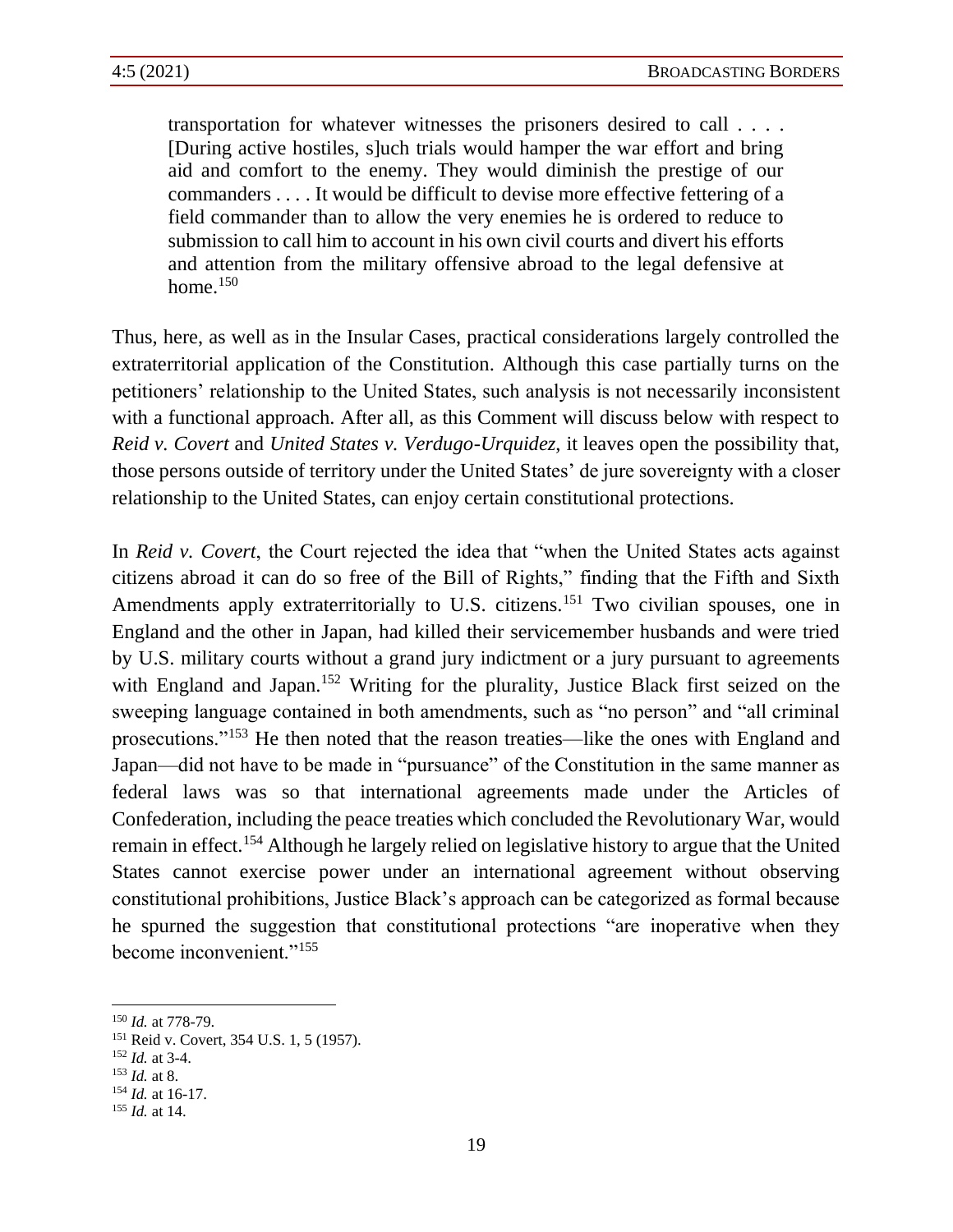transportation for whatever witnesses the prisoners desired to call . . . . [During active hostiles, s]uch trials would hamper the war effort and bring aid and comfort to the enemy. They would diminish the prestige of our commanders . . . . It would be difficult to devise more effective fettering of a field commander than to allow the very enemies he is ordered to reduce to submission to call him to account in his own civil courts and divert his efforts and attention from the military offensive abroad to the legal defensive at home. $150$ 

Thus, here, as well as in the Insular Cases, practical considerations largely controlled the extraterritorial application of the Constitution. Although this case partially turns on the petitioners' relationship to the United States, such analysis is not necessarily inconsistent with a functional approach. After all, as this Comment will discuss below with respect to *Reid v. Covert* and *United States v. Verdugo-Urquidez*, it leaves open the possibility that, those persons outside of territory under the United States' de jure sovereignty with a closer relationship to the United States, can enjoy certain constitutional protections.

In *Reid v. Covert*, the Court rejected the idea that "when the United States acts against citizens abroad it can do so free of the Bill of Rights," finding that the Fifth and Sixth Amendments apply extraterritorially to U.S. citizens.<sup>151</sup> Two civilian spouses, one in England and the other in Japan, had killed their servicemember husbands and were tried by U.S. military courts without a grand jury indictment or a jury pursuant to agreements with England and Japan.<sup>152</sup> Writing for the plurality, Justice Black first seized on the sweeping language contained in both amendments, such as "no person" and "all criminal prosecutions."<sup>153</sup> He then noted that the reason treaties—like the ones with England and Japan—did not have to be made in "pursuance" of the Constitution in the same manner as federal laws was so that international agreements made under the Articles of Confederation, including the peace treaties which concluded the Revolutionary War, would remain in effect.<sup>154</sup> Although he largely relied on legislative history to argue that the United States cannot exercise power under an international agreement without observing constitutional prohibitions, Justice Black's approach can be categorized as formal because he spurned the suggestion that constitutional protections "are inoperative when they become inconvenient."<sup>155</sup>

<sup>150</sup> *Id.* at 778-79.

<sup>151</sup> Reid v. Covert, 354 U.S. 1, 5 (1957).

<sup>152</sup> *Id.* at 3-4.

<sup>153</sup> *Id.* at 8.

<sup>154</sup> *Id.* at 16-17.

<sup>155</sup> *Id.* at 14.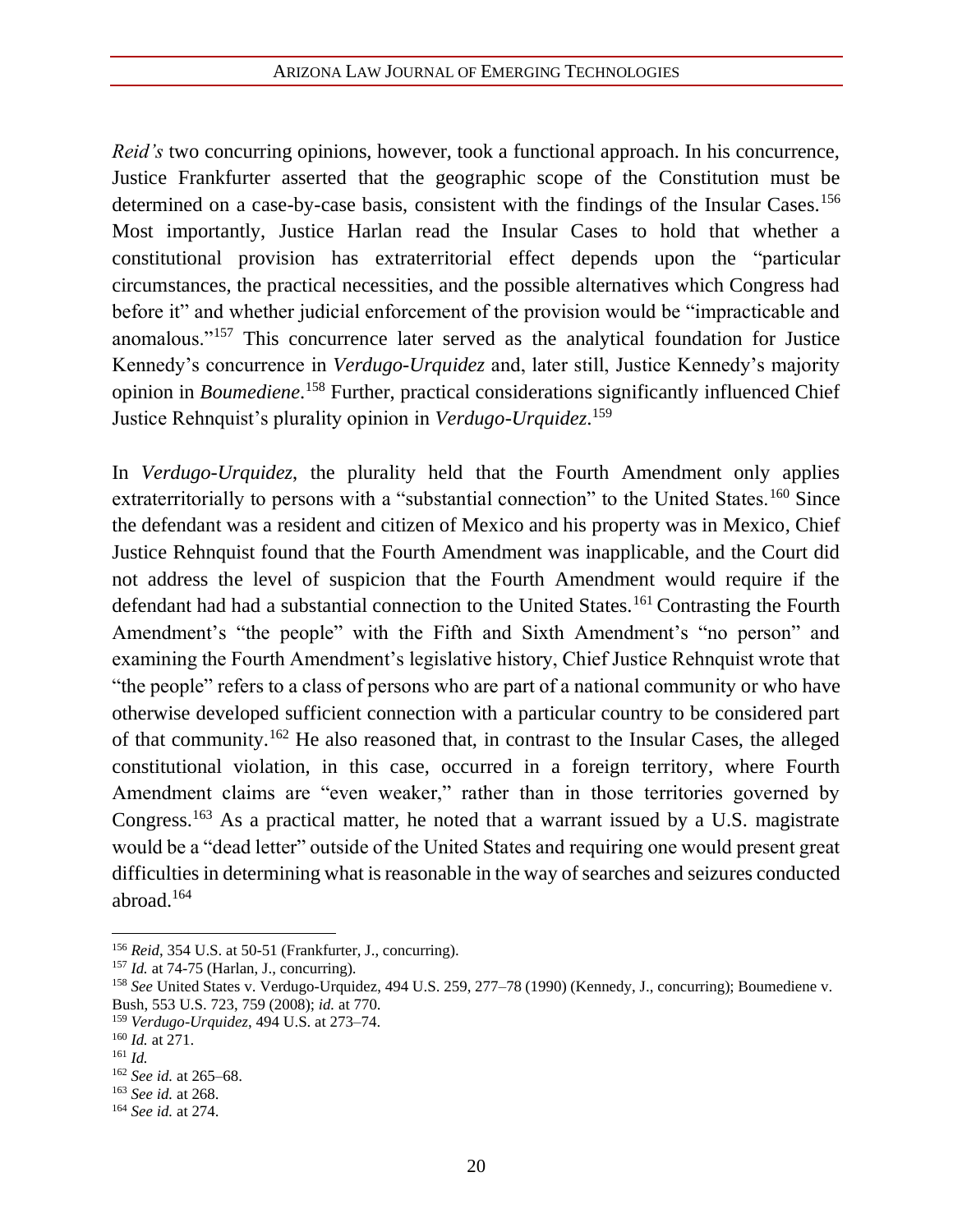*Reid's* two concurring opinions, however, took a functional approach. In his concurrence, Justice Frankfurter asserted that the geographic scope of the Constitution must be determined on a case-by-case basis, consistent with the findings of the Insular Cases.<sup>156</sup> Most importantly, Justice Harlan read the Insular Cases to hold that whether a constitutional provision has extraterritorial effect depends upon the "particular circumstances, the practical necessities, and the possible alternatives which Congress had before it" and whether judicial enforcement of the provision would be "impracticable and anomalous."<sup>157</sup> This concurrence later served as the analytical foundation for Justice Kennedy's concurrence in *Verdugo-Urquidez* and, later still, Justice Kennedy's majority opinion in *Boumediene*. <sup>158</sup> Further, practical considerations significantly influenced Chief Justice Rehnquist's plurality opinion in *Verdugo-Urquidez*. 159

In *Verdugo-Urquidez*, the plurality held that the Fourth Amendment only applies extraterritorially to persons with a "substantial connection" to the United States.<sup>160</sup> Since the defendant was a resident and citizen of Mexico and his property was in Mexico, Chief Justice Rehnquist found that the Fourth Amendment was inapplicable, and the Court did not address the level of suspicion that the Fourth Amendment would require if the defendant had had a substantial connection to the United States.<sup>161</sup> Contrasting the Fourth Amendment's "the people" with the Fifth and Sixth Amendment's "no person" and examining the Fourth Amendment's legislative history, Chief Justice Rehnquist wrote that "the people" refers to a class of persons who are part of a national community or who have otherwise developed sufficient connection with a particular country to be considered part of that community.<sup>162</sup> He also reasoned that, in contrast to the Insular Cases, the alleged constitutional violation, in this case, occurred in a foreign territory, where Fourth Amendment claims are "even weaker," rather than in those territories governed by Congress.<sup>163</sup> As a practical matter, he noted that a warrant issued by a U.S. magistrate would be a "dead letter" outside of the United States and requiring one would present great difficulties in determining what is reasonable in the way of searches and seizures conducted abroad.<sup>164</sup>

<sup>&</sup>lt;sup>156</sup> *Reid*, 354 U.S. at 50-51 (Frankfurter, J., concurring).

<sup>157</sup> *Id.* at 74-75 (Harlan, J., concurring).

<sup>158</sup> *See* United States v. Verdugo-Urquidez, 494 U.S. 259, 277–78 (1990) (Kennedy, J., concurring); Boumediene v. Bush, 553 U.S. 723, 759 (2008); *id.* at 770.

<sup>159</sup> *Verdugo-Urquidez*, 494 U.S. at 273–74.

<sup>160</sup> *Id.* at 271.

 $161$  *Id.* 

<sup>162</sup> *See id.* at 265–68.

<sup>163</sup> *See id.* at 268.

<sup>164</sup> *See id.* at 274.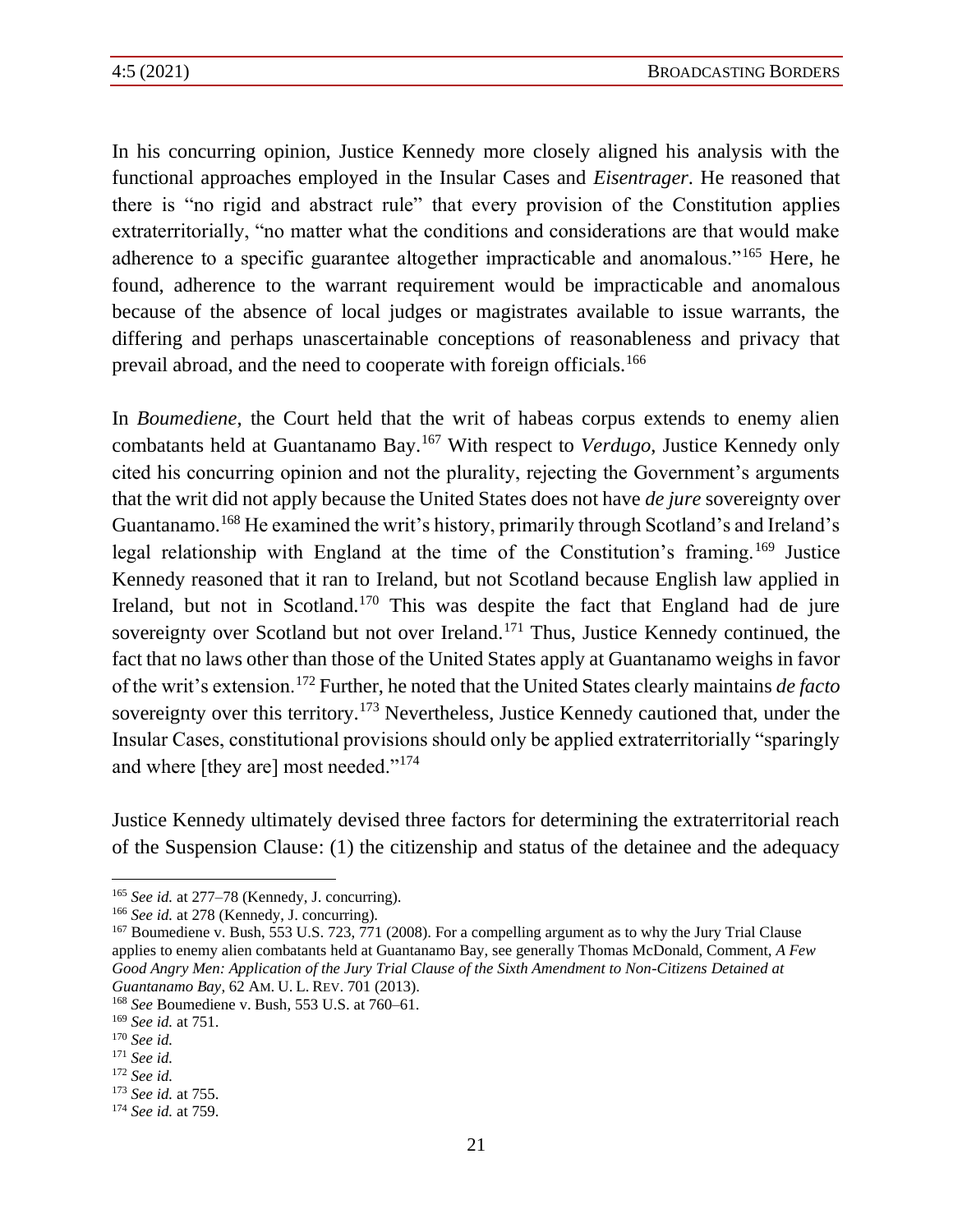In his concurring opinion, Justice Kennedy more closely aligned his analysis with the functional approaches employed in the Insular Cases and *Eisentrager*. He reasoned that there is "no rigid and abstract rule" that every provision of the Constitution applies extraterritorially, "no matter what the conditions and considerations are that would make adherence to a specific guarantee altogether impracticable and anomalous."<sup>165</sup> Here, he found, adherence to the warrant requirement would be impracticable and anomalous because of the absence of local judges or magistrates available to issue warrants, the differing and perhaps unascertainable conceptions of reasonableness and privacy that prevail abroad, and the need to cooperate with foreign officials.<sup>166</sup>

In *Boumediene*, the Court held that the writ of habeas corpus extends to enemy alien combatants held at Guantanamo Bay.<sup>167</sup> With respect to *Verdugo*, Justice Kennedy only cited his concurring opinion and not the plurality, rejecting the Government's arguments that the writ did not apply because the United States does not have *de jure* sovereignty over Guantanamo.<sup>168</sup> He examined the writ's history, primarily through Scotland's and Ireland's legal relationship with England at the time of the Constitution's framing.<sup>169</sup> Justice Kennedy reasoned that it ran to Ireland, but not Scotland because English law applied in Ireland, but not in Scotland.<sup>170</sup> This was despite the fact that England had de jure sovereignty over Scotland but not over Ireland.<sup>171</sup> Thus, Justice Kennedy continued, the fact that no laws other than those of the United States apply at Guantanamo weighs in favor of the writ's extension.<sup>172</sup> Further, he noted that the United States clearly maintains *de facto*  sovereignty over this territory.<sup>173</sup> Nevertheless, Justice Kennedy cautioned that, under the Insular Cases, constitutional provisions should only be applied extraterritorially "sparingly and where [they are] most needed."<sup>174</sup>

Justice Kennedy ultimately devised three factors for determining the extraterritorial reach of the Suspension Clause: (1) the citizenship and status of the detainee and the adequacy

<sup>165</sup> *See id.* at 277–78 (Kennedy, J. concurring).

<sup>166</sup> *See id.* at 278 (Kennedy, J. concurring).

<sup>&</sup>lt;sup>167</sup> Boumediene v. Bush, 553 U.S. 723, 771 (2008). For a compelling argument as to why the Jury Trial Clause applies to enemy alien combatants held at Guantanamo Bay, see generally Thomas McDonald, Comment, *A Few Good Angry Men: Application of the Jury Trial Clause of the Sixth Amendment to Non-Citizens Detained at Guantanamo Bay*, 62 AM. U. L. REV. 701 (2013).

<sup>168</sup> *See* Boumediene v. Bush, 553 U.S. at 760–61.

<sup>169</sup> *See id.* at 751.

<sup>170</sup> *See id.*

<sup>171</sup> *See id.*

<sup>172</sup> *See id.*

<sup>173</sup> *See id.* at 755.

<sup>174</sup> *See id.* at 759.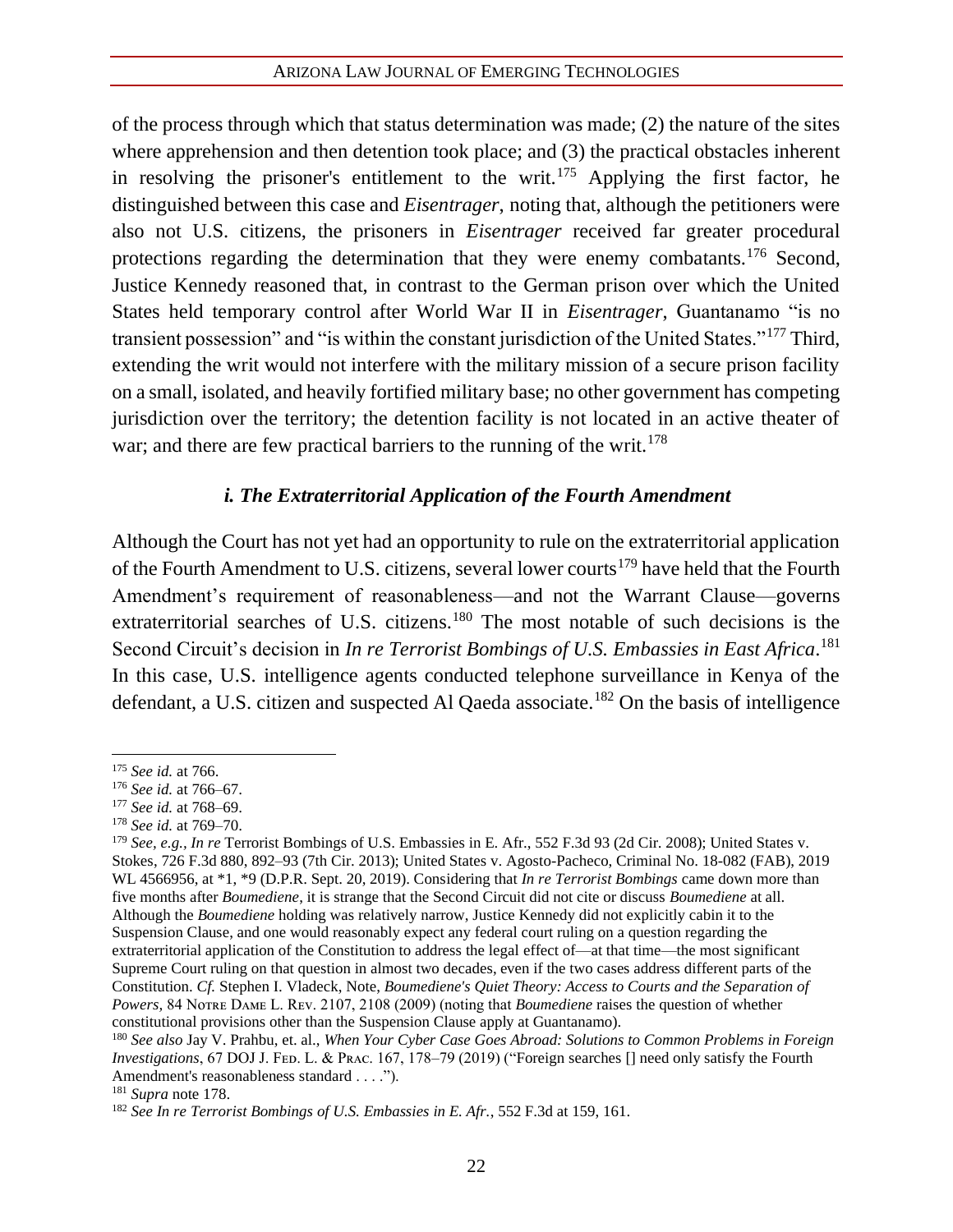of the process through which that status determination was made; (2) the nature of the sites where apprehension and then detention took place; and (3) the practical obstacles inherent in resolving the prisoner's entitlement to the writ.<sup>175</sup> Applying the first factor, he distinguished between this case and *Eisentrager*, noting that, although the petitioners were also not U.S. citizens, the prisoners in *Eisentrager* received far greater procedural protections regarding the determination that they were enemy combatants.<sup>176</sup> Second, Justice Kennedy reasoned that, in contrast to the German prison over which the United States held temporary control after World War II in *Eisentrager*, Guantanamo "is no transient possession" and "is within the constant jurisdiction of the United States."<sup>177</sup> Third, extending the writ would not interfere with the military mission of a secure prison facility on a small, isolated, and heavily fortified military base; no other government has competing jurisdiction over the territory; the detention facility is not located in an active theater of war; and there are few practical barriers to the running of the writ.<sup>178</sup>

#### *i. The Extraterritorial Application of the Fourth Amendment*

Although the Court has not yet had an opportunity to rule on the extraterritorial application of the Fourth Amendment to U.S. citizens, several lower courts<sup>179</sup> have held that the Fourth Amendment's requirement of reasonableness—and not the Warrant Clause—governs extraterritorial searches of U.S. citizens.<sup>180</sup> The most notable of such decisions is the Second Circuit's decision in *In re Terrorist Bombings of U.S. Embassies in East Africa*.<sup>181</sup> In this case, U.S. intelligence agents conducted telephone surveillance in Kenya of the defendant, a U.S. citizen and suspected Al Qaeda associate.<sup>182</sup> On the basis of intelligence

<sup>175</sup> *See id.* at 766.

<sup>176</sup> *See id.* at 766–67.

<sup>177</sup> *See id.* at 768–69.

<sup>178</sup> *See id.* at 769–70.

<sup>179</sup> *See, e.g., In re* Terrorist Bombings of U.S. Embassies in E. Afr., 552 F.3d 93 (2d Cir. 2008); United States v. Stokes, 726 F.3d 880, 892–93 (7th Cir. 2013); United States v. Agosto-Pacheco, Criminal No. 18-082 (FAB), 2019 WL 4566956, at \*1, \*9 (D.P.R. Sept. 20, 2019). Considering that *In re Terrorist Bombings* came down more than five months after *Boumediene*, it is strange that the Second Circuit did not cite or discuss *Boumediene* at all. Although the *Boumediene* holding was relatively narrow, Justice Kennedy did not explicitly cabin it to the Suspension Clause, and one would reasonably expect any federal court ruling on a question regarding the extraterritorial application of the Constitution to address the legal effect of—at that time—the most significant Supreme Court ruling on that question in almost two decades, even if the two cases address different parts of the Constitution. *Cf.* Stephen I. Vladeck, Note, *Boumediene's Quiet Theory: Access to Courts and the Separation of Powers,* 84 Norre DAME L. REV. 2107, 2108 (2009) (noting that *Boumediene* raises the question of whether constitutional provisions other than the Suspension Clause apply at Guantanamo).

<sup>180</sup> *See also* Jay V. Prahbu, et. al., *When Your Cyber Case Goes Abroad: Solutions to Common Problems in Foreign Investigations*, 67 DOJ J. FED. L. & PRAC. 167, 178–79 (2019) ("Foreign searches [] need only satisfy the Fourth Amendment's reasonableness standard . . . .").

<sup>181</sup> *Supra* note 178.

<sup>182</sup> *See In re Terrorist Bombings of U.S. Embassies in E. Afr.*, 552 F.3d at 159, 161.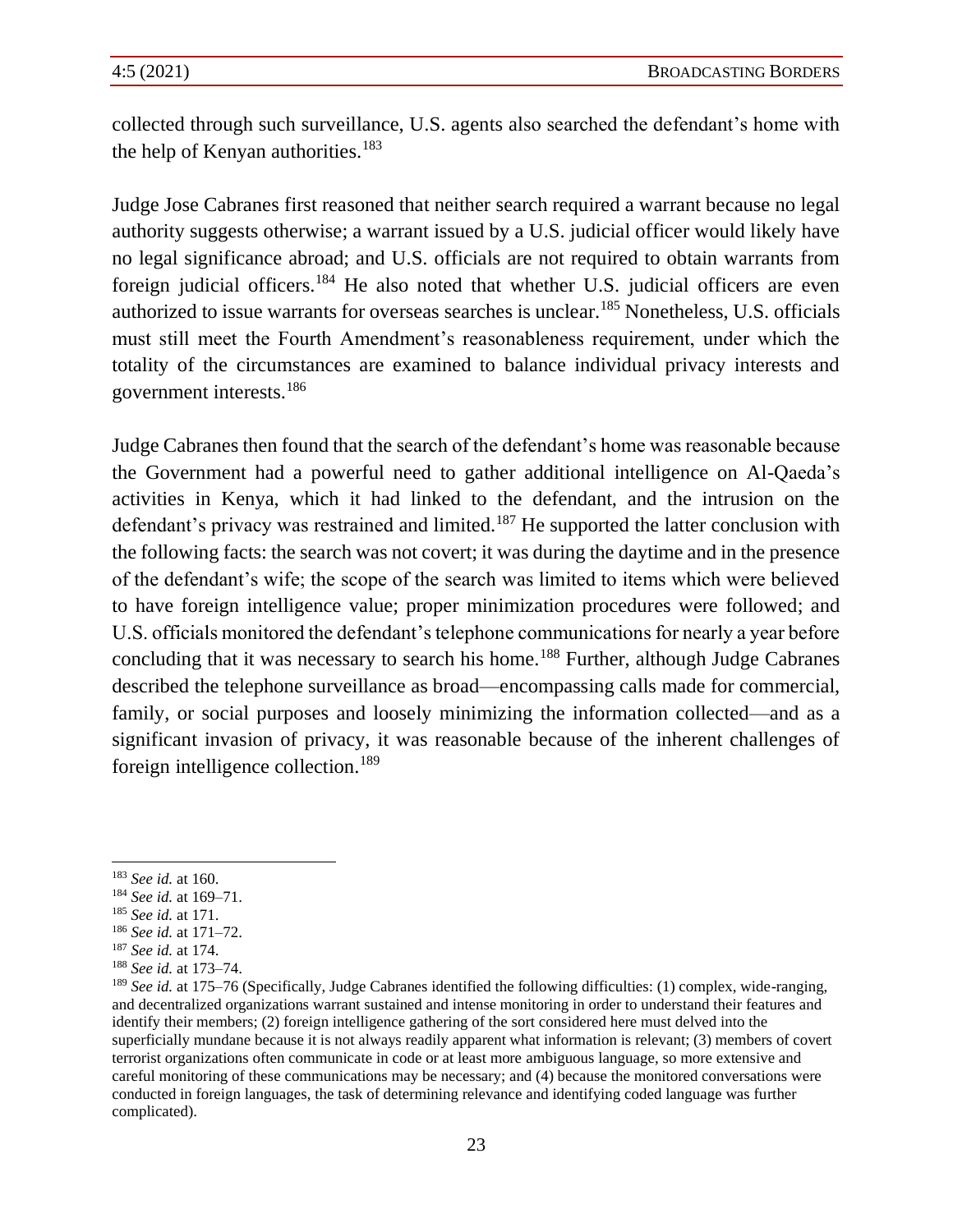collected through such surveillance, U.S. agents also searched the defendant's home with the help of Kenyan authorities.<sup>183</sup>

Judge Jose Cabranes first reasoned that neither search required a warrant because no legal authority suggests otherwise; a warrant issued by a U.S. judicial officer would likely have no legal significance abroad; and U.S. officials are not required to obtain warrants from foreign judicial officers.<sup>184</sup> He also noted that whether U.S. judicial officers are even authorized to issue warrants for overseas searches is unclear.<sup>185</sup> Nonetheless, U.S. officials must still meet the Fourth Amendment's reasonableness requirement, under which the totality of the circumstances are examined to balance individual privacy interests and government interests.<sup>186</sup>

Judge Cabranes then found that the search of the defendant's home was reasonable because the Government had a powerful need to gather additional intelligence on Al-Qaeda's activities in Kenya, which it had linked to the defendant, and the intrusion on the defendant's privacy was restrained and limited.<sup>187</sup> He supported the latter conclusion with the following facts: the search was not covert; it was during the daytime and in the presence of the defendant's wife; the scope of the search was limited to items which were believed to have foreign intelligence value; proper minimization procedures were followed; and U.S. officials monitored the defendant's telephone communications for nearly a year before concluding that it was necessary to search his home.<sup>188</sup> Further, although Judge Cabranes described the telephone surveillance as broad—encompassing calls made for commercial, family, or social purposes and loosely minimizing the information collected—and as a significant invasion of privacy, it was reasonable because of the inherent challenges of foreign intelligence collection.<sup>189</sup>

<sup>183</sup> *See id.* at 160.

<sup>184</sup> *See id.* at 169–71.

<sup>185</sup> *See id.* at 171.

<sup>186</sup> *See id.* at 171–72.

<sup>187</sup> *See id.* at 174.

<sup>188</sup> *See id.* at 173–74.

<sup>189</sup> *See id.* at 175–76 (Specifically, Judge Cabranes identified the following difficulties: (1) complex, wide-ranging, and decentralized organizations warrant sustained and intense monitoring in order to understand their features and identify their members; (2) foreign intelligence gathering of the sort considered here must delved into the superficially mundane because it is not always readily apparent what information is relevant; (3) members of covert terrorist organizations often communicate in code or at least more ambiguous language, so more extensive and careful monitoring of these communications may be necessary; and (4) because the monitored conversations were conducted in foreign languages, the task of determining relevance and identifying coded language was further complicated).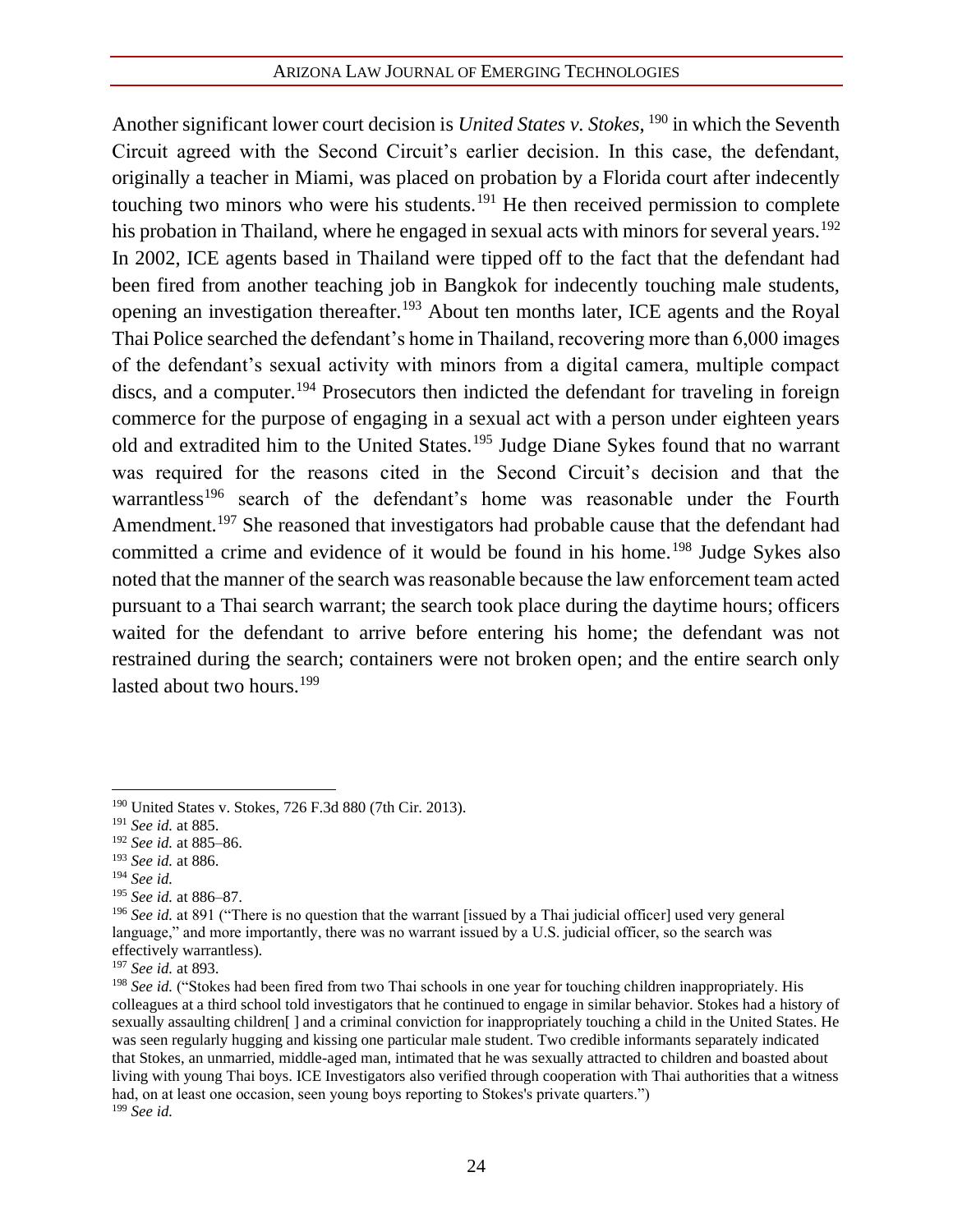Another significant lower court decision is *United States v. Stokes*, <sup>190</sup> in which the Seventh Circuit agreed with the Second Circuit's earlier decision. In this case, the defendant, originally a teacher in Miami, was placed on probation by a Florida court after indecently touching two minors who were his students.<sup>191</sup> He then received permission to complete his probation in Thailand, where he engaged in sexual acts with minors for several years.<sup>192</sup> In 2002, ICE agents based in Thailand were tipped off to the fact that the defendant had been fired from another teaching job in Bangkok for indecently touching male students, opening an investigation thereafter.<sup>193</sup> About ten months later, ICE agents and the Royal Thai Police searched the defendant's home in Thailand, recovering more than 6,000 images of the defendant's sexual activity with minors from a digital camera, multiple compact discs, and a computer.<sup>194</sup> Prosecutors then indicted the defendant for traveling in foreign commerce for the purpose of engaging in a sexual act with a person under eighteen years old and extradited him to the United States.<sup>195</sup> Judge Diane Sykes found that no warrant was required for the reasons cited in the Second Circuit's decision and that the warrantless<sup>196</sup> search of the defendant's home was reasonable under the Fourth Amendment.<sup>197</sup> She reasoned that investigators had probable cause that the defendant had committed a crime and evidence of it would be found in his home.<sup>198</sup> Judge Sykes also noted that the manner of the search was reasonable because the law enforcement team acted pursuant to a Thai search warrant; the search took place during the daytime hours; officers waited for the defendant to arrive before entering his home; the defendant was not restrained during the search; containers were not broken open; and the entire search only lasted about two hours. $199$ 

<sup>195</sup> *See id.* at 886–87.

<sup>190</sup> United States v. Stokes, 726 F.3d 880 (7th Cir. 2013).

<sup>191</sup> *See id.* at 885.

<sup>192</sup> *See id.* at 885–86.

<sup>193</sup> *See id.* at 886.

<sup>194</sup> *See id.*

<sup>&</sup>lt;sup>196</sup> *See id.* at 891 ("There is no question that the warrant [issued by a Thai judicial officer] used very general language," and more importantly, there was no warrant issued by a U.S. judicial officer, so the search was effectively warrantless).

<sup>197</sup> *See id.* at 893.

<sup>198</sup> *See id.* ("Stokes had been fired from two Thai schools in one year for touching children inappropriately. His colleagues at a third school told investigators that he continued to engage in similar behavior. Stokes had a history of sexually assaulting children[ ] and a criminal conviction for inappropriately touching a child in the United States. He was seen regularly hugging and kissing one particular male student. Two credible informants separately indicated that Stokes, an unmarried, middle-aged man, intimated that he was sexually attracted to children and boasted about living with young Thai boys. ICE Investigators also verified through cooperation with Thai authorities that a witness had, on at least one occasion, seen young boys reporting to Stokes's private quarters.") <sup>199</sup> *See id.*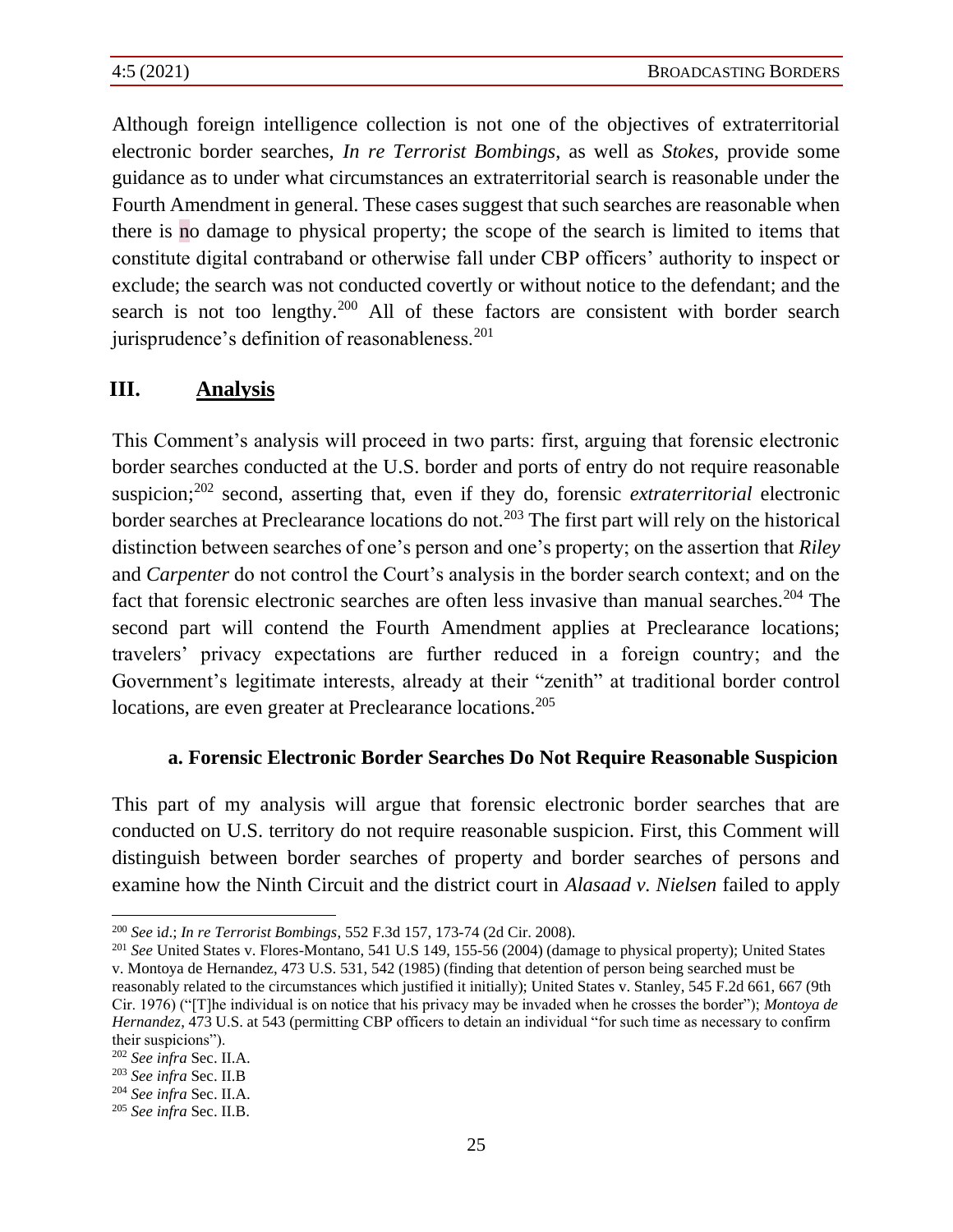Although foreign intelligence collection is not one of the objectives of extraterritorial electronic border searches, *In re Terrorist Bombings*, as well as *Stokes*, provide some guidance as to under what circumstances an extraterritorial search is reasonable under the Fourth Amendment in general. These cases suggest that such searches are reasonable when there is no damage to physical property; the scope of the search is limited to items that constitute digital contraband or otherwise fall under CBP officers' authority to inspect or exclude; the search was not conducted covertly or without notice to the defendant; and the search is not too lengthy.<sup>200</sup> All of these factors are consistent with border search jurisprudence's definition of reasonableness.<sup>201</sup>

## **III. Analysis**

This Comment's analysis will proceed in two parts: first, arguing that forensic electronic border searches conducted at the U.S. border and ports of entry do not require reasonable suspicion;<sup>202</sup> second, asserting that, even if they do, forensic *extraterritorial* electronic border searches at Preclearance locations do not.<sup>203</sup> The first part will rely on the historical distinction between searches of one's person and one's property; on the assertion that *Riley* and *Carpenter* do not control the Court's analysis in the border search context; and on the fact that forensic electronic searches are often less invasive than manual searches.<sup>204</sup> The second part will contend the Fourth Amendment applies at Preclearance locations; travelers' privacy expectations are further reduced in a foreign country; and the Government's legitimate interests, already at their "zenith" at traditional border control locations, are even greater at Preclearance locations.<sup>205</sup>

#### **a. Forensic Electronic Border Searches Do Not Require Reasonable Suspicion**

This part of my analysis will argue that forensic electronic border searches that are conducted on U.S. territory do not require reasonable suspicion. First, this Comment will distinguish between border searches of property and border searches of persons and examine how the Ninth Circuit and the district court in *Alasaad v. Nielsen* failed to apply

<sup>200</sup> *See* i*d*.; *In re Terrorist Bombings*, 552 F.3d 157, 173-74 (2d Cir. 2008).

<sup>201</sup> *See* United States v. Flores-Montano, 541 U.S 149, 155-56 (2004) (damage to physical property); United States v. Montoya de Hernandez, 473 U.S. 531, 542 (1985) (finding that detention of person being searched must be reasonably related to the circumstances which justified it initially); United States v. Stanley, 545 F.2d 661, 667 (9th Cir. 1976) ("[T]he individual is on notice that his privacy may be invaded when he crosses the border"); *Montoya de Hernandez*, 473 U.S. at 543 (permitting CBP officers to detain an individual "for such time as necessary to confirm their suspicions").

<sup>202</sup> *See infra* Sec. II.A.

<sup>203</sup> *See infra* Sec. II.B

<sup>204</sup> *See infra* Sec. II.A.

<sup>205</sup> *See infra* Sec. II.B.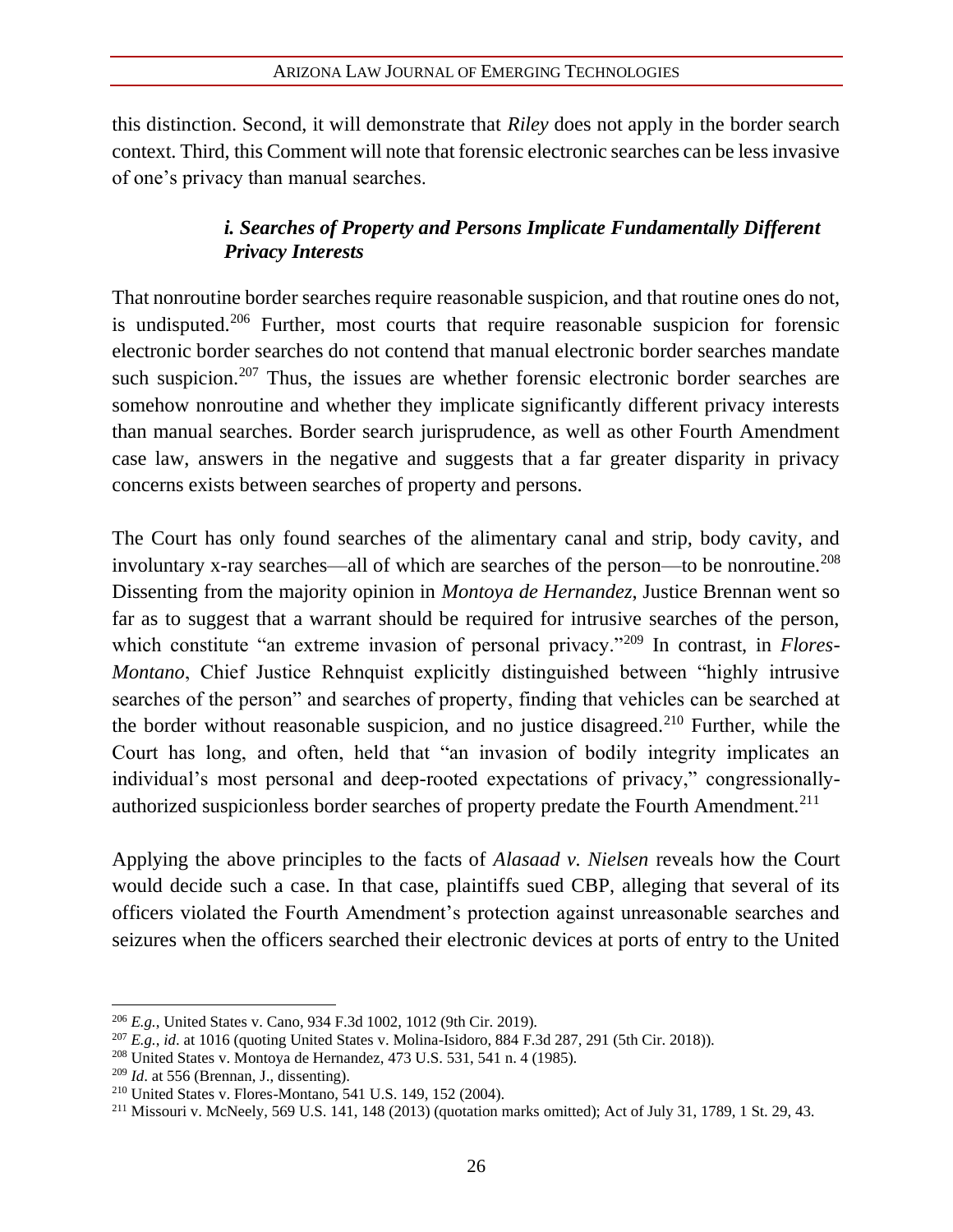this distinction. Second, it will demonstrate that *Riley* does not apply in the border search context. Third, this Comment will note that forensic electronic searches can be less invasive of one's privacy than manual searches.

## *i. Searches of Property and Persons Implicate Fundamentally Different Privacy Interests*

That nonroutine border searches require reasonable suspicion, and that routine ones do not, is undisputed.<sup>206</sup> Further, most courts that require reasonable suspicion for forensic electronic border searches do not contend that manual electronic border searches mandate such suspicion.<sup>207</sup> Thus, the issues are whether forensic electronic border searches are somehow nonroutine and whether they implicate significantly different privacy interests than manual searches. Border search jurisprudence, as well as other Fourth Amendment case law, answers in the negative and suggests that a far greater disparity in privacy concerns exists between searches of property and persons.

The Court has only found searches of the alimentary canal and strip, body cavity, and involuntary x-ray searches—all of which are searches of the person—to be nonroutine.<sup>208</sup> Dissenting from the majority opinion in *Montoya de Hernandez*, Justice Brennan went so far as to suggest that a warrant should be required for intrusive searches of the person, which constitute "an extreme invasion of personal privacy."<sup>209</sup> In contrast, in *Flores*-*Montano*, Chief Justice Rehnquist explicitly distinguished between "highly intrusive searches of the person" and searches of property, finding that vehicles can be searched at the border without reasonable suspicion, and no justice disagreed.<sup>210</sup> Further, while the Court has long, and often, held that "an invasion of bodily integrity implicates an individual's most personal and deep-rooted expectations of privacy," congressionallyauthorized suspicionless border searches of property predate the Fourth Amendment.<sup>211</sup>

Applying the above principles to the facts of *Alasaad v. Nielsen* reveals how the Court would decide such a case. In that case, plaintiffs sued CBP, alleging that several of its officers violated the Fourth Amendment's protection against unreasonable searches and seizures when the officers searched their electronic devices at ports of entry to the United

<sup>206</sup> *E.g.*, United States v. Cano, 934 F.3d 1002, 1012 (9th Cir. 2019).

<sup>207</sup> *E.g.*, *id*. at 1016 (quoting United States v. Molina-Isidoro, 884 F.3d 287, 291 (5th Cir. 2018)).

 $208$  United States v. Montoya de Hernandez, 473 U.S. 531, 541 n. 4 (1985).

<sup>209</sup> *Id*. at 556 (Brennan, J., dissenting).

<sup>210</sup> United States v. Flores-Montano, 541 U.S. 149, 152 (2004).

<sup>211</sup> Missouri v. McNeely, 569 U.S. 141, 148 (2013) (quotation marks omitted); Act of July 31, 1789, 1 St. 29, 43.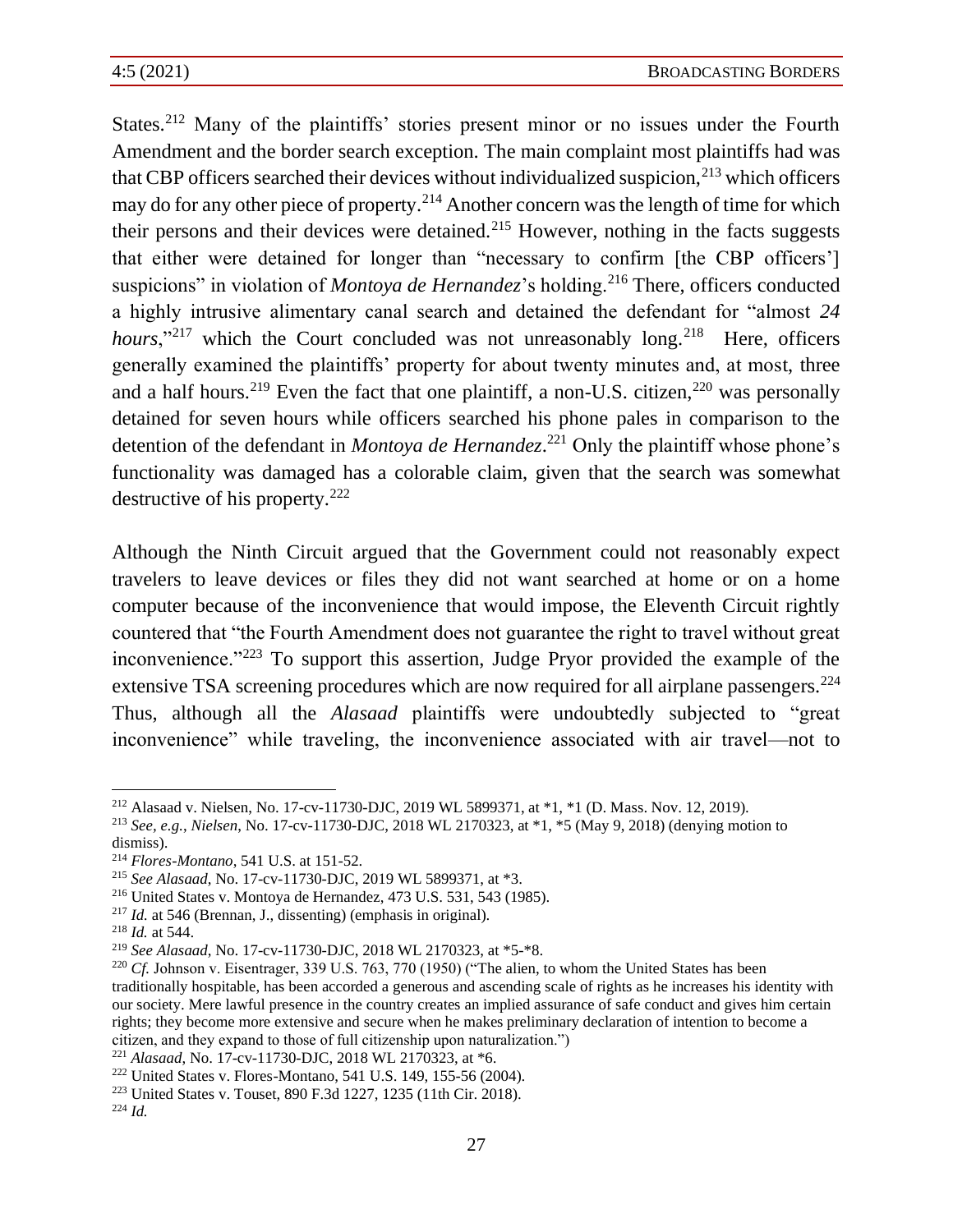States.<sup>212</sup> Many of the plaintiffs' stories present minor or no issues under the Fourth Amendment and the border search exception. The main complaint most plaintiffs had was that CBP officers searched their devices without individualized suspicion,  $2^{13}$  which officers may do for any other piece of property.<sup>214</sup> Another concern was the length of time for which their persons and their devices were detained.<sup>215</sup> However, nothing in the facts suggests that either were detained for longer than "necessary to confirm [the CBP officers'] suspicions" in violation of *Montoya de Hernandez*'s holding.<sup>216</sup> There, officers conducted a highly intrusive alimentary canal search and detained the defendant for "almost *24*  hours,"<sup>217</sup> which the Court concluded was not unreasonably long.<sup>218</sup> Here, officers generally examined the plaintiffs' property for about twenty minutes and, at most, three and a half hours.<sup>219</sup> Even the fact that one plaintiff, a non-U.S. citizen,<sup>220</sup> was personally detained for seven hours while officers searched his phone pales in comparison to the detention of the defendant in *Montoya de Hernandez*. <sup>221</sup> Only the plaintiff whose phone's functionality was damaged has a colorable claim, given that the search was somewhat destructive of his property.<sup>222</sup>

Although the Ninth Circuit argued that the Government could not reasonably expect travelers to leave devices or files they did not want searched at home or on a home computer because of the inconvenience that would impose, the Eleventh Circuit rightly countered that "the Fourth Amendment does not guarantee the right to travel without great inconvenience."<sup>223</sup> To support this assertion, Judge Pryor provided the example of the extensive TSA screening procedures which are now required for all airplane passengers.<sup>224</sup> Thus, although all the *Alasaad* plaintiffs were undoubtedly subjected to "great inconvenience" while traveling, the inconvenience associated with air travel—not to

<sup>221</sup> *Alasaad*, No. 17-cv-11730-DJC, 2018 WL 2170323, at \*6.

<sup>212</sup> Alasaad v. Nielsen, No. 17-cv-11730-DJC, 2019 WL 5899371, at \*1, \*1 (D. Mass. Nov. 12, 2019).

<sup>213</sup> *See, e.g.*, *Nielsen*, No. 17-cv-11730-DJC, 2018 WL 2170323, at \*1, \*5 (May 9, 2018) (denying motion to dismiss).

<sup>214</sup> *Flores-Montano*, 541 U.S. at 151-52.

<sup>215</sup> *See Alasaad*, No. 17-cv-11730-DJC, 2019 WL 5899371, at \*3.

<sup>216</sup> United States v. Montoya de Hernandez, 473 U.S. 531, 543 (1985).

<sup>217</sup> *Id.* at 546 (Brennan, J., dissenting) (emphasis in original).

<sup>218</sup> *Id.* at 544.

<sup>219</sup> *See Alasaad*, No. 17-cv-11730-DJC, 2018 WL 2170323, at \*5-\*8.

<sup>&</sup>lt;sup>220</sup> *Cf.* Johnson v. Eisentrager, 339 U.S. 763, 770 (1950) ("The alien, to whom the United States has been traditionally hospitable, has been accorded a generous and ascending scale of rights as he increases his identity with our society. Mere lawful presence in the country creates an implied assurance of safe conduct and gives him certain rights; they become more extensive and secure when he makes preliminary declaration of intention to become a citizen, and they expand to those of full citizenship upon naturalization.")

<sup>222</sup> United States v. Flores-Montano, 541 U.S. 149, 155-56 (2004).

<sup>223</sup> United States v. Touset, 890 F.3d 1227, 1235 (11th Cir. 2018).

<sup>224</sup> *Id.*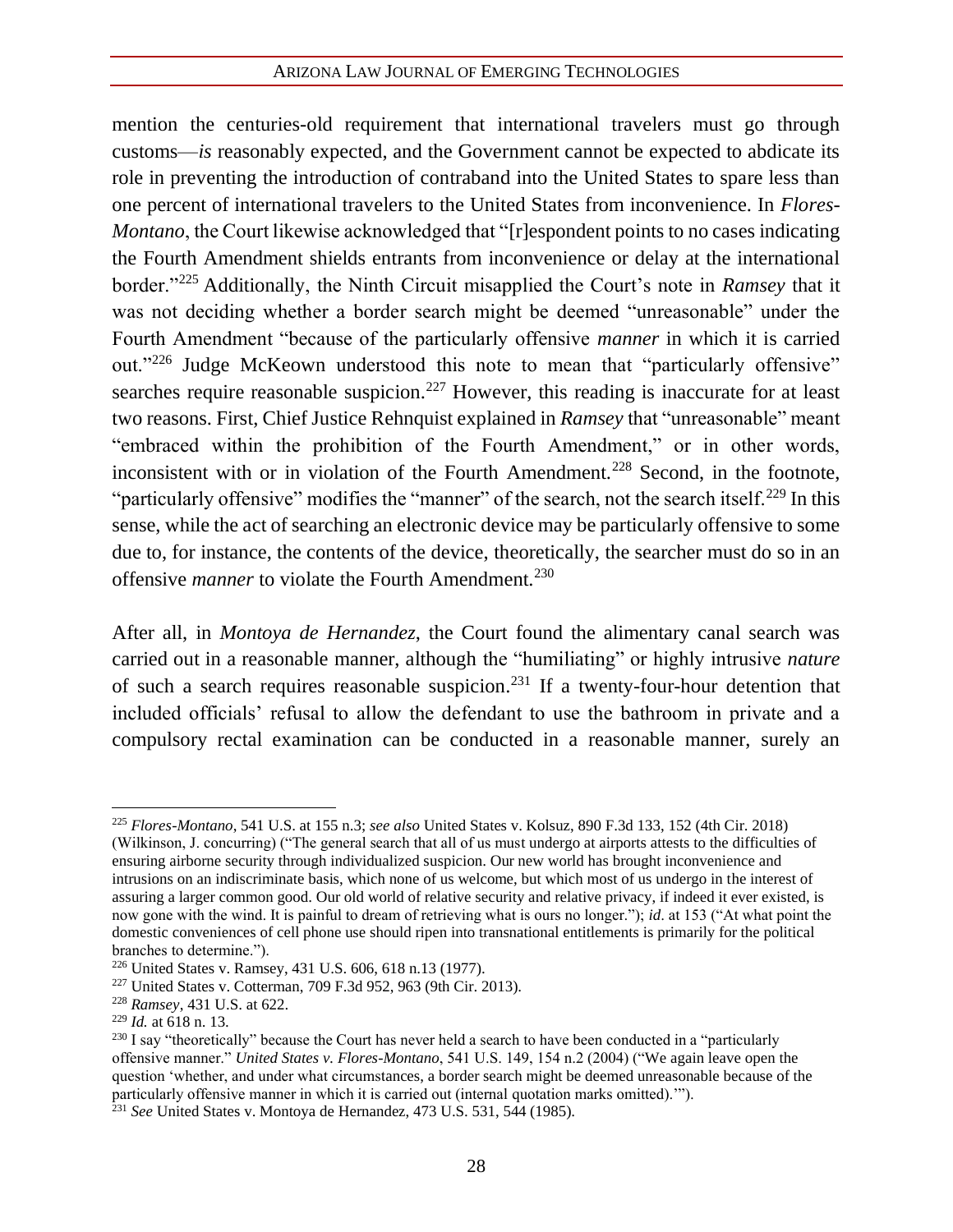mention the centuries-old requirement that international travelers must go through customs—*is* reasonably expected, and the Government cannot be expected to abdicate its role in preventing the introduction of contraband into the United States to spare less than one percent of international travelers to the United States from inconvenience. In *Flores-Montano*, the Court likewise acknowledged that "[r]espondent points to no cases indicating the Fourth Amendment shields entrants from inconvenience or delay at the international border."<sup>225</sup> Additionally, the Ninth Circuit misapplied the Court's note in *Ramsey* that it was not deciding whether a border search might be deemed "unreasonable" under the Fourth Amendment "because of the particularly offensive *manner* in which it is carried out."<sup>226</sup> Judge McKeown understood this note to mean that "particularly offensive" searches require reasonable suspicion.<sup>227</sup> However, this reading is inaccurate for at least two reasons. First, Chief Justice Rehnquist explained in *Ramsey* that "unreasonable" meant "embraced within the prohibition of the Fourth Amendment," or in other words, inconsistent with or in violation of the Fourth Amendment.<sup>228</sup> Second, in the footnote, "particularly offensive" modifies the "manner" of the search, not the search itself.<sup>229</sup> In this sense, while the act of searching an electronic device may be particularly offensive to some due to, for instance, the contents of the device, theoretically, the searcher must do so in an offensive *manner* to violate the Fourth Amendment.<sup>230</sup>

After all, in *Montoya de Hernandez*, the Court found the alimentary canal search was carried out in a reasonable manner, although the "humiliating" or highly intrusive *nature* of such a search requires reasonable suspicion.<sup>231</sup> If a twenty-four-hour detention that included officials' refusal to allow the defendant to use the bathroom in private and a compulsory rectal examination can be conducted in a reasonable manner, surely an

<sup>225</sup> *Flores-Montano*, 541 U.S. at 155 n.3; *see also* United States v. Kolsuz, 890 F.3d 133, 152 (4th Cir. 2018) (Wilkinson, J. concurring) ("The general search that all of us must undergo at airports attests to the difficulties of ensuring airborne security through individualized suspicion. Our new world has brought inconvenience and intrusions on an indiscriminate basis, which none of us welcome, but which most of us undergo in the interest of assuring a larger common good. Our old world of relative security and relative privacy, if indeed it ever existed, is now gone with the wind. It is painful to dream of retrieving what is ours no longer."); *id*. at 153 ("At what point the domestic conveniences of cell phone use should ripen into transnational entitlements is primarily for the political branches to determine.").

<sup>226</sup> United States v. Ramsey, 431 U.S. 606, 618 n.13 (1977).

<sup>227</sup> United States v. Cotterman, 709 F.3d 952, 963 (9th Cir. 2013).

<sup>228</sup> *Ramsey*, 431 U.S. at 622.

<sup>229</sup> *Id.* at 618 n. 13.

 $^{230}$  I say "theoretically" because the Court has never held a search to have been conducted in a "particularly offensive manner." *United States v. Flores-Montano*, 541 U.S. 149, 154 n.2 (2004) ("We again leave open the question 'whether, and under what circumstances, a border search might be deemed unreasonable because of the particularly offensive manner in which it is carried out (internal quotation marks omitted).'").

<sup>231</sup> *See* United States v. Montoya de Hernandez, 473 U.S. 531, 544 (1985).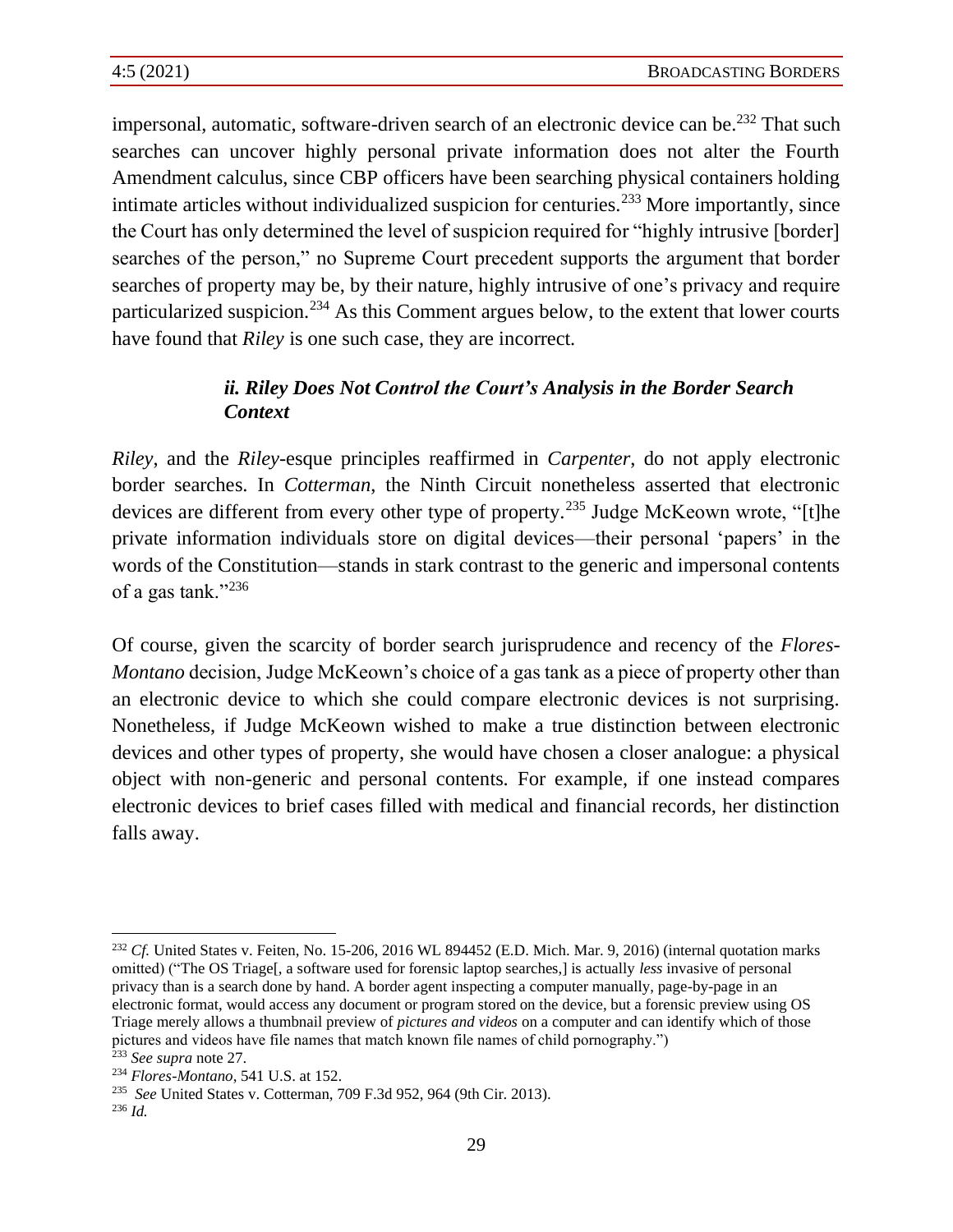impersonal, automatic, software-driven search of an electronic device can be.<sup>232</sup> That such searches can uncover highly personal private information does not alter the Fourth Amendment calculus, since CBP officers have been searching physical containers holding intimate articles without individualized suspicion for centuries.<sup>233</sup> More importantly, since the Court has only determined the level of suspicion required for "highly intrusive [border] searches of the person," no Supreme Court precedent supports the argument that border searches of property may be, by their nature, highly intrusive of one's privacy and require particularized suspicion.<sup>234</sup> As this Comment argues below, to the extent that lower courts have found that *Riley* is one such case, they are incorrect.

## *ii. Riley Does Not Control the Court's Analysis in the Border Search Context*

*Riley*, and the *Riley*-esque principles reaffirmed in *Carpenter*, do not apply electronic border searches. In *Cotterman*, the Ninth Circuit nonetheless asserted that electronic devices are different from every other type of property.<sup>235</sup> Judge McKeown wrote, "[t]he private information individuals store on digital devices—their personal 'papers' in the words of the Constitution—stands in stark contrast to the generic and impersonal contents of a gas tank."<sup>236</sup>

Of course, given the scarcity of border search jurisprudence and recency of the *Flores-Montano* decision, Judge McKeown's choice of a gas tank as a piece of property other than an electronic device to which she could compare electronic devices is not surprising. Nonetheless, if Judge McKeown wished to make a true distinction between electronic devices and other types of property, she would have chosen a closer analogue: a physical object with non-generic and personal contents. For example, if one instead compares electronic devices to brief cases filled with medical and financial records, her distinction falls away.

<sup>&</sup>lt;sup>232</sup> *Cf.* United States v. Feiten, No. 15-206, 2016 WL 894452 (E.D. Mich. Mar. 9, 2016) (internal quotation marks omitted) ("The OS Triage[, a software used for forensic laptop searches,] is actually *less* invasive of personal privacy than is a search done by hand. A border agent inspecting a computer manually, page-by-page in an electronic format, would access any document or program stored on the device, but a forensic preview using OS Triage merely allows a thumbnail preview of *pictures and videos* on a computer and can identify which of those pictures and videos have file names that match known file names of child pornography.") <sup>233</sup> *See supra* note 27.

<sup>234</sup> *Flores-Montano*, 541 U.S. at 152.

<sup>235</sup>  *See* United States v. Cotterman, 709 F.3d 952, 964 (9th Cir. 2013).

<sup>236</sup> *Id.*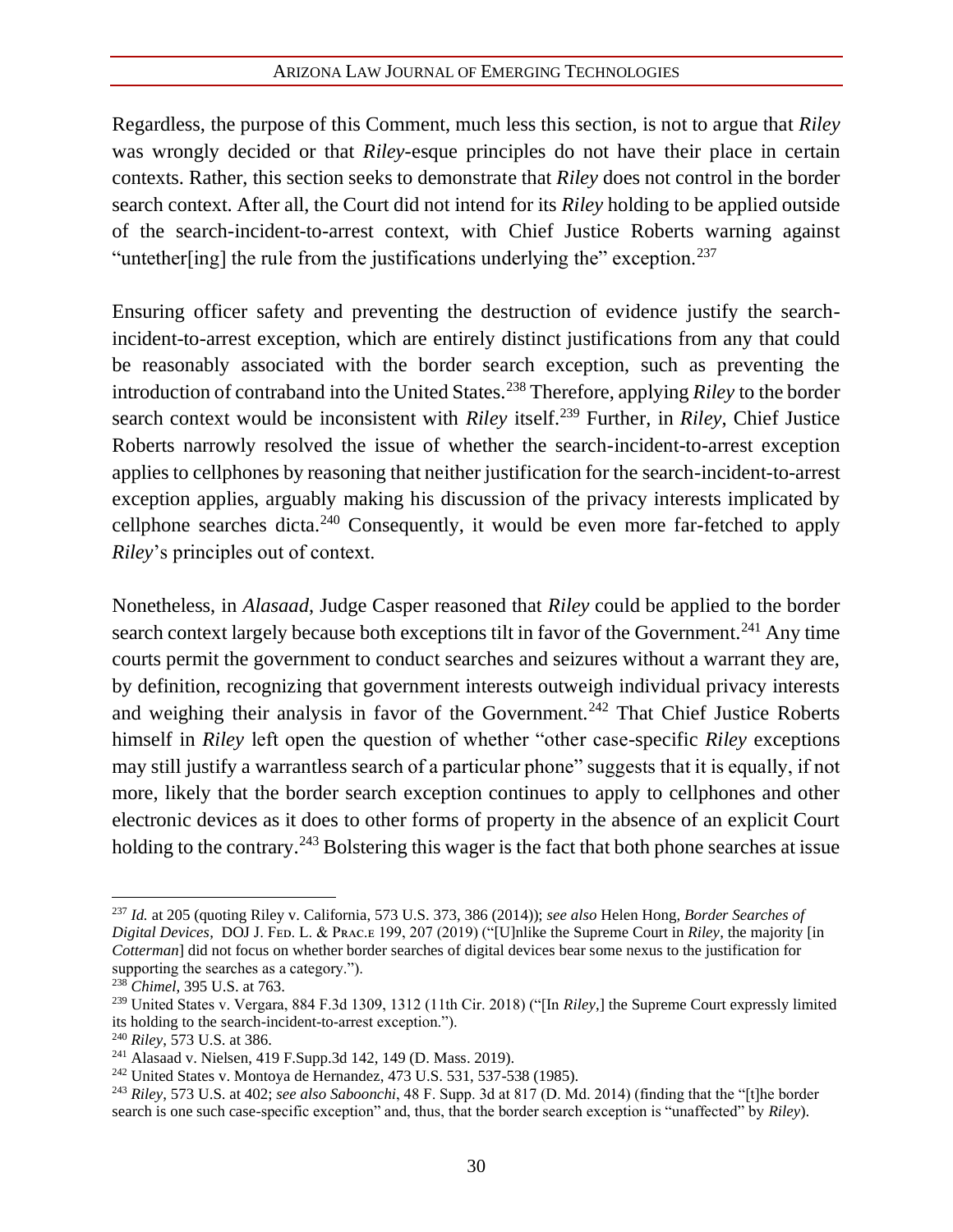Regardless, the purpose of this Comment, much less this section, is not to argue that *Riley*  was wrongly decided or that *Riley*-esque principles do not have their place in certain contexts. Rather, this section seeks to demonstrate that *Riley* does not control in the border search context. After all, the Court did not intend for its *Riley* holding to be applied outside of the search-incident-to-arrest context, with Chief Justice Roberts warning against "untether[ing] the rule from the justifications underlying the" exception.<sup>237</sup>

Ensuring officer safety and preventing the destruction of evidence justify the searchincident-to-arrest exception, which are entirely distinct justifications from any that could be reasonably associated with the border search exception, such as preventing the introduction of contraband into the United States.<sup>238</sup> Therefore, applying *Riley* to the border search context would be inconsistent with *Riley* itself. <sup>239</sup> Further, in *Riley*, Chief Justice Roberts narrowly resolved the issue of whether the search-incident-to-arrest exception applies to cellphones by reasoning that neither justification for the search-incident-to-arrest exception applies, arguably making his discussion of the privacy interests implicated by cellphone searches dicta.<sup>240</sup> Consequently, it would be even more far-fetched to apply *Riley*'s principles out of context.

Nonetheless, in *Alasaad*, Judge Casper reasoned that *Riley* could be applied to the border search context largely because both exceptions tilt in favor of the Government.<sup>241</sup> Any time courts permit the government to conduct searches and seizures without a warrant they are, by definition, recognizing that government interests outweigh individual privacy interests and weighing their analysis in favor of the Government.<sup>242</sup> That Chief Justice Roberts himself in *Riley* left open the question of whether "other case-specific *Riley* exceptions may still justify a warrantless search of a particular phone" suggests that it is equally, if not more, likely that the border search exception continues to apply to cellphones and other electronic devices as it does to other forms of property in the absence of an explicit Court holding to the contrary.<sup>243</sup> Bolstering this wager is the fact that both phone searches at issue

<sup>237</sup> *Id.* at 205 (quoting Riley v. California, 573 U.S. 373, 386 (2014)); *see also* Helen Hong, *Border Searches of Digital Devices*, DOJ J. Fᴇᴅ. L. & Pʀᴀᴄ.ᴇ 199, 207 (2019) ("[U]nlike the Supreme Court in *Riley*, the majority [in *Cotterman*] did not focus on whether border searches of digital devices bear some nexus to the justification for supporting the searches as a category.").

<sup>238</sup> *Chimel*, 395 U.S. at 763.

<sup>239</sup> United States v. Vergara, 884 F.3d 1309, 1312 (11th Cir. 2018) ("[In *Riley*,] the Supreme Court expressly limited its holding to the search-incident-to-arrest exception.").

<sup>240</sup> *Riley*, 573 U.S. at 386.

<sup>241</sup> Alasaad v. Nielsen, 419 F.Supp.3d 142, 149 (D. Mass. 2019).

 $242$  United States v. Montoya de Hernandez, 473 U.S. 531, 537-538 (1985).

<sup>243</sup> *Riley*, 573 U.S. at 402; *see also Saboonchi*, 48 F. Supp. 3d at 817 (D. Md. 2014) (finding that the "[t]he border search is one such case-specific exception" and, thus, that the border search exception is "unaffected" by *Riley*).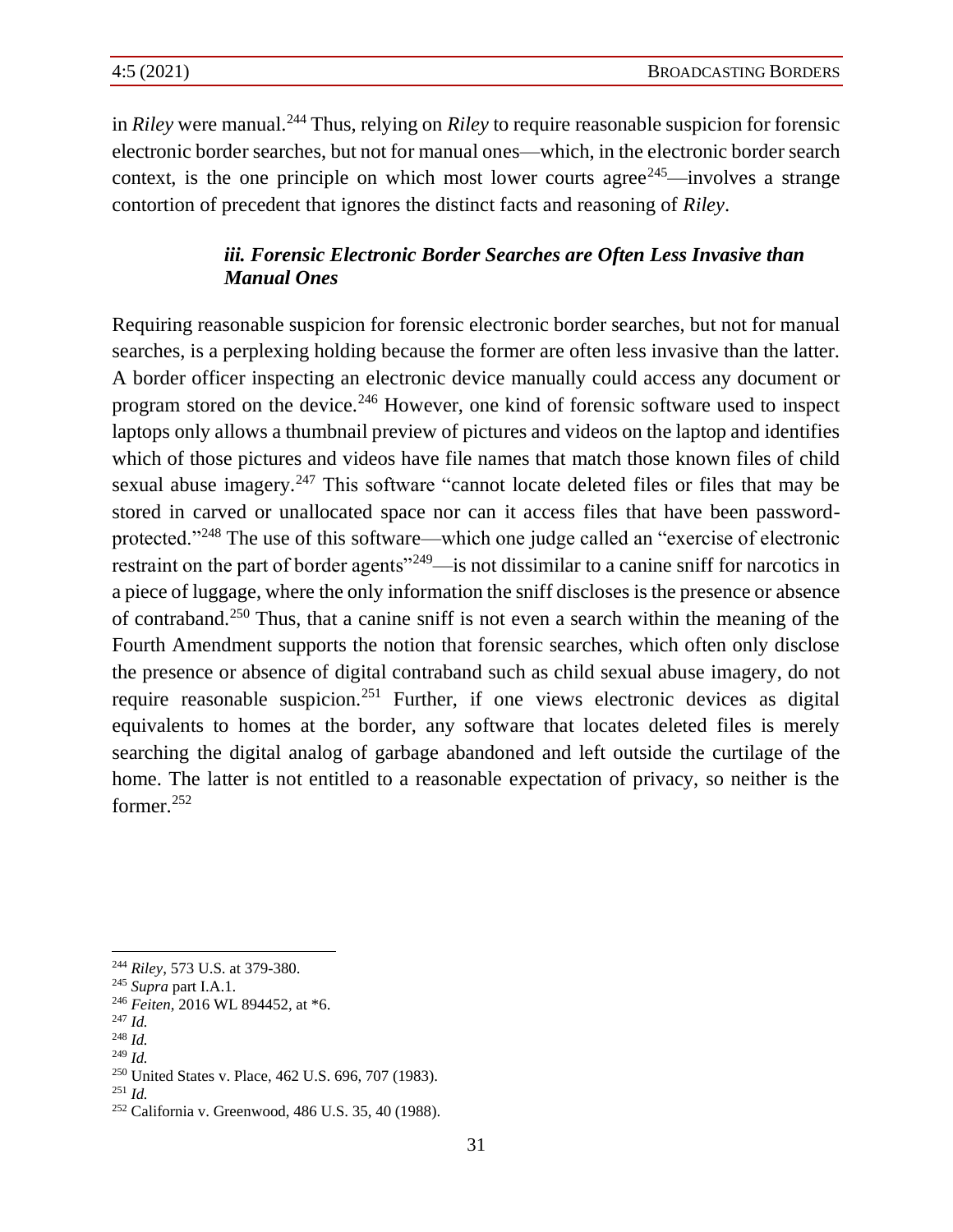in *Riley* were manual.<sup>244</sup> Thus, relying on *Riley* to require reasonable suspicion for forensic electronic border searches, but not for manual ones—which, in the electronic border search context, is the one principle on which most lower courts agree<sup> $245$ </sup>—involves a strange contortion of precedent that ignores the distinct facts and reasoning of *Riley*.

### *iii. Forensic Electronic Border Searches are Often Less Invasive than Manual Ones*

Requiring reasonable suspicion for forensic electronic border searches, but not for manual searches, is a perplexing holding because the former are often less invasive than the latter. A border officer inspecting an electronic device manually could access any document or program stored on the device.<sup>246</sup> However, one kind of forensic software used to inspect laptops only allows a thumbnail preview of pictures and videos on the laptop and identifies which of those pictures and videos have file names that match those known files of child sexual abuse imagery.<sup>247</sup> This software "cannot locate deleted files or files that may be stored in carved or unallocated space nor can it access files that have been passwordprotected."<sup>248</sup> The use of this software—which one judge called an "exercise of electronic restraint on the part of border agents<sup>"249</sup>—is not dissimilar to a canine sniff for narcotics in a piece of luggage, where the only information the sniff discloses is the presence or absence of contraband.<sup>250</sup> Thus, that a canine sniff is not even a search within the meaning of the Fourth Amendment supports the notion that forensic searches, which often only disclose the presence or absence of digital contraband such as child sexual abuse imagery, do not require reasonable suspicion.<sup>251</sup> Further, if one views electronic devices as digital equivalents to homes at the border, any software that locates deleted files is merely searching the digital analog of garbage abandoned and left outside the curtilage of the home. The latter is not entitled to a reasonable expectation of privacy, so neither is the former.<sup>252</sup>

<sup>248</sup> *Id.*

<sup>251</sup> *Id.*

<sup>244</sup> *Riley*, 573 U.S. at 379-380.

<sup>245</sup> *Supra* part I.A.1.

<sup>246</sup> *Feiten*, 2016 WL 894452, at \*6.

<sup>247</sup> *Id.*

<sup>249</sup> *Id.*

<sup>250</sup> United States v. Place, 462 U.S. 696, 707 (1983).

<sup>252</sup> California v. Greenwood, 486 U.S. 35, 40 (1988).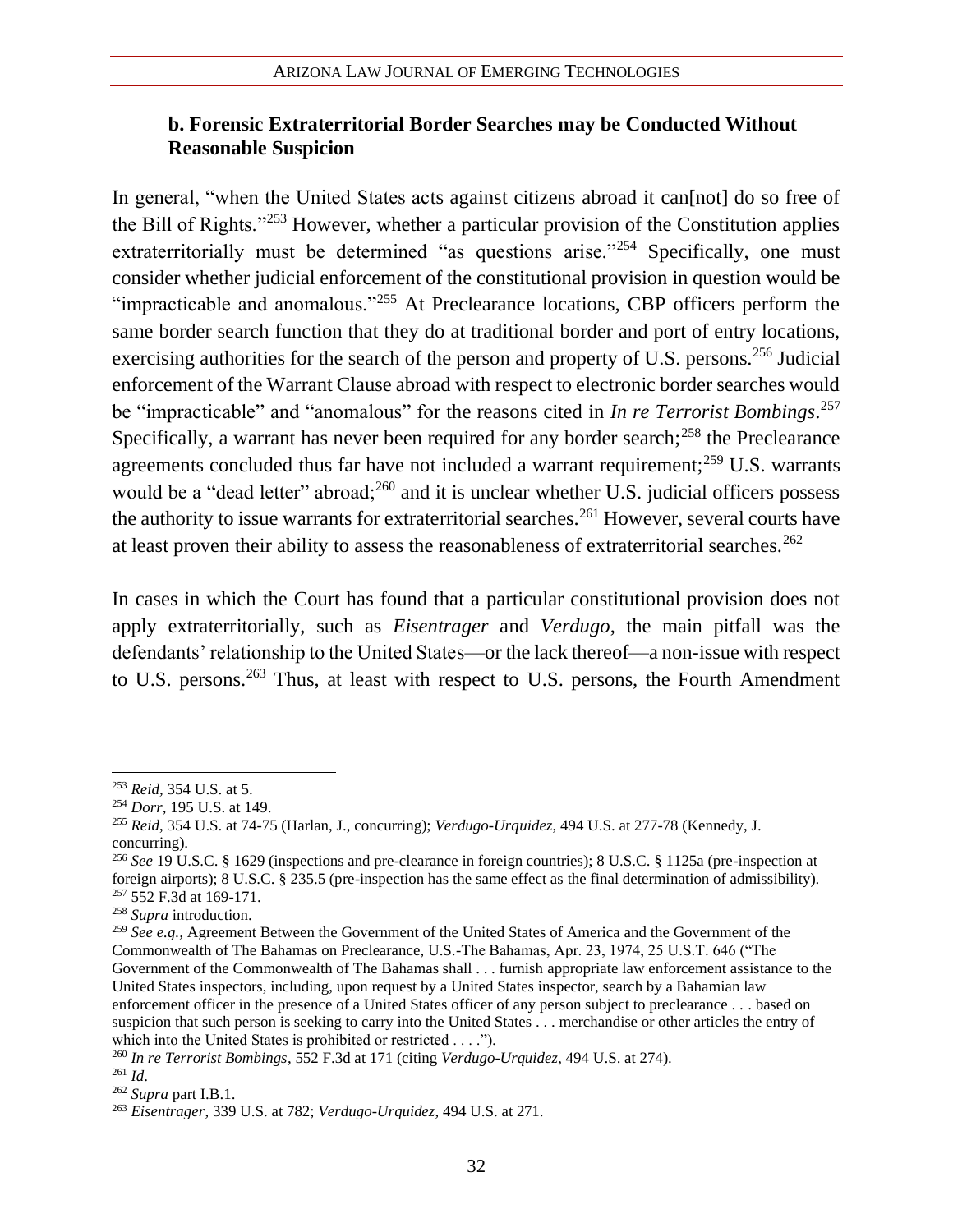#### **b. Forensic Extraterritorial Border Searches may be Conducted Without Reasonable Suspicion**

In general, "when the United States acts against citizens abroad it can [not] do so free of the Bill of Rights."<sup>253</sup> However, whether a particular provision of the Constitution applies extraterritorially must be determined "as questions arise."<sup>254</sup> Specifically, one must consider whether judicial enforcement of the constitutional provision in question would be "impracticable and anomalous."<sup>255</sup> At Preclearance locations, CBP officers perform the same border search function that they do at traditional border and port of entry locations, exercising authorities for the search of the person and property of U.S. persons.<sup>256</sup> Judicial enforcement of the Warrant Clause abroad with respect to electronic border searches would be "impracticable" and "anomalous" for the reasons cited in *In re Terrorist Bombings*. 257 Specifically, a warrant has never been required for any border search;<sup>258</sup> the Preclearance agreements concluded thus far have not included a warrant requirement;<sup>259</sup> U.S. warrants would be a "dead letter" abroad;<sup>260</sup> and it is unclear whether U.S. judicial officers possess the authority to issue warrants for extraterritorial searches.<sup>261</sup> However, several courts have at least proven their ability to assess the reasonableness of extraterritorial searches.<sup>262</sup>

In cases in which the Court has found that a particular constitutional provision does not apply extraterritorially, such as *Eisentrager* and *Verdugo*, the main pitfall was the defendants' relationship to the United States—or the lack thereof—a non-issue with respect to U.S. persons.<sup>263</sup> Thus, at least with respect to U.S. persons, the Fourth Amendment

<sup>253</sup> *Reid,* 354 U.S. at 5.

<sup>254</sup> *Dorr,* 195 U.S. at 149.

<sup>255</sup> *Reid*, 354 U.S. at 74-75 (Harlan, J., concurring); *Verdugo-Urquidez*, 494 U.S. at 277-78 (Kennedy, J. concurring).

<sup>256</sup> *See* 19 U.S.C. § 1629 (inspections and pre-clearance in foreign countries); 8 U.S.C. § 1125a (pre-inspection at foreign airports); 8 U.S.C. § 235.5 (pre-inspection has the same effect as the final determination of admissibility). <sup>257</sup> 552 F.3d at 169-171.

<sup>258</sup> *Supra* introduction.

<sup>259</sup> *See e.g.,* Agreement Between the Government of the United States of America and the Government of the Commonwealth of The Bahamas on Preclearance, U.S.-The Bahamas, Apr. 23, 1974, 25 U.S.T. 646 ("The Government of the Commonwealth of The Bahamas shall . . . furnish appropriate law enforcement assistance to the United States inspectors, including, upon request by a United States inspector, search by a Bahamian law enforcement officer in the presence of a United States officer of any person subject to preclearance . . . based on suspicion that such person is seeking to carry into the United States . . . merchandise or other articles the entry of which into the United States is prohibited or restricted . . . .").

<sup>260</sup> *In re Terrorist Bombings*, 552 F.3d at 171 (citing *Verdugo-Urquidez*, 494 U.S. at 274). <sup>261</sup> *Id*.

<sup>262</sup> *Supra* part I.B.1.

<sup>263</sup> *Eisentrager*, 339 U.S. at 782; *Verdugo-Urquidez*, 494 U.S. at 271.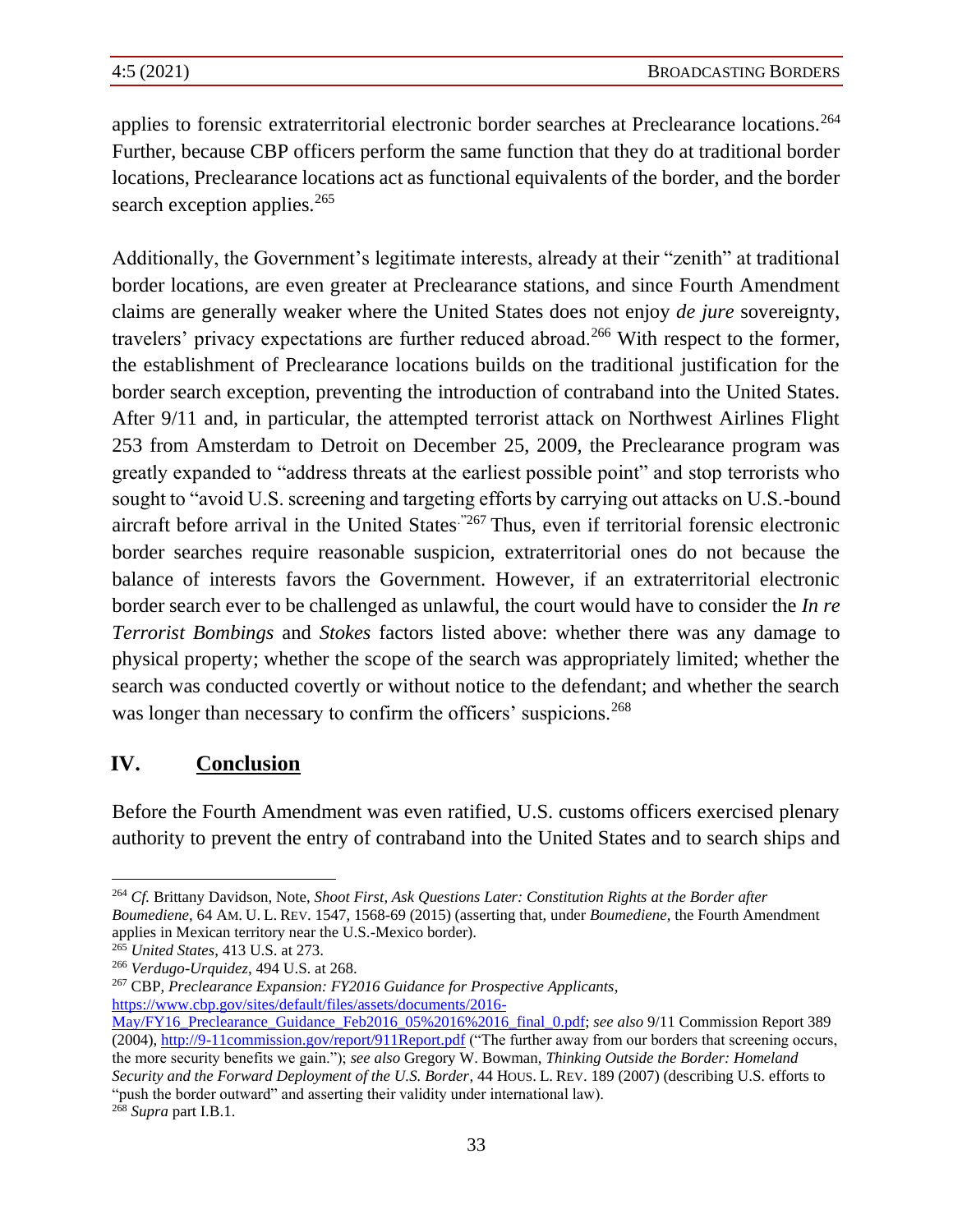applies to forensic extraterritorial electronic border searches at Preclearance locations.<sup>264</sup> Further, because CBP officers perform the same function that they do at traditional border locations, Preclearance locations act as functional equivalents of the border, and the border search exception applies.<sup>265</sup>

Additionally, the Government's legitimate interests, already at their "zenith" at traditional border locations, are even greater at Preclearance stations, and since Fourth Amendment claims are generally weaker where the United States does not enjoy *de jure* sovereignty, travelers' privacy expectations are further reduced abroad.<sup>266</sup> With respect to the former, the establishment of Preclearance locations builds on the traditional justification for the border search exception, preventing the introduction of contraband into the United States. After 9/11 and, in particular, the attempted terrorist attack on Northwest Airlines Flight 253 from Amsterdam to Detroit on December 25, 2009, the Preclearance program was greatly expanded to "address threats at the earliest possible point" and stop terrorists who sought to "avoid U.S. screening and targeting efforts by carrying out attacks on U.S.-bound aircraft before arrival in the United States<sup>."267</sup> Thus, even if territorial forensic electronic border searches require reasonable suspicion, extraterritorial ones do not because the balance of interests favors the Government. However, if an extraterritorial electronic border search ever to be challenged as unlawful, the court would have to consider the *In re Terrorist Bombings* and *Stokes* factors listed above: whether there was any damage to physical property; whether the scope of the search was appropriately limited; whether the search was conducted covertly or without notice to the defendant; and whether the search was longer than necessary to confirm the officers' suspicions.<sup>268</sup>

# **IV. Conclusion**

Before the Fourth Amendment was even ratified, U.S. customs officers exercised plenary authority to prevent the entry of contraband into the United States and to search ships and

<sup>267</sup> CBP, *Preclearance Expansion: FY2016 Guidance for Prospective Applicants*, [https://www.cbp.gov/sites/default/files/assets/documents/2016-](https://www.cbp.gov/sites/default/files/assets/documents/2016-May/FY16_Preclearance_Guidance_Feb2016_05%2016%2016_final_0.pdf)

<sup>264</sup> *Cf.* Brittany Davidson, Note, *Shoot First, Ask Questions Later: Constitution Rights at the Border after Boumediene*, 64 AM. U. L. REV. 1547, 1568-69 (2015) (asserting that, under *Boumediene*, the Fourth Amendment applies in Mexican territory near the U.S.-Mexico border).

<sup>265</sup> *United States*, 413 U.S. at 273.

<sup>266</sup> *Verdugo-Urquidez*, 494 U.S. at 268.

[May/FY16\\_Preclearance\\_Guidance\\_Feb2016\\_05%2016%2016\\_final\\_0.pdf;](https://www.cbp.gov/sites/default/files/assets/documents/2016-May/FY16_Preclearance_Guidance_Feb2016_05%2016%2016_final_0.pdf) *see also* 9/11 Commission Report 389 (2004), <http://9-11commission.gov/report/911Report.pdf> ("The further away from our borders that screening occurs, the more security benefits we gain."); *see also* Gregory W. Bowman, *Thinking Outside the Border: Homeland Security and the Forward Deployment of the U.S. Border*, 44 HOUS. L. REV. 189 (2007) (describing U.S. efforts to "push the border outward" and asserting their validity under international law). <sup>268</sup> *Supra* part I.B.1.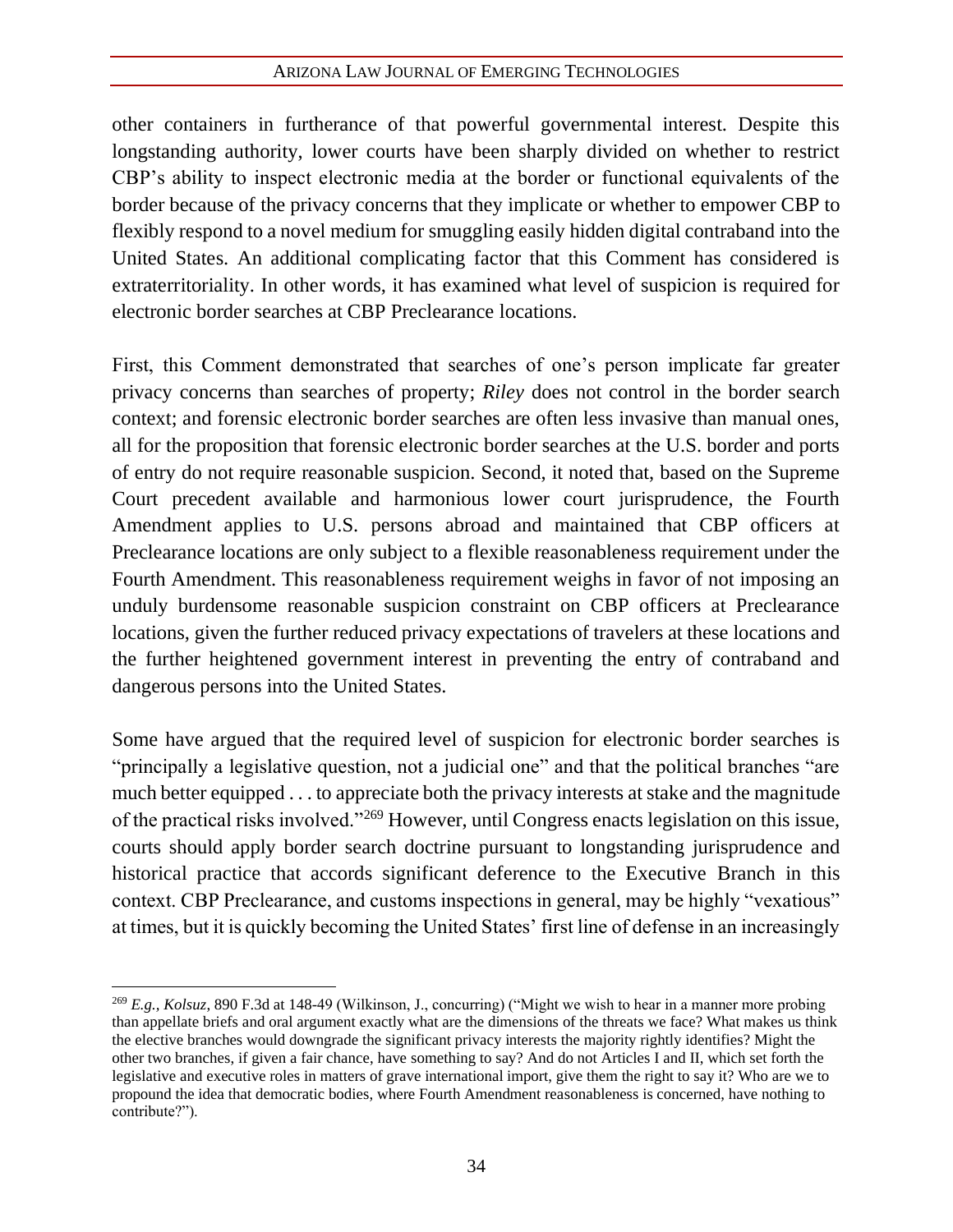other containers in furtherance of that powerful governmental interest. Despite this longstanding authority, lower courts have been sharply divided on whether to restrict CBP's ability to inspect electronic media at the border or functional equivalents of the border because of the privacy concerns that they implicate or whether to empower CBP to flexibly respond to a novel medium for smuggling easily hidden digital contraband into the United States. An additional complicating factor that this Comment has considered is extraterritoriality. In other words, it has examined what level of suspicion is required for electronic border searches at CBP Preclearance locations.

First, this Comment demonstrated that searches of one's person implicate far greater privacy concerns than searches of property; *Riley* does not control in the border search context; and forensic electronic border searches are often less invasive than manual ones, all for the proposition that forensic electronic border searches at the U.S. border and ports of entry do not require reasonable suspicion. Second, it noted that, based on the Supreme Court precedent available and harmonious lower court jurisprudence, the Fourth Amendment applies to U.S. persons abroad and maintained that CBP officers at Preclearance locations are only subject to a flexible reasonableness requirement under the Fourth Amendment. This reasonableness requirement weighs in favor of not imposing an unduly burdensome reasonable suspicion constraint on CBP officers at Preclearance locations, given the further reduced privacy expectations of travelers at these locations and the further heightened government interest in preventing the entry of contraband and dangerous persons into the United States.

Some have argued that the required level of suspicion for electronic border searches is "principally a legislative question, not a judicial one" and that the political branches "are much better equipped . . . to appreciate both the privacy interests at stake and the magnitude of the practical risks involved."<sup>269</sup> However, until Congress enacts legislation on this issue, courts should apply border search doctrine pursuant to longstanding jurisprudence and historical practice that accords significant deference to the Executive Branch in this context. CBP Preclearance, and customs inspections in general, may be highly "vexatious" at times, but it is quickly becoming the United States' first line of defense in an increasingly

<sup>269</sup> *E.g., Kolsuz*, 890 F.3d at 148-49 (Wilkinson, J., concurring) ("Might we wish to hear in a manner more probing than appellate briefs and oral argument exactly what are the dimensions of the threats we face? What makes us think the elective branches would downgrade the significant privacy interests the majority rightly identifies? Might the other two branches, if given a fair chance, have something to say? And do not Articles I and II, which set forth the legislative and executive roles in matters of grave international import, give them the right to say it? Who are we to propound the idea that democratic bodies, where Fourth Amendment reasonableness is concerned, have nothing to contribute?").